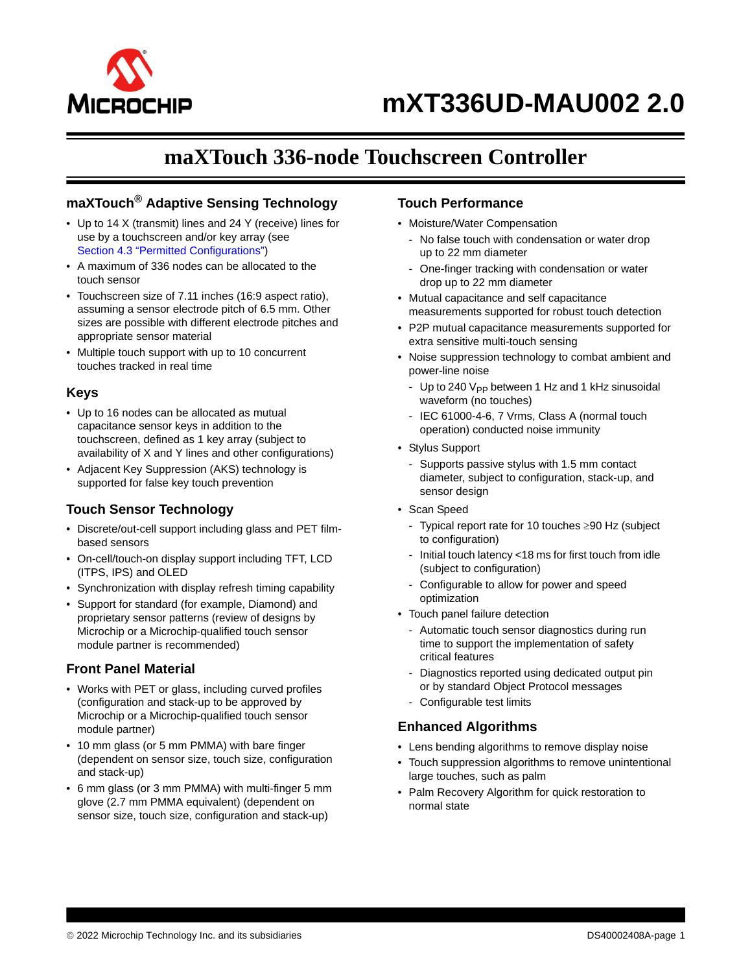

# **maXTouch 336-node Touchscreen Controller**

## **maXTouch® Adaptive Sensing Technology**

- Up to 14 X (transmit) lines and 24 Y (receive) lines for use by a touchscreen and/or key array (see Section 4.3 "Permitted Configurations")
- A maximum of 336 nodes can be allocated to the touch sensor
- Touchscreen size of 7.11 inches (16:9 aspect ratio), assuming a sensor electrode pitch of 6.5 mm. Other sizes are possible with different electrode pitches and appropriate sensor material
- Multiple touch support with up to 10 concurrent touches tracked in real time

## **Keys**

- Up to 16 nodes can be allocated as mutual capacitance sensor keys in addition to the touchscreen, defined as 1 key array (subject to availability of X and Y lines and other configurations)
- Adjacent Key Suppression (AKS) technology is supported for false key touch prevention

## **Touch Sensor Technology**

- Discrete/out-cell support including glass and PET filmbased sensors
- On-cell/touch-on display support including TFT, LCD (ITPS, IPS) and OLED
- Synchronization with display refresh timing capability
- Support for standard (for example, Diamond) and proprietary sensor patterns (review of designs by Microchip or a Microchip-qualified touch sensor module partner is recommended)

## **Front Panel Material**

- Works with PET or glass, including curved profiles (configuration and stack-up to be approved by Microchip or a Microchip-qualified touch sensor module partner)
- 10 mm glass (or 5 mm PMMA) with bare finger (dependent on sensor size, touch size, configuration and stack-up)
- 6 mm glass (or 3 mm PMMA) with multi-finger 5 mm glove (2.7 mm PMMA equivalent) (dependent on sensor size, touch size, configuration and stack-up)

### **Touch Performance**

- Moisture/Water Compensation
	- No false touch with condensation or water drop up to 22 mm diameter
	- One-finger tracking with condensation or water drop up to 22 mm diameter
- Mutual capacitance and self capacitance measurements supported for robust touch detection
- P2P mutual capacitance measurements supported for extra sensitive multi-touch sensing
- Noise suppression technology to combat ambient and power-line noise
	- Up to 240  $V_{PP}$  between 1 Hz and 1 kHz sinusoidal waveform (no touches)
	- IEC 61000-4-6, 7 Vrms, Class A (normal touch operation) conducted noise immunity
- Stylus Support
	- Supports passive stylus with 1.5 mm contact diameter, subject to configuration, stack-up, and sensor design
- Scan Speed
	- Typical report rate for 10 touches  $\geq 90$  Hz (subject to configuration)
	- Initial touch latency <18 ms for first touch from idle (subject to configuration)
	- Configurable to allow for power and speed optimization
- Touch panel failure detection
	- Automatic touch sensor diagnostics during run time to support the implementation of safety critical features
	- Diagnostics reported using dedicated output pin or by standard Object Protocol messages
	- Configurable test limits

## **Enhanced Algorithms**

- Lens bending algorithms to remove display noise
- Touch suppression algorithms to remove unintentional large touches, such as palm
- Palm Recovery Algorithm for quick restoration to normal state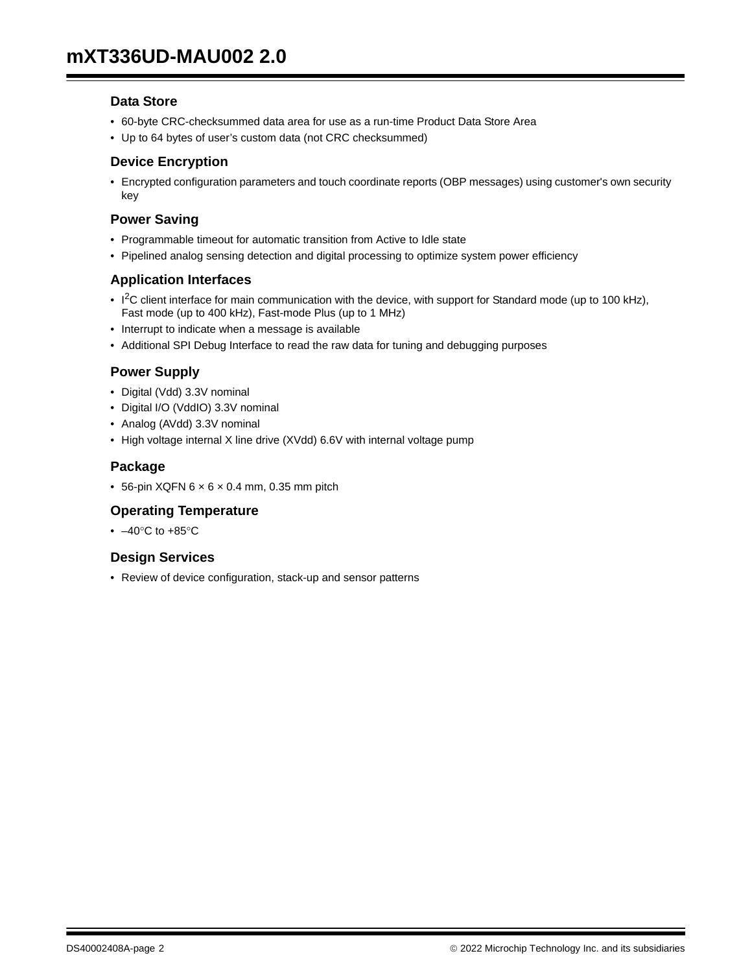#### **Data Store**

- 60-byte CRC-checksummed data area for use as a run-time Product Data Store Area
- Up to 64 bytes of user's custom data (not CRC checksummed)

#### **Device Encryption**

• Encrypted configuration parameters and touch coordinate reports (OBP messages) using customer's own security key

### **Power Saving**

- Programmable timeout for automatic transition from Active to Idle state
- Pipelined analog sensing detection and digital processing to optimize system power efficiency

#### **Application Interfaces**

- $1<sup>2</sup>C$  client interface for main communication with the device, with support for Standard mode (up to 100 kHz), Fast mode (up to 400 kHz), Fast-mode Plus (up to 1 MHz)
- Interrupt to indicate when a message is available
- Additional SPI Debug Interface to read the raw data for tuning and debugging purposes

## **Power Supply**

- Digital (Vdd) 3.3V nominal
- Digital I/O (VddIO) 3.3V nominal
- Analog (AVdd) 3.3V nominal
- High voltage internal X line drive (XVdd) 6.6V with internal voltage pump

#### **Package**

 $\bullet$  56-pin XQFN 6  $\times$  6  $\times$  0.4 mm, 0.35 mm pitch

## **Operating Temperature**

 $\cdot$  -40°C to +85°C

#### **Design Services**

• Review of device configuration, stack-up and sensor patterns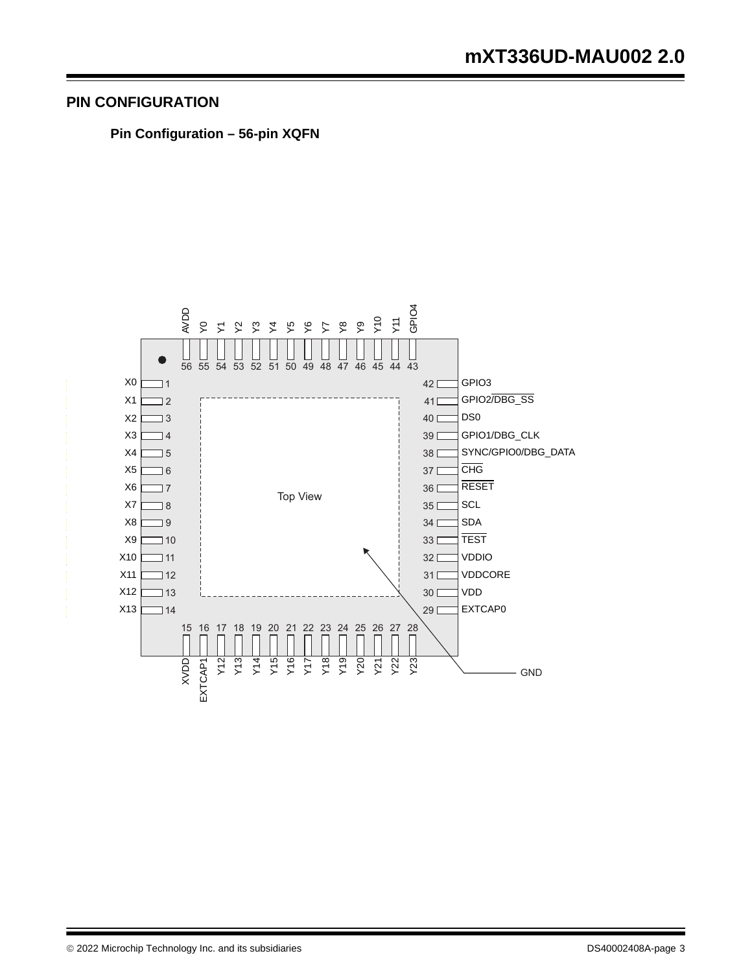## **PIN CONFIGURATION**

**Pin Configuration – 56-pin XQFN**

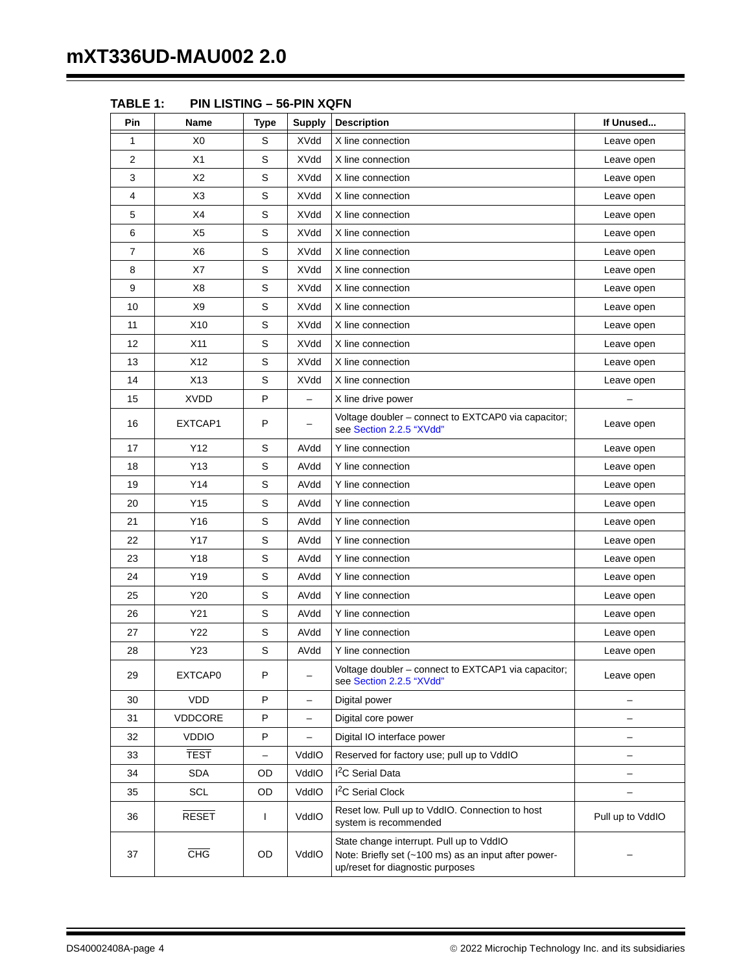| Pin | Name            | <b>Type</b>              | <b>Supply</b>            | <b>Description</b>                                                                                                                   | If Unused                |
|-----|-----------------|--------------------------|--------------------------|--------------------------------------------------------------------------------------------------------------------------------------|--------------------------|
| 1   | X0              | S                        | XVdd                     | X line connection                                                                                                                    | Leave open               |
| 2   | X1              | S                        | XVdd                     | X line connection                                                                                                                    | Leave open               |
| 3   | X2              | S                        | XVdd                     | X line connection                                                                                                                    | Leave open               |
| 4   | X <sub>3</sub>  | S                        | XVdd                     | X line connection                                                                                                                    | Leave open               |
| 5   | X4              | S                        | XVdd                     | X line connection                                                                                                                    | Leave open               |
| 6   | X <sub>5</sub>  | S                        | <b>XVdd</b>              | X line connection                                                                                                                    | Leave open               |
| 7   | X6              | S                        | <b>XVdd</b>              | X line connection                                                                                                                    | Leave open               |
| 8   | X7              | S                        | XVdd                     | X line connection                                                                                                                    | Leave open               |
| 9   | X8              | S                        | XVdd                     | X line connection                                                                                                                    | Leave open               |
| 10  | X <sub>9</sub>  | S                        | <b>XVdd</b>              | X line connection                                                                                                                    | Leave open               |
| 11  | X <sub>10</sub> | S                        | XVdd                     | X line connection                                                                                                                    | Leave open               |
| 12  | X11             | S                        | XVdd                     | X line connection                                                                                                                    | Leave open               |
| 13  | X12             | S                        | <b>XVdd</b>              | X line connection                                                                                                                    | Leave open               |
| 14  | X13             | S                        | <b>XVdd</b>              | X line connection                                                                                                                    | Leave open               |
| 15  | <b>XVDD</b>     | P                        | $\equiv$                 | X line drive power                                                                                                                   |                          |
| 16  | EXTCAP1         | P                        |                          | Voltage doubler - connect to EXTCAP0 via capacitor;<br>see Section 2.2.5 "XVdd"                                                      | Leave open               |
| 17  | Y12             | S                        | AVdd                     | Y line connection                                                                                                                    | Leave open               |
| 18  | Y13             | S                        | AVdd                     | Y line connection                                                                                                                    | Leave open               |
| 19  | Y14             | S                        | AVdd                     | Y line connection                                                                                                                    | Leave open               |
| 20  | Y15             | S                        | AVdd                     | Y line connection                                                                                                                    | Leave open               |
| 21  | Y16             | S                        | AVdd                     | Y line connection                                                                                                                    | Leave open               |
| 22  | <b>Y17</b>      | S                        | AVdd                     | Y line connection                                                                                                                    | Leave open               |
| 23  | Y18             | $\mathsf S$              | AVdd                     | Y line connection                                                                                                                    | Leave open               |
| 24  | Y19             | S                        | AVdd                     | Y line connection                                                                                                                    | Leave open               |
| 25  | Y20             | S                        | AVdd                     | Y line connection                                                                                                                    | Leave open               |
| 26  | Y21             | S                        | AVdd                     | Y line connection                                                                                                                    | Leave open               |
| 27  | Y22             | $\mathsf S$              | AVdd                     | Y line connection                                                                                                                    | Leave open               |
| 28  | Y23             | S                        | AVdd                     | Y line connection                                                                                                                    | Leave open               |
| 29  | EXTCAP0         | P                        |                          | Voltage doubler - connect to EXTCAP1 via capacitor;<br>see Section 2.2.5 "XVdd"                                                      | Leave open               |
| 30  | <b>VDD</b>      | P                        | $\overline{\phantom{0}}$ | Digital power                                                                                                                        |                          |
| 31  | VDDCORE         | P                        | ÷.                       | Digital core power                                                                                                                   |                          |
| 32  | <b>VDDIO</b>    | P                        | -                        | Digital IO interface power                                                                                                           | $\overline{\phantom{0}}$ |
| 33  | <b>TEST</b>     | $\overline{\phantom{0}}$ | VddIO                    | Reserved for factory use; pull up to VddIO                                                                                           | -                        |
| 34  | <b>SDA</b>      | OD                       | VddIO                    | I <sup>2</sup> C Serial Data                                                                                                         |                          |
| 35  | SCL             | OD                       | VddIO                    | I <sup>2</sup> C Serial Clock                                                                                                        |                          |
| 36  | <b>RESET</b>    | L                        | VddIO                    | Reset low. Pull up to VddIO. Connection to host<br>system is recommended                                                             | Pull up to VddIO         |
| 37  | <b>CHG</b>      | OD                       | VddIO                    | State change interrupt. Pull up to VddIO<br>Note: Briefly set (~100 ms) as an input after power-<br>up/reset for diagnostic purposes |                          |

**TABLE 1: PIN LISTING – 56-PIN XQFN**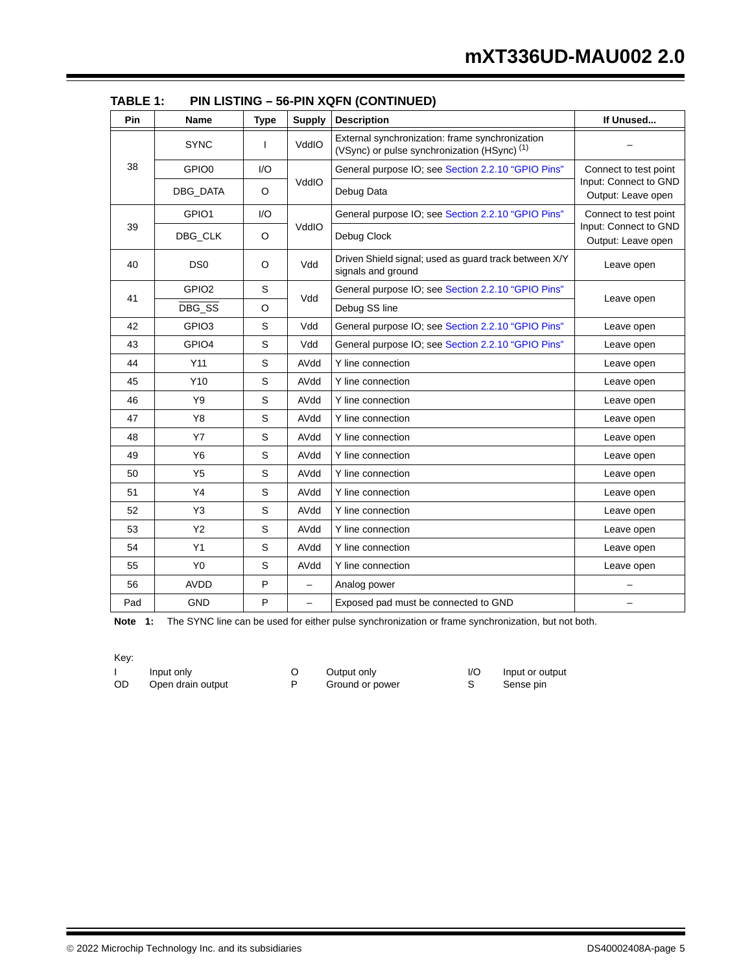| Pin | Name              | <b>Type</b> | <b>Supply</b> | <b>Description</b>                                                                                         | If Unused                                   |  |
|-----|-------------------|-------------|---------------|------------------------------------------------------------------------------------------------------------|---------------------------------------------|--|
|     | <b>SYNC</b>       | T           | VddIO         | External synchronization: frame synchronization<br>(VSync) or pulse synchronization (HSync) <sup>(1)</sup> |                                             |  |
| 38  | GPIO <sub>0</sub> | I/O         |               | General purpose IO; see Section 2.2.10 "GPIO Pins"                                                         | Connect to test point                       |  |
|     | DBG_DATA          | O           | VddIO         | Debug Data                                                                                                 | Input: Connect to GND<br>Output: Leave open |  |
|     | GPIO1             | I/O         |               | General purpose IO; see Section 2.2.10 "GPIO Pins"                                                         | Connect to test point                       |  |
| 39  | DBG_CLK           | O           | VddIO         | Debug Clock                                                                                                | Input: Connect to GND<br>Output: Leave open |  |
| 40  | DS <sub>0</sub>   | O           | Vdd           | Driven Shield signal; used as guard track between X/Y<br>signals and ground                                | Leave open                                  |  |
| 41  | GPIO <sub>2</sub> | S           | Vdd           | General purpose IO; see Section 2.2.10 "GPIO Pins"                                                         |                                             |  |
|     | DBG_SS            | $\circ$     |               | Debug SS line                                                                                              | Leave open                                  |  |
| 42  | GPIO <sub>3</sub> | S           | Vdd           | General purpose IO; see Section 2.2.10 "GPIO Pins"                                                         | Leave open                                  |  |
| 43  | GPIO4             | S           | Vdd           | General purpose IO; see Section 2.2.10 "GPIO Pins"                                                         | Leave open                                  |  |
| 44  | Y11               | S           | AVdd          | Y line connection                                                                                          | Leave open                                  |  |
| 45  | Y10               | S           | AVdd          | Y line connection                                                                                          | Leave open                                  |  |
| 46  | Y9                | S           | AVdd          | Y line connection                                                                                          | Leave open                                  |  |
| 47  | Y8                | S           | AVdd          | Y line connection                                                                                          | Leave open                                  |  |
| 48  | <b>Y7</b>         | S           | AVdd          | Y line connection                                                                                          | Leave open                                  |  |
| 49  | Y6                | S           | AVdd          | Y line connection                                                                                          | Leave open                                  |  |
| 50  | Y5                | S           | AVdd          | Y line connection                                                                                          | Leave open                                  |  |
| 51  | Y4                | S           | AVdd          | Y line connection                                                                                          | Leave open                                  |  |
| 52  | Y3                | S           | AVdd          | Y line connection                                                                                          | Leave open                                  |  |
| 53  | <b>Y2</b>         | S           | AVdd          | Y line connection                                                                                          | Leave open                                  |  |
| 54  | Y1                | S           | AVdd          | Y line connection                                                                                          | Leave open                                  |  |
| 55  | Y <sub>0</sub>    | S           | AVdd          | Y line connection                                                                                          | Leave open                                  |  |
| 56  | <b>AVDD</b>       | Ρ           | $\equiv$      | Analog power                                                                                               |                                             |  |
| Pad | GND               | P           |               | Exposed pad must be connected to GND                                                                       |                                             |  |

| TABLE 1: | <b>PIN LISTING - 56-PIN XQFN (CONTINUED)</b> |  |
|----------|----------------------------------------------|--|
|          |                                              |  |

Note 1: The SYNC line can be used for either pulse synchronization or frame synchronization, but not both.

Key:

I Input only C Output only I/O Input or output<br>
OD Open drain output P Ground or power S Sense pin Open drain output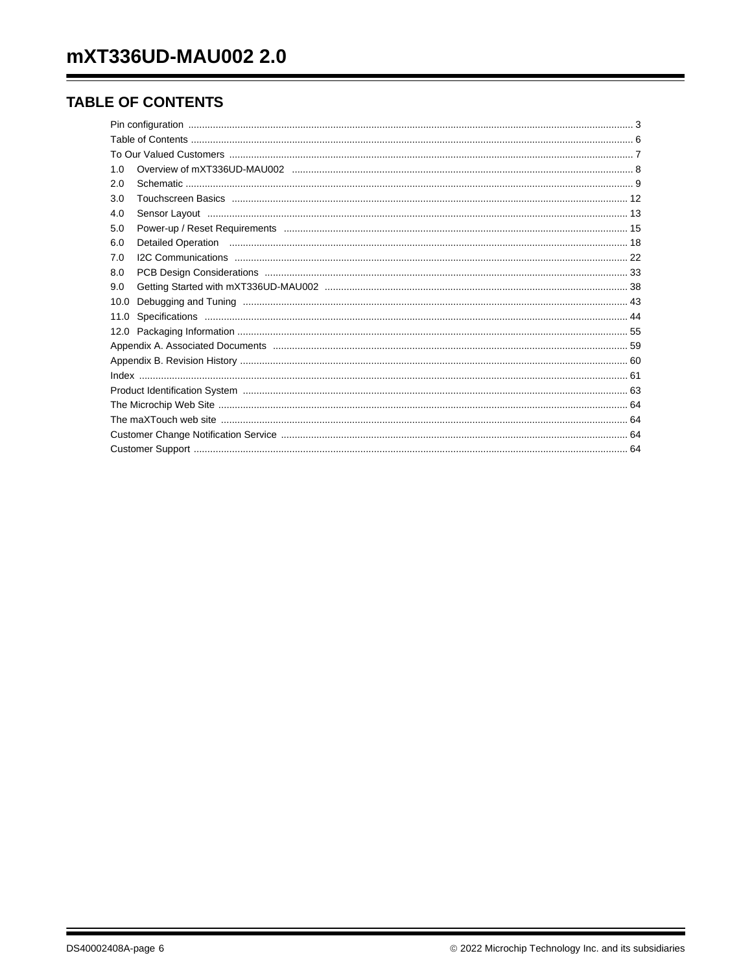## **TABLE OF CONTENTS**

| 1.0  |                                                                                                                                                                                                                                |  |  |  |  |  |  |
|------|--------------------------------------------------------------------------------------------------------------------------------------------------------------------------------------------------------------------------------|--|--|--|--|--|--|
| 2.0  |                                                                                                                                                                                                                                |  |  |  |  |  |  |
| 3.0  |                                                                                                                                                                                                                                |  |  |  |  |  |  |
| 4.0  |                                                                                                                                                                                                                                |  |  |  |  |  |  |
| 5.0  |                                                                                                                                                                                                                                |  |  |  |  |  |  |
| 6.0  | Detailed Operation manufactured and the contract of the contract of the contract of the contract of the contract of the contract of the contract of the contract of the contract of the contract of the contract of the contra |  |  |  |  |  |  |
| 7.0  |                                                                                                                                                                                                                                |  |  |  |  |  |  |
| 8.0  |                                                                                                                                                                                                                                |  |  |  |  |  |  |
| 9.0  |                                                                                                                                                                                                                                |  |  |  |  |  |  |
| 10.0 |                                                                                                                                                                                                                                |  |  |  |  |  |  |
| 11.0 |                                                                                                                                                                                                                                |  |  |  |  |  |  |
|      |                                                                                                                                                                                                                                |  |  |  |  |  |  |
|      |                                                                                                                                                                                                                                |  |  |  |  |  |  |
|      |                                                                                                                                                                                                                                |  |  |  |  |  |  |
|      |                                                                                                                                                                                                                                |  |  |  |  |  |  |
|      |                                                                                                                                                                                                                                |  |  |  |  |  |  |
|      |                                                                                                                                                                                                                                |  |  |  |  |  |  |
|      |                                                                                                                                                                                                                                |  |  |  |  |  |  |
|      |                                                                                                                                                                                                                                |  |  |  |  |  |  |
|      |                                                                                                                                                                                                                                |  |  |  |  |  |  |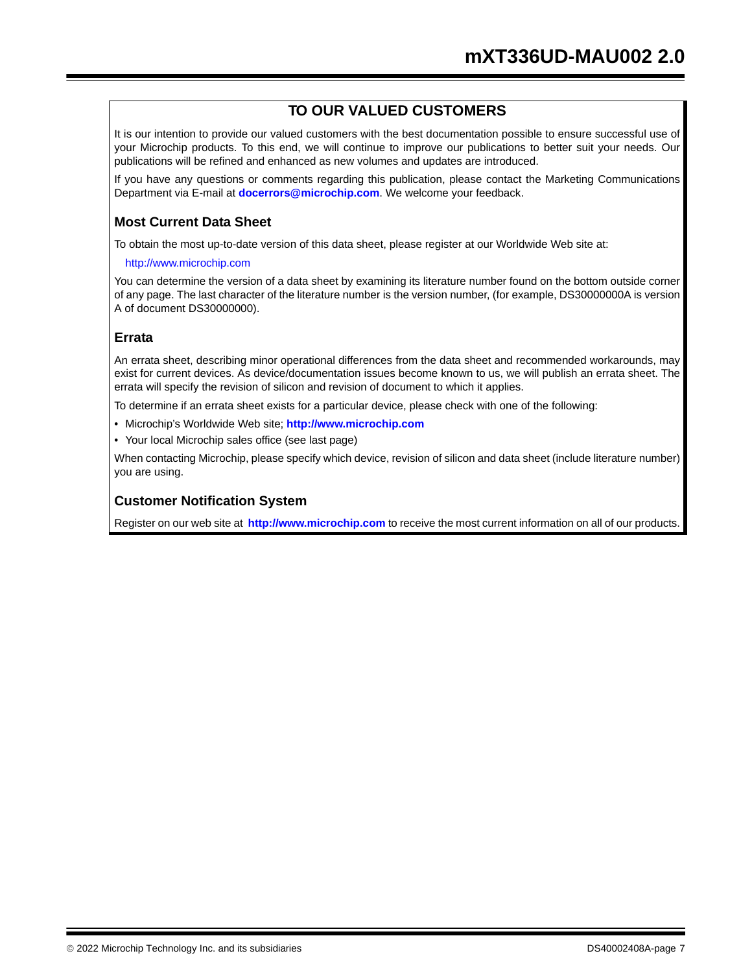## **TO OUR VALUED CUSTOMERS**

It is our intention to provide our valued customers with the best documentation possible to ensure successful use of your Microchip products. To this end, we will continue to improve our publications to better suit your needs. Our publications will be refined and enhanced as new volumes and updates are introduced.

If you have any questions or comments regarding this publication, please contact the Marketing Communications Department via E-mail at **docerrors@microchip.com**. We welcome your feedback.

## **Most Current Data Sheet**

To obtain the most up-to-date version of this data sheet, please register at our Worldwide Web site at:

#### http://www.microchip.com

You can determine the version of a data sheet by examining its literature number found on the bottom outside corner of any page. The last character of the literature number is the version number, (for example, DS30000000A is version A of document DS30000000).

## **Errata**

An errata sheet, describing minor operational differences from the data sheet and recommended workarounds, may exist for current devices. As device/documentation issues become known to us, we will publish an errata sheet. The errata will specify the revision of silicon and revision of document to which it applies.

To determine if an errata sheet exists for a particular device, please check with one of the following:

- Microchip's Worldwide Web site; **http://www.microchip.com**
- Your local Microchip sales office (see last page)

When contacting Microchip, please specify which device, revision of silicon and data sheet (include literature number) you are using.

## **Customer Notification System**

Register on our web site at **http://www.microchip.com** to receive the most current information on all of our products.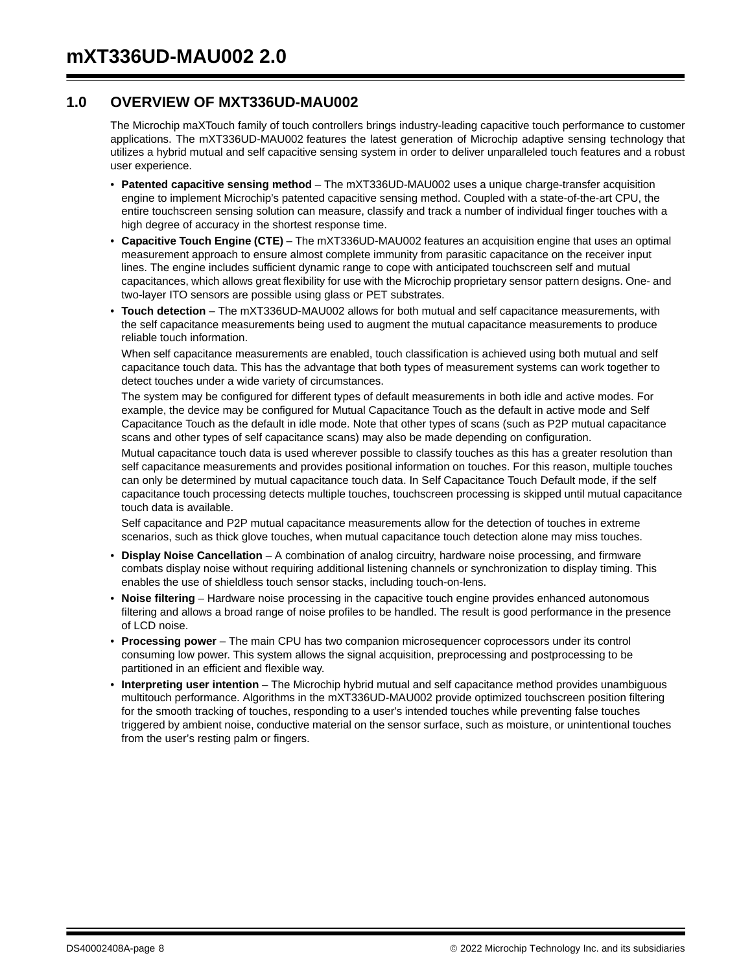## **1.0 OVERVIEW OF MXT336UD-MAU002**

The Microchip maXTouch family of touch controllers brings industry-leading capacitive touch performance to customer applications. The mXT336UD-MAU002 features the latest generation of Microchip adaptive sensing technology that utilizes a hybrid mutual and self capacitive sensing system in order to deliver unparalleled touch features and a robust user experience.

- **Patented capacitive sensing method** The mXT336UD-MAU002 uses a unique charge-transfer acquisition engine to implement Microchip's patented capacitive sensing method. Coupled with a state-of-the-art CPU, the entire touchscreen sensing solution can measure, classify and track a number of individual finger touches with a high degree of accuracy in the shortest response time.
- **Capacitive Touch Engine (CTE)** The mXT336UD-MAU002 features an acquisition engine that uses an optimal measurement approach to ensure almost complete immunity from parasitic capacitance on the receiver input lines. The engine includes sufficient dynamic range to cope with anticipated touchscreen self and mutual capacitances, which allows great flexibility for use with the Microchip proprietary sensor pattern designs. One- and two-layer ITO sensors are possible using glass or PET substrates.
- **Touch detection** The mXT336UD-MAU002 allows for both mutual and self capacitance measurements, with the self capacitance measurements being used to augment the mutual capacitance measurements to produce reliable touch information.

When self capacitance measurements are enabled, touch classification is achieved using both mutual and self capacitance touch data. This has the advantage that both types of measurement systems can work together to detect touches under a wide variety of circumstances.

The system may be configured for different types of default measurements in both idle and active modes. For example, the device may be configured for Mutual Capacitance Touch as the default in active mode and Self Capacitance Touch as the default in idle mode. Note that other types of scans (such as P2P mutual capacitance scans and other types of self capacitance scans) may also be made depending on configuration.

Mutual capacitance touch data is used wherever possible to classify touches as this has a greater resolution than self capacitance measurements and provides positional information on touches. For this reason, multiple touches can only be determined by mutual capacitance touch data. In Self Capacitance Touch Default mode, if the self capacitance touch processing detects multiple touches, touchscreen processing is skipped until mutual capacitance touch data is available.

Self capacitance and P2P mutual capacitance measurements allow for the detection of touches in extreme scenarios, such as thick glove touches, when mutual capacitance touch detection alone may miss touches.

- **Display Noise Cancellation**  A combination of analog circuitry, hardware noise processing, and firmware combats display noise without requiring additional listening channels or synchronization to display timing. This enables the use of shieldless touch sensor stacks, including touch-on-lens.
- **Noise filtering**  Hardware noise processing in the capacitive touch engine provides enhanced autonomous filtering and allows a broad range of noise profiles to be handled. The result is good performance in the presence of LCD noise.
- **Processing power** The main CPU has two companion microsequencer coprocessors under its control consuming low power. This system allows the signal acquisition, preprocessing and postprocessing to be partitioned in an efficient and flexible way.
- **Interpreting user intention** The Microchip hybrid mutual and self capacitance method provides unambiguous multitouch performance. Algorithms in the mXT336UD-MAU002 provide optimized touchscreen position filtering for the smooth tracking of touches, responding to a user's intended touches while preventing false touches triggered by ambient noise, conductive material on the sensor surface, such as moisture, or unintentional touches from the user's resting palm or fingers.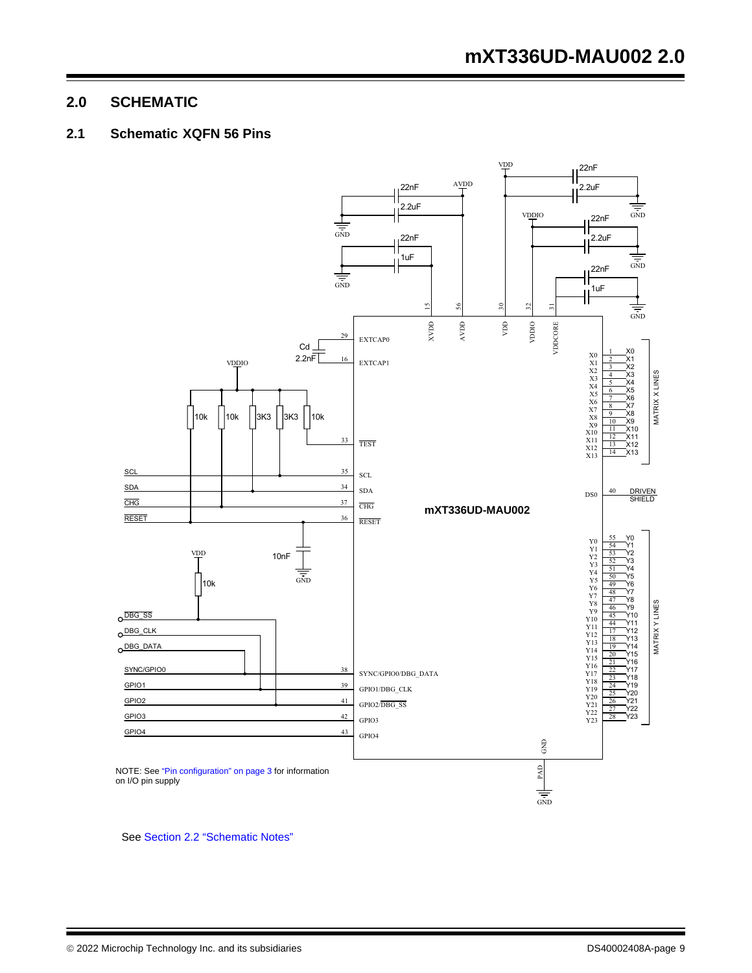## **2.0 SCHEMATIC**

## **2.1 Schematic XQFN 56 Pins**



See Section 2.2 "Schematic Notes"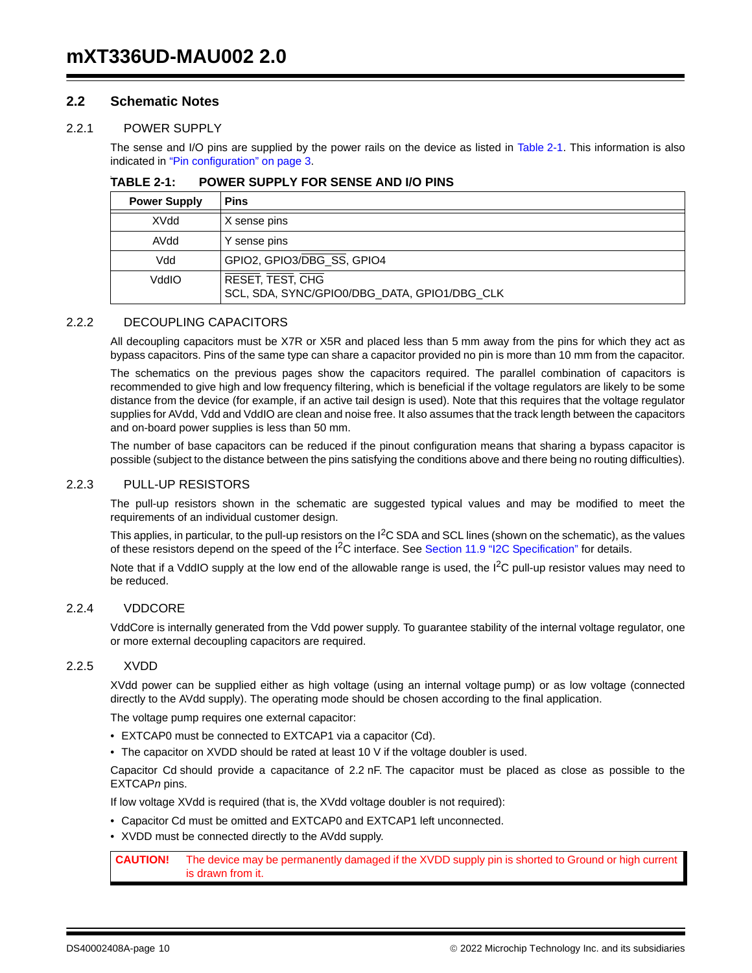#### **2.2 Schematic Notes**

#### 2.2.1 POWER SUPPLY

The sense and I/O pins are supplied by the power rails on the device as listed in Table 2-1. This information is also indicated in "Pin configuration" on page 3.

| <b>Power Supply</b> | <b>Pins</b>                                                      |
|---------------------|------------------------------------------------------------------|
| XVdd                | X sense pins                                                     |
| AVdd                | Y sense pins                                                     |
| Vdd                 | GPIO2, GPIO3/DBG_SS, GPIO4                                       |
| VddIO               | RESET, TEST, CHG<br>SCL, SDA, SYNC/GPIO0/DBG_DATA, GPIO1/DBG_CLK |

#### TABLE 2-1: **POWER SUPPLY FOR SENSE AND I/O PINS**

#### 2.2.2 DECOUPLING CAPACITORS

All decoupling capacitors must be X7R or X5R and placed less than 5 mm away from the pins for which they act as bypass capacitors. Pins of the same type can share a capacitor provided no pin is more than 10 mm from the capacitor.

The schematics on the previous pages show the capacitors required. The parallel combination of capacitors is recommended to give high and low frequency filtering, which is beneficial if the voltage regulators are likely to be some distance from the device (for example, if an active tail design is used). Note that this requires that the voltage regulator supplies for AVdd, Vdd and VddIO are clean and noise free. It also assumes that the track length between the capacitors and on-board power supplies is less than 50 mm.

The number of base capacitors can be reduced if the pinout configuration means that sharing a bypass capacitor is possible (subject to the distance between the pins satisfying the conditions above and there being no routing difficulties).

#### 2.2.3 PULL-UP RESISTORS

The pull-up resistors shown in the schematic are suggested typical values and may be modified to meet the requirements of an individual customer design.

This applies, in particular, to the pull-up resistors on the  $I<sup>2</sup>C SDA$  and SCL lines (shown on the schematic), as the values of these resistors depend on the speed of the  $12C$  interface. See Section 11.9 "I2C Specification" for details.

Note that if a VddIO supply at the low end of the allowable range is used, the  $I<sup>2</sup>C$  pull-up resistor values may need to be reduced.

#### 2.2.4 VDDCORE

VddCore is internally generated from the Vdd power supply. To guarantee stability of the internal voltage regulator, one or more external decoupling capacitors are required.

#### 2.2.5 XVDD

XVdd power can be supplied either as high voltage (using an internal voltage pump) or as low voltage (connected directly to the AVdd supply). The operating mode should be chosen according to the final application.

The voltage pump requires one external capacitor:

- EXTCAP0 must be connected to EXTCAP1 via a capacitor (Cd).
- The capacitor on XVDD should be rated at least 10 V if the voltage doubler is used.

Capacitor Cd should provide a capacitance of 2.2 nF. The capacitor must be placed as close as possible to the EXTCAP*n* pins.

If low voltage XVdd is required (that is, the XVdd voltage doubler is not required):

- Capacitor Cd must be omitted and EXTCAP0 and EXTCAP1 left unconnected.
- XVDD must be connected directly to the AVdd supply.

**CAUTION!** The device may be permanently damaged if the XVDD supply pin is shorted to Ground or high current is drawn from it.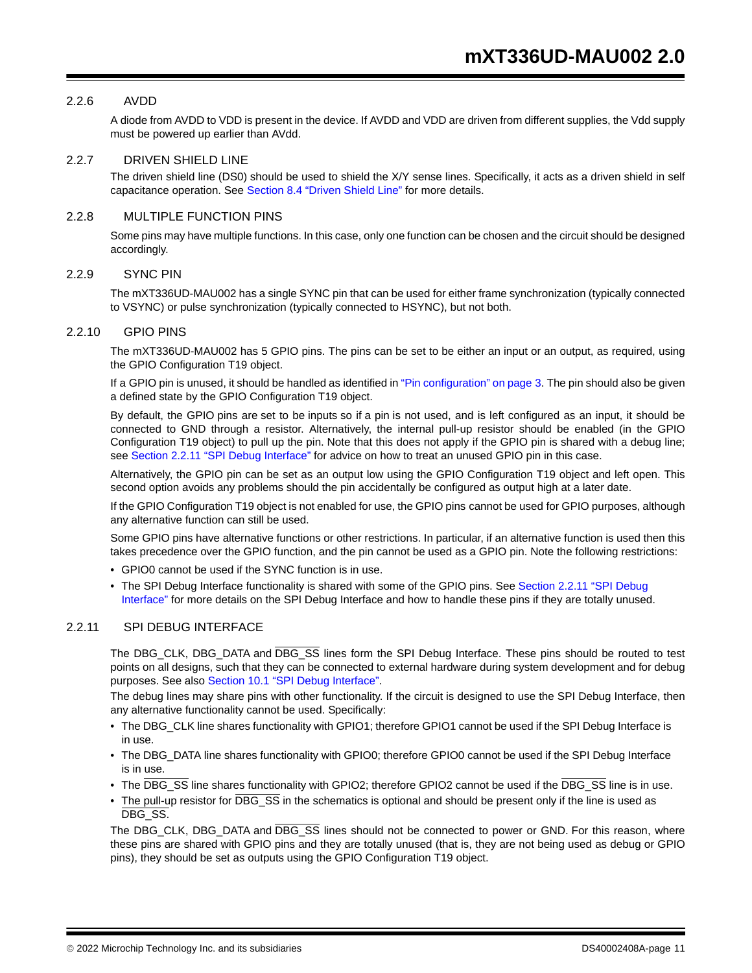#### 2.2.6 AVDD

A diode from AVDD to VDD is present in the device. If AVDD and VDD are driven from different supplies, the Vdd supply must be powered up earlier than AVdd.

#### 2.2.7 DRIVEN SHIELD LINE

The driven shield line (DS0) should be used to shield the X/Y sense lines. Specifically, it acts as a driven shield in self capacitance operation. See Section 8.4 "Driven Shield Line" for more details.

#### 2.2.8 MULTIPLE FUNCTION PINS

Some pins may have multiple functions. In this case, only one function can be chosen and the circuit should be designed accordingly.

#### 2.2.9 SYNC PIN

The mXT336UD-MAU002 has a single SYNC pin that can be used for either frame synchronization (typically connected to VSYNC) or pulse synchronization (typically connected to HSYNC), but not both.

#### 2.2.10 GPIO PINS

The mXT336UD-MAU002 has 5 GPIO pins. The pins can be set to be either an input or an output, as required, using the GPIO Configuration T19 object.

If a GPIO pin is unused, it should be handled as identified in "Pin configuration" on page 3. The pin should also be given a defined state by the GPIO Configuration T19 object.

By default, the GPIO pins are set to be inputs so if a pin is not used, and is left configured as an input, it should be connected to GND through a resistor. Alternatively, the internal pull-up resistor should be enabled (in the GPIO Configuration T19 object) to pull up the pin. Note that this does not apply if the GPIO pin is shared with a debug line; see Section 2.2.11 "SPI Debug Interface" for advice on how to treat an unused GPIO pin in this case.

Alternatively, the GPIO pin can be set as an output low using the GPIO Configuration T19 object and left open. This second option avoids any problems should the pin accidentally be configured as output high at a later date.

If the GPIO Configuration T19 object is not enabled for use, the GPIO pins cannot be used for GPIO purposes, although any alternative function can still be used.

Some GPIO pins have alternative functions or other restrictions. In particular, if an alternative function is used then this takes precedence over the GPIO function, and the pin cannot be used as a GPIO pin. Note the following restrictions:

- GPIO0 cannot be used if the SYNC function is in use.
- The SPI Debug Interface functionality is shared with some of the GPIO pins. See Section 2.2.11 "SPI Debug Interface" for more details on the SPI Debug Interface and how to handle these pins if they are totally unused.

#### 2.2.11 SPI DEBUG INTERFACE

The DBG\_CLK, DBG\_DATA and DBG\_SS lines form the SPI Debug Interface. These pins should be routed to test points on all designs, such that they can be connected to external hardware during system development and for debug purposes. See also Section 10.1 "SPI Debug Interface".

The debug lines may share pins with other functionality. If the circuit is designed to use the SPI Debug Interface, then any alternative functionality cannot be used. Specifically:

- The DBG\_CLK line shares functionality with GPIO1; therefore GPIO1 cannot be used if the SPI Debug Interface is in use.
- The DBG\_DATA line shares functionality with GPIO0; therefore GPIO0 cannot be used if the SPI Debug Interface is in use.
- The DBG SS line shares functionality with GPIO2; therefore GPIO2 cannot be used if the DBG SS line is in use.
- The pull-up resistor for DBG\_SS in the schematics is optional and should be present only if the line is used as DBG\_SS.

The DBG\_CLK, DBG\_DATA and DBG\_SS lines should not be connected to power or GND. For this reason, where these pins are shared with GPIO pins and they are totally unused (that is, they are not being used as debug or GPIO pins), they should be set as outputs using the GPIO Configuration T19 object.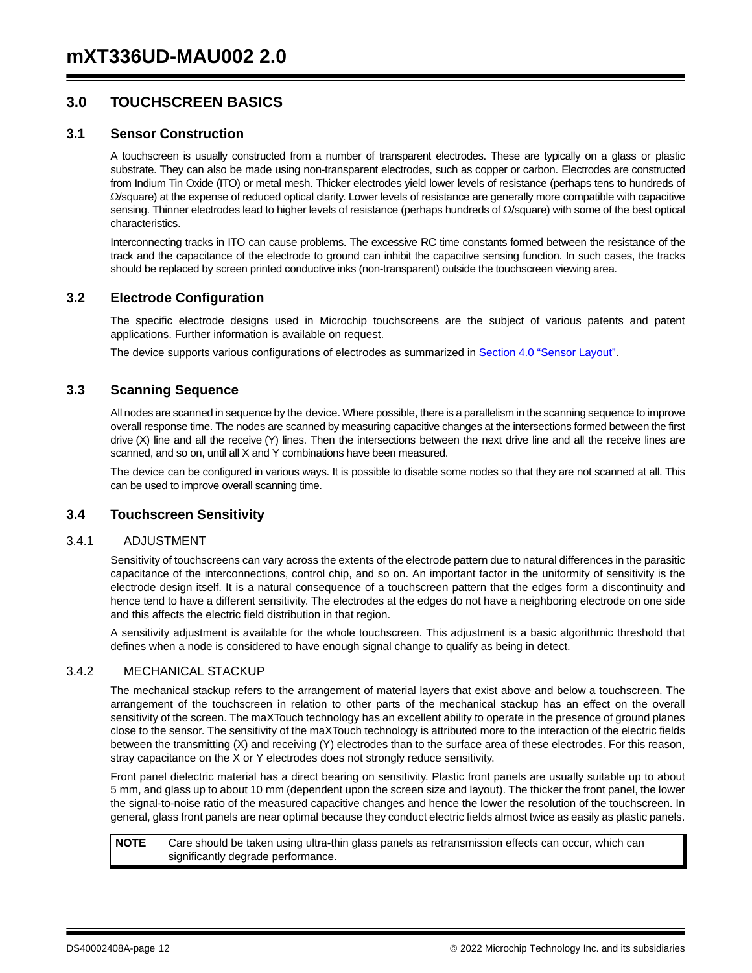## **3.0 TOUCHSCREEN BASICS**

#### **3.1 Sensor Construction**

A touchscreen is usually constructed from a number of transparent electrodes. These are typically on a glass or plastic substrate. They can also be made using non-transparent electrodes, such as copper or carbon. Electrodes are constructed from Indium Tin Oxide (ITO) or metal mesh. Thicker electrodes yield lower levels of resistance (perhaps tens to hundreds of  $\Omega$ /square) at the expense of reduced optical clarity. Lower levels of resistance are generally more compatible with capacitive sensing. Thinner electrodes lead to higher levels of resistance (perhaps hundreds of  $\Omega$ /square) with some of the best optical characteristics.

Interconnecting tracks in ITO can cause problems. The excessive RC time constants formed between the resistance of the track and the capacitance of the electrode to ground can inhibit the capacitive sensing function. In such cases, the tracks should be replaced by screen printed conductive inks (non-transparent) outside the touchscreen viewing area.

#### **3.2 Electrode Configuration**

The specific electrode designs used in Microchip touchscreens are the subject of various patents and patent applications. Further information is available on request.

The device supports various configurations of electrodes as summarized in Section 4.0 "Sensor Layout".

#### **3.3 Scanning Sequence**

All nodes are scanned in sequence by the device. Where possible, there is a parallelism in the scanning sequence to improve overall response time. The nodes are scanned by measuring capacitive changes at the intersections formed between the first drive (X) line and all the receive (Y) lines. Then the intersections between the next drive line and all the receive lines are scanned, and so on, until all X and Y combinations have been measured.

The device can be configured in various ways. It is possible to disable some nodes so that they are not scanned at all. This can be used to improve overall scanning time.

#### **3.4 Touchscreen Sensitivity**

#### 3.4.1 ADJUSTMENT

Sensitivity of touchscreens can vary across the extents of the electrode pattern due to natural differences in the parasitic capacitance of the interconnections, control chip, and so on. An important factor in the uniformity of sensitivity is the electrode design itself. It is a natural consequence of a touchscreen pattern that the edges form a discontinuity and hence tend to have a different sensitivity. The electrodes at the edges do not have a neighboring electrode on one side and this affects the electric field distribution in that region.

A sensitivity adjustment is available for the whole touchscreen. This adjustment is a basic algorithmic threshold that defines when a node is considered to have enough signal change to qualify as being in detect.

#### 3.4.2 MECHANICAL STACKUP

The mechanical stackup refers to the arrangement of material layers that exist above and below a touchscreen. The arrangement of the touchscreen in relation to other parts of the mechanical stackup has an effect on the overall sensitivity of the screen. The maXTouch technology has an excellent ability to operate in the presence of ground planes close to the sensor. The sensitivity of the maXTouch technology is attributed more to the interaction of the electric fields between the transmitting (X) and receiving (Y) electrodes than to the surface area of these electrodes. For this reason, stray capacitance on the X or Y electrodes does not strongly reduce sensitivity.

Front panel dielectric material has a direct bearing on sensitivity. Plastic front panels are usually suitable up to about 5 mm, and glass up to about 10 mm (dependent upon the screen size and layout). The thicker the front panel, the lower the signal-to-noise ratio of the measured capacitive changes and hence the lower the resolution of the touchscreen. In general, glass front panels are near optimal because they conduct electric fields almost twice as easily as plastic panels.

**NOTE** Care should be taken using ultra-thin glass panels as retransmission effects can occur, which can significantly degrade performance.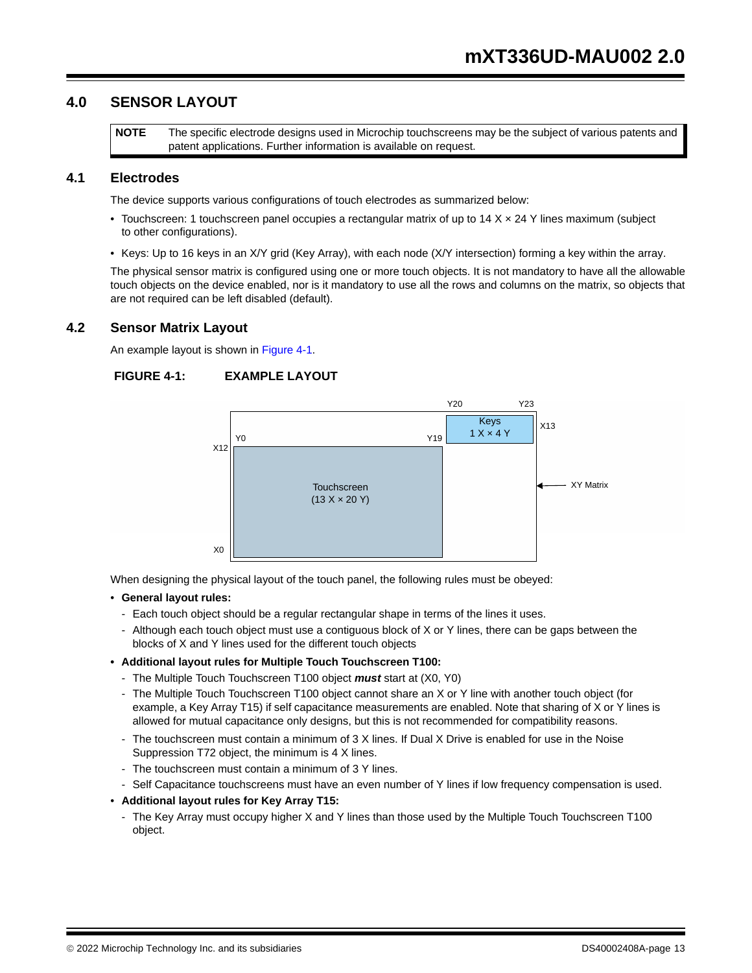## **4.0 SENSOR LAYOUT**

**NOTE** The specific electrode designs used in Microchip touchscreens may be the subject of various patents and patent applications. Further information is available on request.

#### **4.1 Electrodes**

The device supports various configurations of touch electrodes as summarized below:

- Touchscreen: 1 touchscreen panel occupies a rectangular matrix of up to 14 X x 24 Y lines maximum (subject to other configurations).
- Keys: Up to 16 keys in an X/Y grid (Key Array), with each node (X/Y intersection) forming a key within the array.

The physical sensor matrix is configured using one or more touch objects. It is not mandatory to have all the allowable touch objects on the device enabled, nor is it mandatory to use all the rows and columns on the matrix, so objects that are not required can be left disabled (default).

#### **4.2 Sensor Matrix Layout**

An example layout is shown in Figure 4-1.

#### **FIGURE 4-1: EXAMPLE LAYOUT**



When designing the physical layout of the touch panel, the following rules must be obeyed:

- **General layout rules:**
	- Each touch object should be a regular rectangular shape in terms of the lines it uses.
	- Although each touch object must use a contiguous block of X or Y lines, there can be gaps between the blocks of X and Y lines used for the different touch objects
- **Additional layout rules for Multiple Touch Touchscreen T100:** 
	- The Multiple Touch Touchscreen T100 object *must* start at (X0, Y0)
	- The Multiple Touch Touchscreen T100 object cannot share an X or Y line with another touch object (for example, a Key Array T15) if self capacitance measurements are enabled. Note that sharing of X or Y lines is allowed for mutual capacitance only designs, but this is not recommended for compatibility reasons.
	- The touchscreen must contain a minimum of 3 X lines. If Dual X Drive is enabled for use in the Noise Suppression T72 object, the minimum is 4 X lines.
- The touchscreen must contain a minimum of 3 Y lines.
- Self Capacitance touchscreens must have an even number of Y lines if low frequency compensation is used.
- **Additional layout rules for Key Array T15:** 
	- The Key Array must occupy higher X and Y lines than those used by the Multiple Touch Touchscreen T100 object.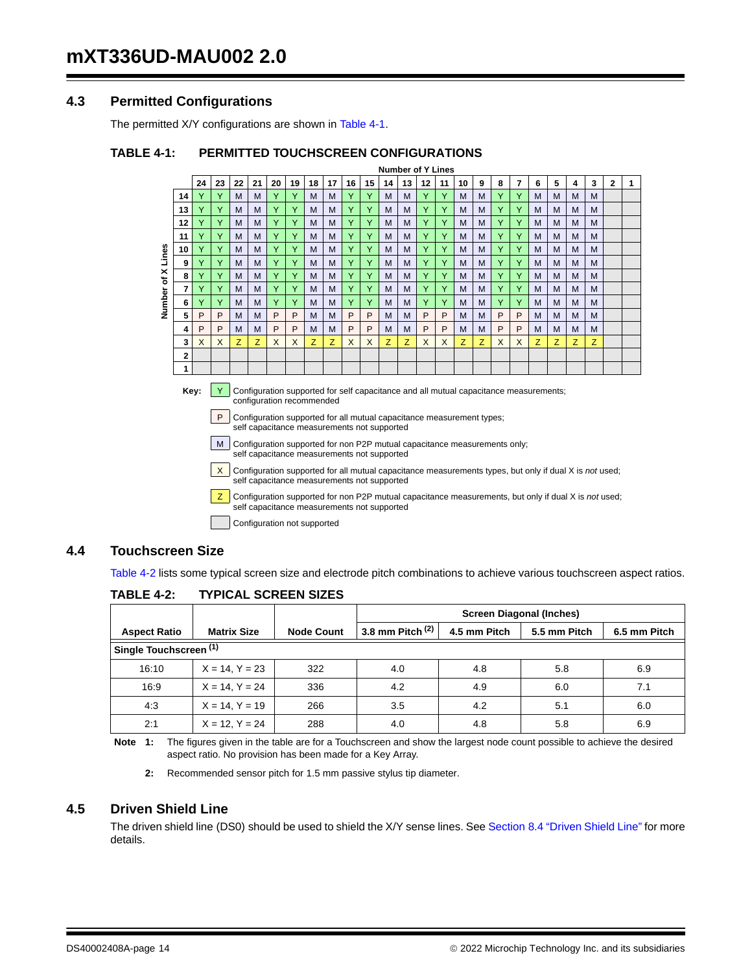## **4.3 Permitted Configurations**

The permitted X/Y configurations are shown in Table 4-1.

#### **TABLE 4-1: PERMITTED TOUCHSCREEN CONFIGURATIONS**

**Number of Y Lines**

| $\mathbf{2}$                    |
|---------------------------------|
|                                 |
|                                 |
|                                 |
|                                 |
|                                 |
|                                 |
|                                 |
|                                 |
|                                 |
|                                 |
|                                 |
|                                 |
|                                 |
|                                 |
|                                 |
| M<br>M<br>M<br>M<br>M<br>M<br>z |

Key: **Y** Configuration supported for self capacitance and all mutual capacitance measurements; configuration recommended

**P** Configuration supported for all mutual capacitance measurement types; self capacitance measurements not supported

 $\mid M \mid$  Configuration supported for non P2P mutual capacitance measurements only; self capacitance measurements not supported

X Configuration supported for all mutual capacitance measurements types, but only if dual X is *not* used; self capacitance measurements not supported

**Z** Configuration supported for non P2P mutual capacitance measurements, but only if dual X is *not* used; self capacitance measurements not supported

Configuration not supported

#### **4.4 Touchscreen Size**

Table 4-2 lists some typical screen size and electrode pitch combinations to achieve various touchscreen aspect ratios.

|                     |                        |                   | <b>Screen Diagonal (Inches)</b> |              |              |              |  |
|---------------------|------------------------|-------------------|---------------------------------|--------------|--------------|--------------|--|
| <b>Aspect Ratio</b> | <b>Matrix Size</b>     | <b>Node Count</b> | 3.8 mm Pitch $(2)$              | 4.5 mm Pitch | 5.5 mm Pitch | 6.5 mm Pitch |  |
|                     | Single Touchscreen (1) |                   |                                 |              |              |              |  |
| 16:10               | $X = 14, Y = 23$       | 322               | 4.0                             | 4.8          | 5.8          | 6.9          |  |
| 16:9                | $X = 14, Y = 24$       | 336               | 4.2                             | 4.9          | 6.0          | 7.1          |  |
| 4:3                 | $X = 14, Y = 19$       | 266               | 3.5                             | 4.2          | 5.1          | 6.0          |  |
| 2:1                 | $X = 12, Y = 24$       | 288               | 4.0                             | 4.8          | 5.8          | 6.9          |  |

#### **TABLE 4-2: TYPICAL SCREEN SIZES**

**Note 1:** The figures given in the table are for a Touchscreen and show the largest node count possible to achieve the desired aspect ratio. No provision has been made for a Key Array.

**2:** Recommended sensor pitch for 1.5 mm passive stylus tip diameter.

#### **4.5 Driven Shield Line**

The driven shield line (DS0) should be used to shield the X/Y sense lines. See Section 8.4 "Driven Shield Line" for more details.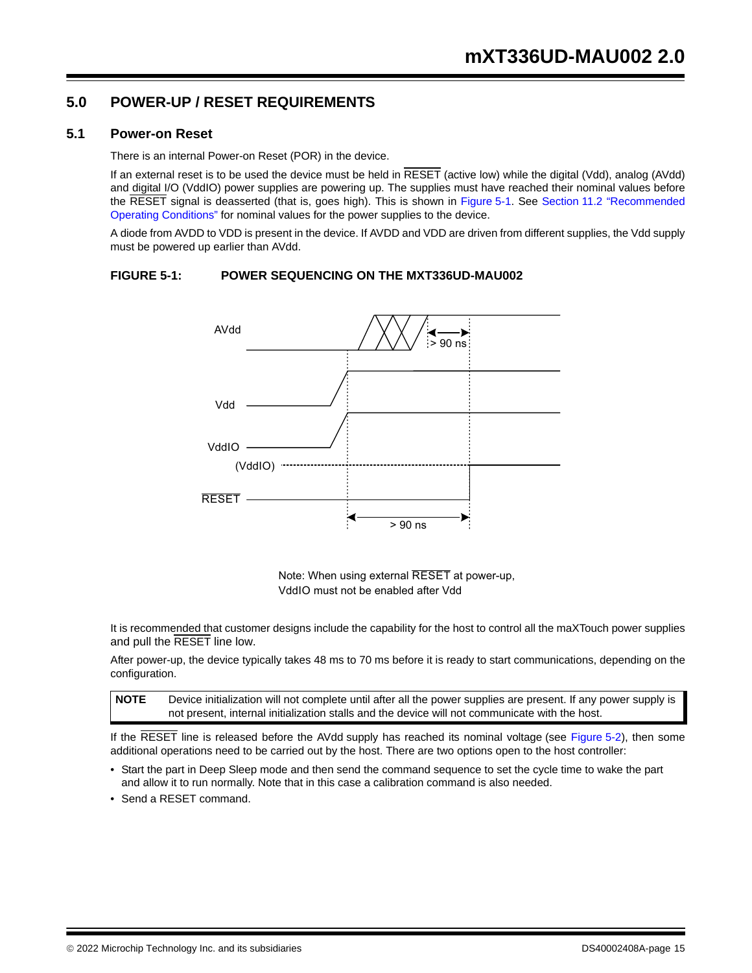## **5.0 POWER-UP / RESET REQUIREMENTS**

#### **5.1 Power-on Reset**

There is an internal Power-on Reset (POR) in the device.

If an external reset is to be used the device must be held in RESET (active low) while the digital (Vdd), analog (AVdd) and digital I/O (VddIO) power supplies are powering up. The supplies must have reached their nominal values before the RESET signal is deasserted (that is, goes high). This is shown in Figure 5-1. See Section 11.2 "Recommended Operating Conditions" for nominal values for the power supplies to the device.

A diode from AVDD to VDD is present in the device. If AVDD and VDD are driven from different supplies, the Vdd supply must be powered up earlier than AVdd.

#### **FIGURE 5-1: POWER SEQUENCING ON THE MXT336UD-MAU002**



Note: When using external RESET at power-up, VddIO must not be enabled after Vdd

It is recommended that customer designs include the capability for the host to control all the maXTouch power supplies and pull the RESET line low.

After power-up, the device typically takes 48 ms to 70 ms before it is ready to start communications, depending on the configuration.

**NOTE** Device initialization will not complete until after all the power supplies are present. If any power supply is not present, internal initialization stalls and the device will not communicate with the host.

If the RESET line is released before the AVdd supply has reached its nominal voltage (see Figure 5-2), then some additional operations need to be carried out by the host. There are two options open to the host controller:

- Start the part in Deep Sleep mode and then send the command sequence to set the cycle time to wake the part and allow it to run normally. Note that in this case a calibration command is also needed.
- Send a RESET command.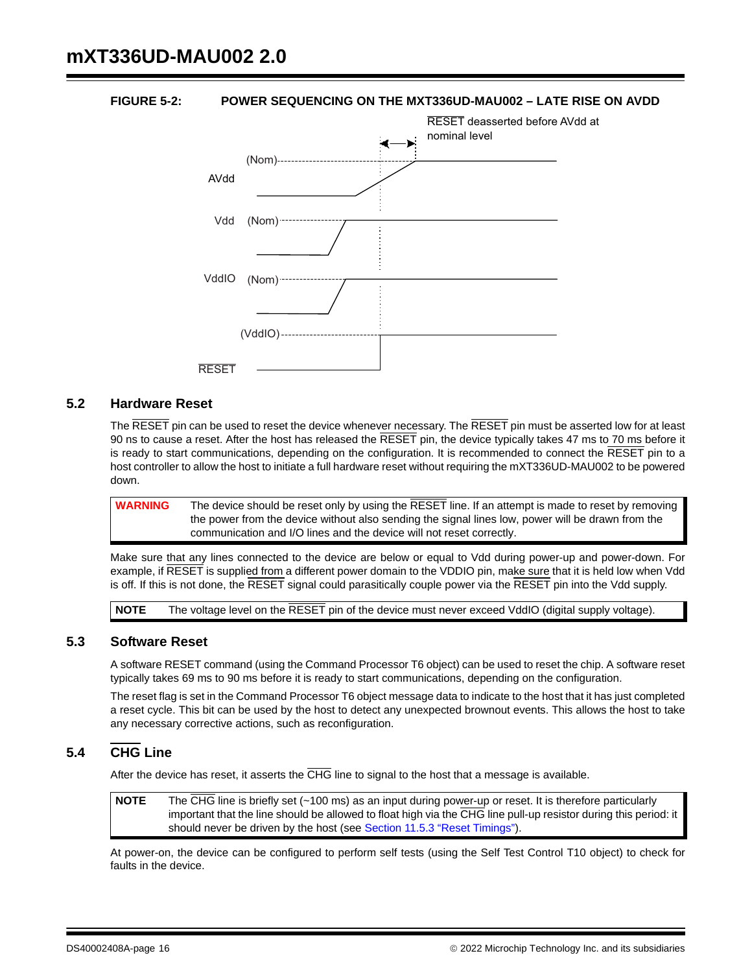#### **FIGURE 5-2: POWER SEQUENCING ON THE MXT336UD-MAU002 – LATE RISE ON AVDD**



#### **5.2 Hardware Reset**

The RESET pin can be used to reset the device whenever necessary. The RESET pin must be asserted low for at least 90 ns to cause a reset. After the host has released the  $\overline{\text{RESET}}$  pin, the device typically takes 47 ms to 70 ms before it is ready to start communications, depending on the configuration. It is recommended to connect the RESET pin to a host controller to allow the host to initiate a full hardware reset without requiring the mXT336UD-MAU002 to be powered down.

**WARNING** The device should be reset only by using the RESET line. If an attempt is made to reset by removing the power from the device without also sending the signal lines low, power will be drawn from the communication and I/O lines and the device will not reset correctly.

Make sure that any lines connected to the device are below or equal to Vdd during power-up and power-down. For example, if RESET is supplied from a different power domain to the VDDIO pin, make sure that it is held low when Vdd is off. If this is not done, the  $\overline{\text{RESET}}$  signal could parasitically couple power via the  $\overline{\text{RESET}}$  pin into the Vdd supply.

**NOTE** The voltage level on the RESET pin of the device must never exceed VddIO (digital supply voltage).

#### **5.3 Software Reset**

A software RESET command (using the Command Processor T6 object) can be used to reset the chip. A software reset typically takes 69 ms to 90 ms before it is ready to start communications, depending on the configuration.

The reset flag is set in the Command Processor T6 object message data to indicate to the host that it has just completed a reset cycle. This bit can be used by the host to detect any unexpected brownout events. This allows the host to take any necessary corrective actions, such as reconfiguration.

## **5.4 CHG Line**

After the device has reset, it asserts the CHG line to signal to the host that a message is available.

**NOTE** The CHG line is briefly set (~100 ms) as an input during power-up or reset. It is therefore particularly important that the line should be allowed to float high via the CHG line pull-up resistor during this period: it should never be driven by the host (see Section 11.5.3 "Reset Timings").

At power-on, the device can be configured to perform self tests (using the Self Test Control T10 object) to check for faults in the device.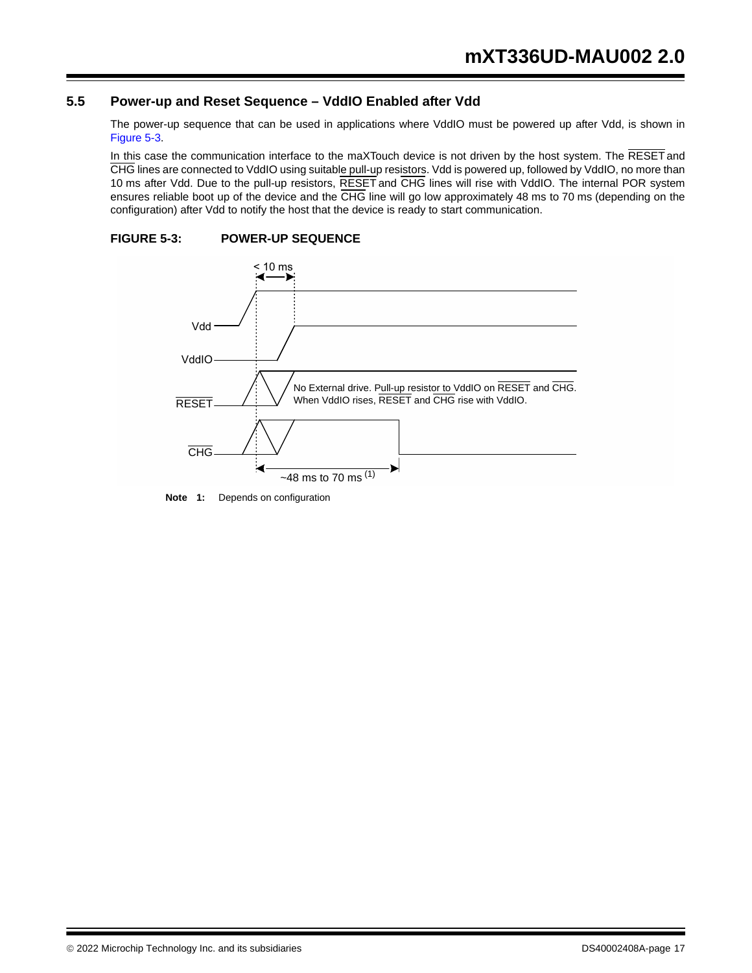## **5.5 Power-up and Reset Sequence – VddIO Enabled after Vdd**

The power-up sequence that can be used in applications where VddIO must be powered up after Vdd, is shown in Figure 5-3.

In this case the communication interface to the maXTouch device is not driven by the host system. The RESET and CHG lines are connected to VddIO using suitable pull-up resistors. Vdd is powered up, followed by VddIO, no more than 10 ms after Vdd. Due to the pull-up resistors, RESET and CHG lines will rise with VddIO. The internal POR system ensures reliable boot up of the device and the CHG line will go low approximately 48 ms to 70 ms (depending on the configuration) after Vdd to notify the host that the device is ready to start communication.





**Note 1:** Depends on configuration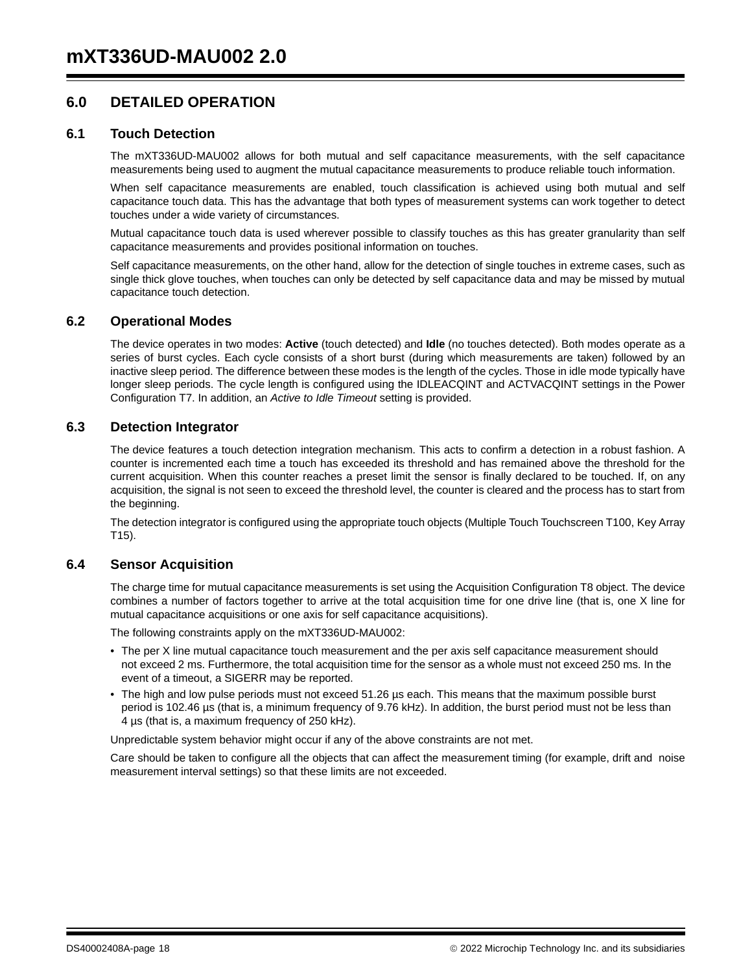## **6.0 DETAILED OPERATION**

#### **6.1 Touch Detection**

The mXT336UD-MAU002 allows for both mutual and self capacitance measurements, with the self capacitance measurements being used to augment the mutual capacitance measurements to produce reliable touch information.

When self capacitance measurements are enabled, touch classification is achieved using both mutual and self capacitance touch data. This has the advantage that both types of measurement systems can work together to detect touches under a wide variety of circumstances.

Mutual capacitance touch data is used wherever possible to classify touches as this has greater granularity than self capacitance measurements and provides positional information on touches.

Self capacitance measurements, on the other hand, allow for the detection of single touches in extreme cases, such as single thick glove touches, when touches can only be detected by self capacitance data and may be missed by mutual capacitance touch detection.

#### **6.2 Operational Modes**

The device operates in two modes: **Active** (touch detected) and **Idle** (no touches detected). Both modes operate as a series of burst cycles. Each cycle consists of a short burst (during which measurements are taken) followed by an inactive sleep period. The difference between these modes is the length of the cycles. Those in idle mode typically have longer sleep periods. The cycle length is configured using the IDLEACQINT and ACTVACQINT settings in the Power Configuration T7. In addition, an *Active to Idle Timeout* setting is provided.

#### **6.3 Detection Integrator**

The device features a touch detection integration mechanism. This acts to confirm a detection in a robust fashion. A counter is incremented each time a touch has exceeded its threshold and has remained above the threshold for the current acquisition. When this counter reaches a preset limit the sensor is finally declared to be touched. If, on any acquisition, the signal is not seen to exceed the threshold level, the counter is cleared and the process has to start from the beginning.

The detection integrator is configured using the appropriate touch objects (Multiple Touch Touchscreen T100, Key Array T15).

#### **6.4 Sensor Acquisition**

The charge time for mutual capacitance measurements is set using the Acquisition Configuration T8 object. The device combines a number of factors together to arrive at the total acquisition time for one drive line (that is, one X line for mutual capacitance acquisitions or one axis for self capacitance acquisitions).

The following constraints apply on the mXT336UD-MAU002:

- The per X line mutual capacitance touch measurement and the per axis self capacitance measurement should not exceed 2 ms. Furthermore, the total acquisition time for the sensor as a whole must not exceed 250 ms. In the event of a timeout, a SIGERR may be reported.
- The high and low pulse periods must not exceed 51.26 µs each. This means that the maximum possible burst period is 102.46 µs (that is, a minimum frequency of 9.76 kHz). In addition, the burst period must not be less than 4 µs (that is, a maximum frequency of 250 kHz).

Unpredictable system behavior might occur if any of the above constraints are not met.

Care should be taken to configure all the objects that can affect the measurement timing (for example, drift and noise measurement interval settings) so that these limits are not exceeded.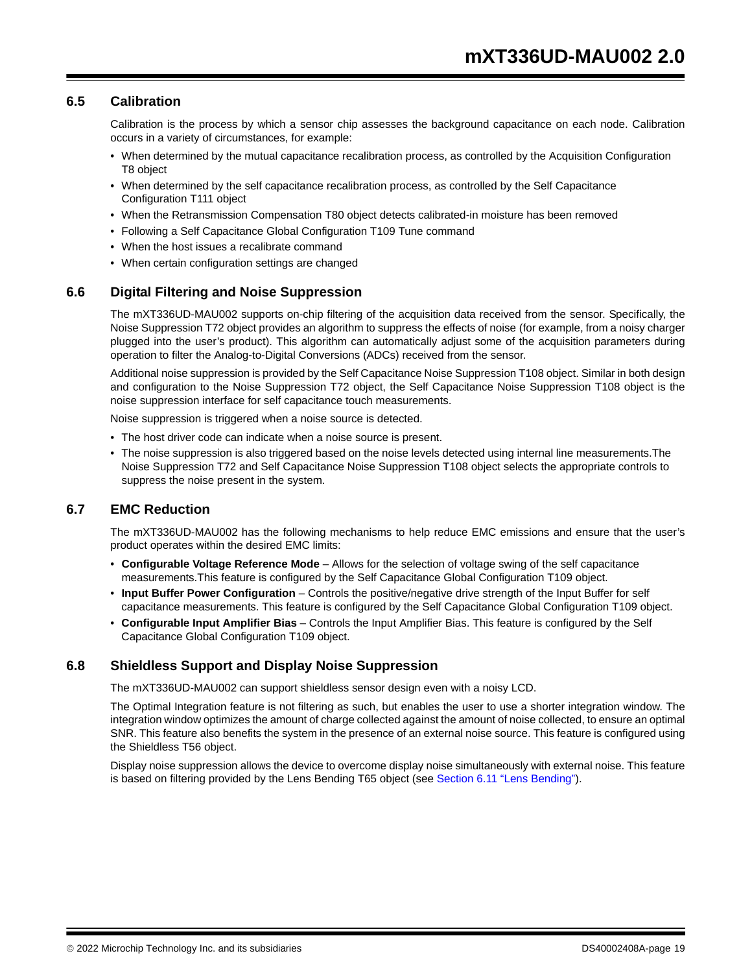#### **6.5 Calibration**

Calibration is the process by which a sensor chip assesses the background capacitance on each node. Calibration occurs in a variety of circumstances, for example:

- When determined by the mutual capacitance recalibration process, as controlled by the Acquisition Configuration T8 object
- When determined by the self capacitance recalibration process, as controlled by the Self Capacitance Configuration T111 object
- When the Retransmission Compensation T80 object detects calibrated-in moisture has been removed
- Following a Self Capacitance Global Configuration T109 Tune command
- When the host issues a recalibrate command
- When certain configuration settings are changed

#### **6.6 Digital Filtering and Noise Suppression**

The mXT336UD-MAU002 supports on-chip filtering of the acquisition data received from the sensor. Specifically, the Noise Suppression T72 object provides an algorithm to suppress the effects of noise (for example, from a noisy charger plugged into the user's product). This algorithm can automatically adjust some of the acquisition parameters during operation to filter the Analog-to-Digital Conversions (ADCs) received from the sensor.

Additional noise suppression is provided by the Self Capacitance Noise Suppression T108 object. Similar in both design and configuration to the Noise Suppression T72 object, the Self Capacitance Noise Suppression T108 object is the noise suppression interface for self capacitance touch measurements.

Noise suppression is triggered when a noise source is detected.

- The host driver code can indicate when a noise source is present.
- The noise suppression is also triggered based on the noise levels detected using internal line measurements.The Noise Suppression T72 and Self Capacitance Noise Suppression T108 object selects the appropriate controls to suppress the noise present in the system.

#### **6.7 EMC Reduction**

The mXT336UD-MAU002 has the following mechanisms to help reduce EMC emissions and ensure that the user's product operates within the desired EMC limits:

- **Configurable Voltage Reference Mode** Allows for the selection of voltage swing of the self capacitance measurements.This feature is configured by the Self Capacitance Global Configuration T109 object.
- **Input Buffer Power Configuration**  Controls the positive/negative drive strength of the Input Buffer for self capacitance measurements. This feature is configured by the Self Capacitance Global Configuration T109 object.
- **Configurable Input Amplifier Bias**  Controls the Input Amplifier Bias. This feature is configured by the Self Capacitance Global Configuration T109 object.

#### **6.8 Shieldless Support and Display Noise Suppression**

The mXT336UD-MAU002 can support shieldless sensor design even with a noisy LCD.

The Optimal Integration feature is not filtering as such, but enables the user to use a shorter integration window. The integration window optimizes the amount of charge collected against the amount of noise collected, to ensure an optimal SNR. This feature also benefits the system in the presence of an external noise source. This feature is configured using the Shieldless T56 object.

Display noise suppression allows the device to overcome display noise simultaneously with external noise. This feature is based on filtering provided by the Lens Bending T65 object (see Section 6.11 "Lens Bending").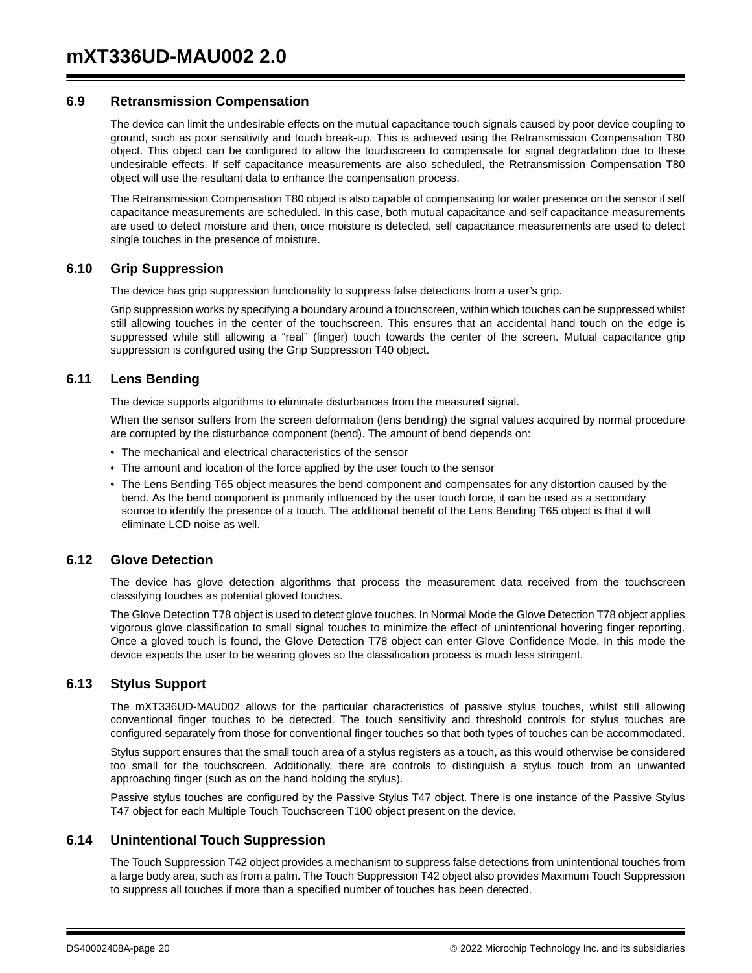#### **6.9 Retransmission Compensation**

The device can limit the undesirable effects on the mutual capacitance touch signals caused by poor device coupling to ground, such as poor sensitivity and touch break-up. This is achieved using the Retransmission Compensation T80 object. This object can be configured to allow the touchscreen to compensate for signal degradation due to these undesirable effects. If self capacitance measurements are also scheduled, the Retransmission Compensation T80 object will use the resultant data to enhance the compensation process.

The Retransmission Compensation T80 object is also capable of compensating for water presence on the sensor if self capacitance measurements are scheduled. In this case, both mutual capacitance and self capacitance measurements are used to detect moisture and then, once moisture is detected, self capacitance measurements are used to detect single touches in the presence of moisture.

#### **6.10 Grip Suppression**

The device has grip suppression functionality to suppress false detections from a user's grip.

Grip suppression works by specifying a boundary around a touchscreen, within which touches can be suppressed whilst still allowing touches in the center of the touchscreen. This ensures that an accidental hand touch on the edge is suppressed while still allowing a "real" (finger) touch towards the center of the screen. Mutual capacitance grip suppression is configured using the Grip Suppression T40 object.

#### **6.11 Lens Bending**

The device supports algorithms to eliminate disturbances from the measured signal.

When the sensor suffers from the screen deformation (lens bending) the signal values acquired by normal procedure are corrupted by the disturbance component (bend). The amount of bend depends on:

- The mechanical and electrical characteristics of the sensor
- The amount and location of the force applied by the user touch to the sensor
- The Lens Bending T65 object measures the bend component and compensates for any distortion caused by the bend. As the bend component is primarily influenced by the user touch force, it can be used as a secondary source to identify the presence of a touch. The additional benefit of the Lens Bending T65 object is that it will eliminate LCD noise as well.

#### **6.12 Glove Detection**

The device has glove detection algorithms that process the measurement data received from the touchscreen classifying touches as potential gloved touches.

The Glove Detection T78 object is used to detect glove touches. In Normal Mode the Glove Detection T78 object applies vigorous glove classification to small signal touches to minimize the effect of unintentional hovering finger reporting. Once a gloved touch is found, the Glove Detection T78 object can enter Glove Confidence Mode. In this mode the device expects the user to be wearing gloves so the classification process is much less stringent.

#### **6.13 Stylus Support**

The mXT336UD-MAU002 allows for the particular characteristics of passive stylus touches, whilst still allowing conventional finger touches to be detected. The touch sensitivity and threshold controls for stylus touches are configured separately from those for conventional finger touches so that both types of touches can be accommodated.

Stylus support ensures that the small touch area of a stylus registers as a touch, as this would otherwise be considered too small for the touchscreen. Additionally, there are controls to distinguish a stylus touch from an unwanted approaching finger (such as on the hand holding the stylus).

Passive stylus touches are configured by the Passive Stylus T47 object. There is one instance of the Passive Stylus T47 object for each Multiple Touch Touchscreen T100 object present on the device.

#### **6.14 Unintentional Touch Suppression**

The Touch Suppression T42 object provides a mechanism to suppress false detections from unintentional touches from a large body area, such as from a palm. The Touch Suppression T42 object also provides Maximum Touch Suppression to suppress all touches if more than a specified number of touches has been detected.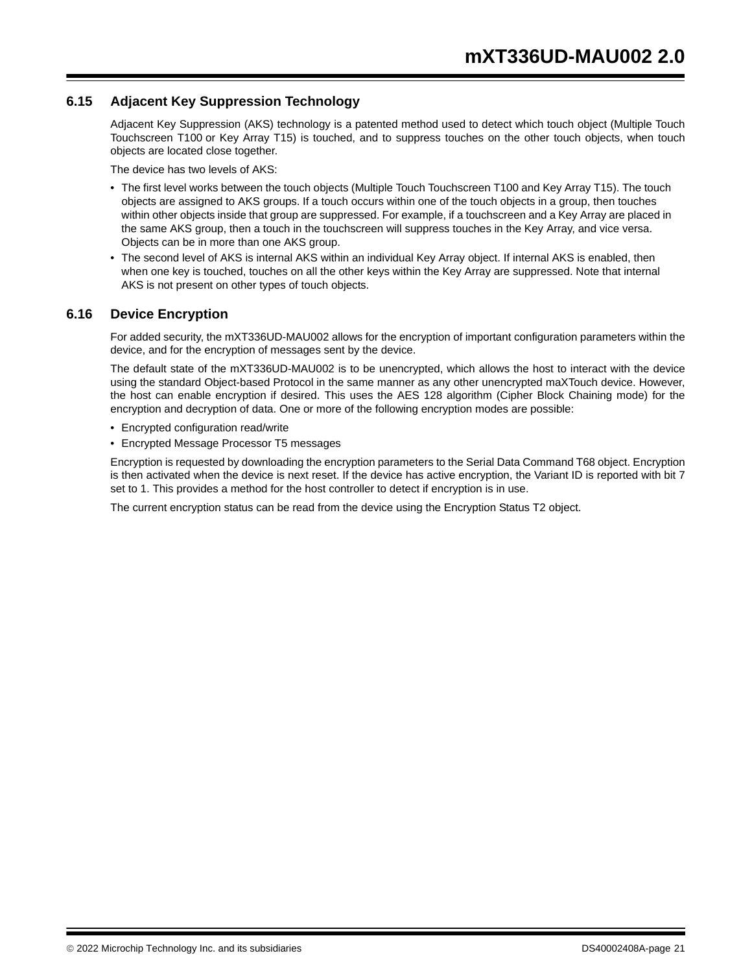### **6.15 Adjacent Key Suppression Technology**

Adjacent Key Suppression (AKS) technology is a patented method used to detect which touch object (Multiple Touch Touchscreen T100 or Key Array T15) is touched, and to suppress touches on the other touch objects, when touch objects are located close together.

The device has two levels of AKS:

- The first level works between the touch objects (Multiple Touch Touchscreen T100 and Key Array T15). The touch objects are assigned to AKS groups. If a touch occurs within one of the touch objects in a group, then touches within other objects inside that group are suppressed. For example, if a touchscreen and a Key Array are placed in the same AKS group, then a touch in the touchscreen will suppress touches in the Key Array, and vice versa. Objects can be in more than one AKS group.
- The second level of AKS is internal AKS within an individual Key Array object. If internal AKS is enabled, then when one key is touched, touches on all the other keys within the Key Array are suppressed. Note that internal AKS is not present on other types of touch objects.

#### **6.16 Device Encryption**

For added security, the mXT336UD-MAU002 allows for the encryption of important configuration parameters within the device, and for the encryption of messages sent by the device.

The default state of the mXT336UD-MAU002 is to be unencrypted, which allows the host to interact with the device using the standard Object-based Protocol in the same manner as any other unencrypted maXTouch device. However, the host can enable encryption if desired. This uses the AES 128 algorithm (Cipher Block Chaining mode) for the encryption and decryption of data. One or more of the following encryption modes are possible:

- Encrypted configuration read/write
- Encrypted Message Processor T5 messages

Encryption is requested by downloading the encryption parameters to the Serial Data Command T68 object. Encryption is then activated when the device is next reset. If the device has active encryption, the Variant ID is reported with bit 7 set to 1. This provides a method for the host controller to detect if encryption is in use.

The current encryption status can be read from the device using the Encryption Status T2 object.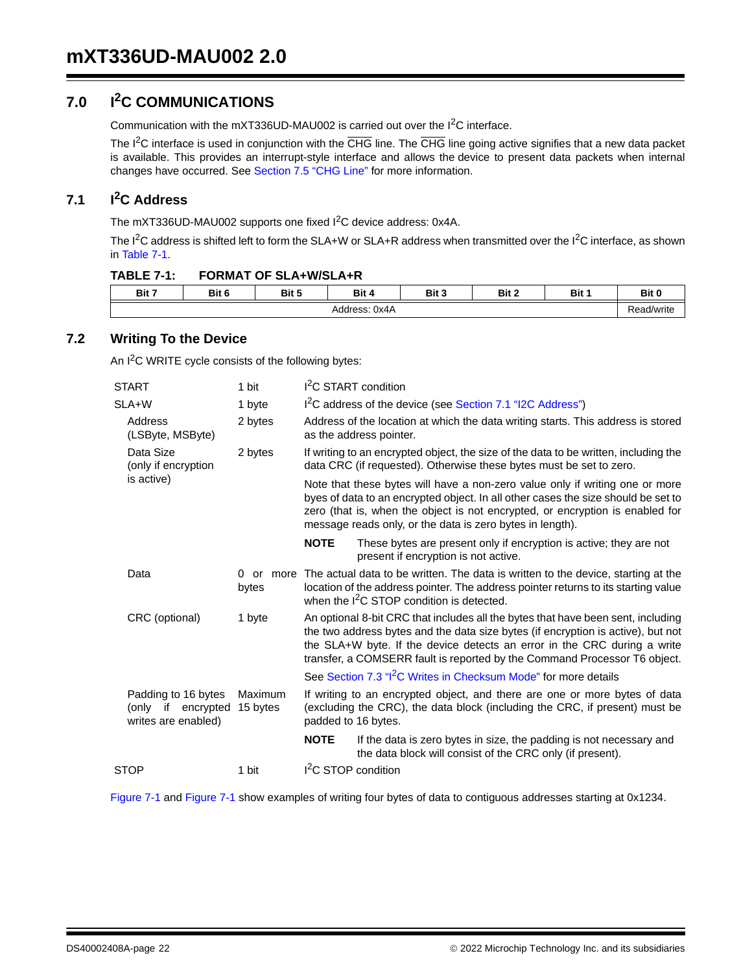## **7.0 I2C COMMUNICATIONS**

Communication with the mXT336UD-MAU002 is carried out over the I2C interface.

The I<sup>2</sup>C interface is used in conjunction with the CHG line. The CHG line going active signifies that a new data packet is available. This provides an interrupt-style interface and allows the device to present data packets when internal changes have occurred. See Section 7.5 "CHG Line" for more information.

## **7.1 I2C Address**

The mXT336UD-MAU002 supports one fixed I<sup>2</sup>C device address: 0x4A.

The I<sup>2</sup>C address is shifted left to form the SLA+W or SLA+R address when transmitted over the I<sup>2</sup>C interface, as shown in Table 7-1.

| <b>FORMAT OF SLA+W/SLA+R</b><br><b>TABLE 7-1:</b> |  |
|---------------------------------------------------|--|
|---------------------------------------------------|--|

| Bit 7         | Bit 6 | Bit 5 | Bit 4<br> | Bit<br>- 1 | Bit 2 | Bit | Bit 0      |
|---------------|-------|-------|-----------|------------|-------|-----|------------|
| Address: 0x4A |       |       |           |            |       |     | Read/write |

### **7.2 Writing To the Device**

An I<sup>2</sup>C WRITE cycle consists of the following bytes:

| <b>START</b> |                                                                  | 1 bit               | I <sup>2</sup> C START condition                                                                                                                                                                                                                                                                                              |                                                                                                                                                                                                                                  |  |  |  |
|--------------|------------------------------------------------------------------|---------------------|-------------------------------------------------------------------------------------------------------------------------------------------------------------------------------------------------------------------------------------------------------------------------------------------------------------------------------|----------------------------------------------------------------------------------------------------------------------------------------------------------------------------------------------------------------------------------|--|--|--|
|              | SLA+W                                                            | 1 byte              |                                                                                                                                                                                                                                                                                                                               | I <sup>2</sup> C address of the device (see Section 7.1 "I2C Address")                                                                                                                                                           |  |  |  |
|              | Address<br>(LSByte, MSByte)                                      | 2 bytes             | Address of the location at which the data writing starts. This address is stored<br>as the address pointer.                                                                                                                                                                                                                   |                                                                                                                                                                                                                                  |  |  |  |
|              | Data Size<br>(only if encryption                                 | 2 bytes             | If writing to an encrypted object, the size of the data to be written, including the<br>data CRC (if requested). Otherwise these bytes must be set to zero.                                                                                                                                                                   |                                                                                                                                                                                                                                  |  |  |  |
|              | is active)                                                       |                     | Note that these bytes will have a non-zero value only if writing one or more<br>byes of data to an encrypted object. In all other cases the size should be set to<br>zero (that is, when the object is not encrypted, or encryption is enabled for<br>message reads only, or the data is zero bytes in length).               |                                                                                                                                                                                                                                  |  |  |  |
|              |                                                                  |                     | <b>NOTE</b>                                                                                                                                                                                                                                                                                                                   | These bytes are present only if encryption is active; they are not<br>present if encryption is not active.                                                                                                                       |  |  |  |
|              | Data                                                             | 0 or more<br>bytes  |                                                                                                                                                                                                                                                                                                                               | The actual data to be written. The data is written to the device, starting at the<br>location of the address pointer. The address pointer returns to its starting value<br>when the I <sup>2</sup> C STOP condition is detected. |  |  |  |
|              | CRC (optional)                                                   | 1 byte              | An optional 8-bit CRC that includes all the bytes that have been sent, including<br>the two address bytes and the data size bytes (if encryption is active), but not<br>the SLA+W byte. If the device detects an error in the CRC during a write<br>transfer, a COMSERR fault is reported by the Command Processor T6 object. |                                                                                                                                                                                                                                  |  |  |  |
|              |                                                                  |                     | See Section 7.3 "I <sup>2</sup> C Writes in Checksum Mode" for more details                                                                                                                                                                                                                                                   |                                                                                                                                                                                                                                  |  |  |  |
|              | Padding to 16 bytes<br>(only if encrypted<br>writes are enabled) | Maximum<br>15 bytes | padded to 16 bytes.                                                                                                                                                                                                                                                                                                           | If writing to an encrypted object, and there are one or more bytes of data<br>(excluding the CRC), the data block (including the CRC, if present) must be                                                                        |  |  |  |
|              |                                                                  |                     | <b>NOTE</b>                                                                                                                                                                                                                                                                                                                   | If the data is zero bytes in size, the padding is not necessary and<br>the data block will consist of the CRC only (if present).                                                                                                 |  |  |  |
| <b>STOP</b>  |                                                                  | 1 bit               | I <sup>2</sup> C STOP condition                                                                                                                                                                                                                                                                                               |                                                                                                                                                                                                                                  |  |  |  |
|              |                                                                  |                     |                                                                                                                                                                                                                                                                                                                               |                                                                                                                                                                                                                                  |  |  |  |

Figure 7-1 and Figure 7-1 show examples of writing four bytes of data to contiguous addresses starting at 0x1234.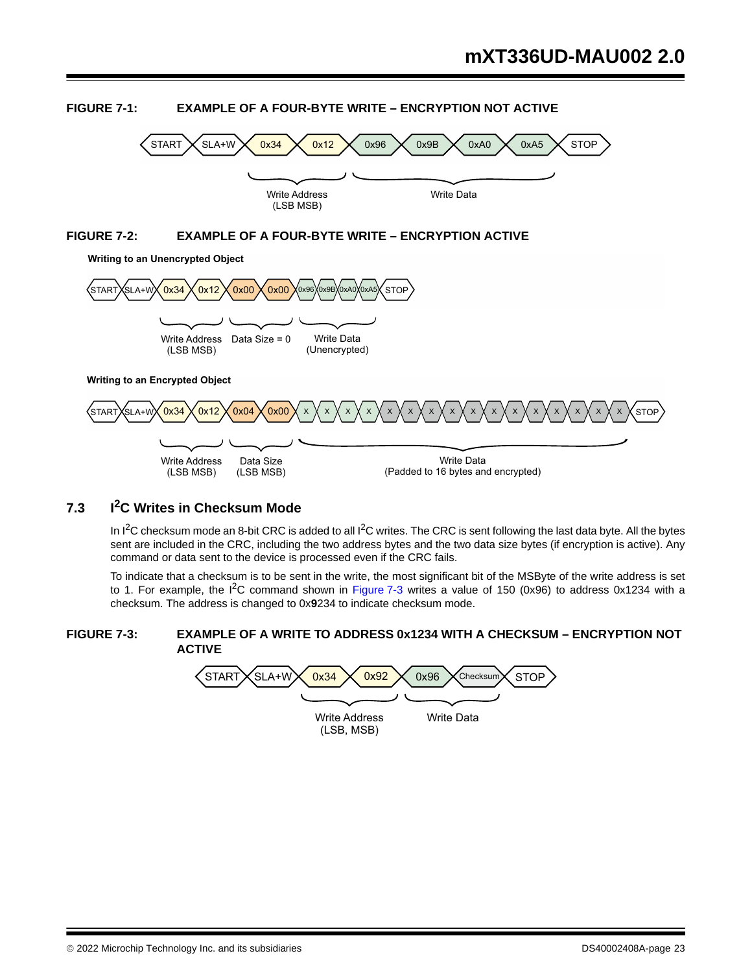

## **FIGURE 7-1: EXAMPLE OF A FOUR-BYTE WRITE – ENCRYPTION NOT ACTIVE**

## **7.3 I2C Writes in Checksum Mode**

In  $1^2C$  checksum mode an 8-bit CRC is added to all  $1^2C$  writes. The CRC is sent following the last data byte. All the bytes sent are included in the CRC, including the two address bytes and the two data size bytes (if encryption is active). Any command or data sent to the device is processed even if the CRC fails.

To indicate that a checksum is to be sent in the write, the most significant bit of the MSByte of the write address is set to 1. For example, the  $I^2C$  command shown in Figure 7-3 writes a value of 150 (0x96) to address 0x1234 with a checksum. The address is changed to 0x**9**234 to indicate checksum mode.

#### **FIGURE 7-3: EXAMPLE OF A WRITE TO ADDRESS 0x1234 WITH A CHECKSUM – ENCRYPTION NOT ACTIVE**

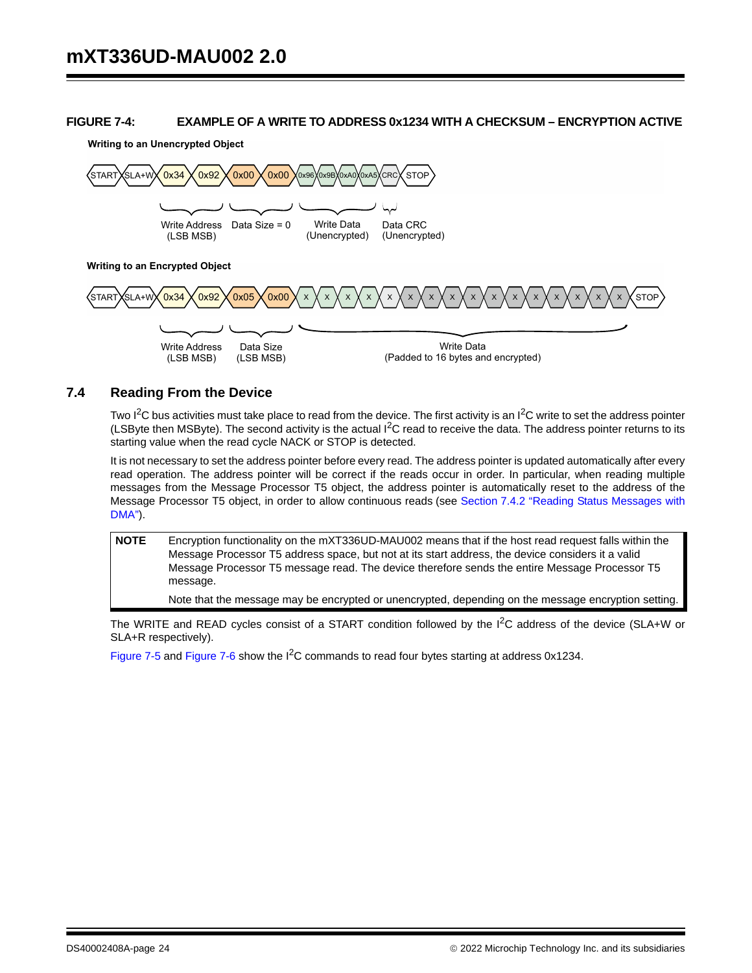#### **FIGURE 7-4: EXAMPLE OF A WRITE TO ADDRESS 0x1234 WITH A CHECKSUM – ENCRYPTION ACTIVE**

**Writing to an Unencrypted Object**



#### **7.4 Reading From the Device**

(LSB MSB)

(LSB MSB)

Two  $I^2C$  bus activities must take place to read from the device. The first activity is an  $I^2C$  write to set the address pointer (LSByte then MSByte). The second activity is the actual I<sup>2</sup>C read to receive the data. The address pointer returns to its starting value when the read cycle NACK or STOP is detected.

(Padded to 16 bytes and encrypted)

It is not necessary to set the address pointer before every read. The address pointer is updated automatically after every read operation. The address pointer will be correct if the reads occur in order. In particular, when reading multiple messages from the Message Processor T5 object, the address pointer is automatically reset to the address of the Message Processor T5 object, in order to allow continuous reads (see Section 7.4.2 "Reading Status Messages with DMA").

**NOTE** Encryption functionality on the mXT336UD-MAU002 means that if the host read request falls within the Message Processor T5 address space, but not at its start address, the device considers it a valid Message Processor T5 message read. The device therefore sends the entire Message Processor T5 message.

Note that the message may be encrypted or unencrypted, depending on the message encryption setting.

The WRITE and READ cycles consist of a START condition followed by the I<sup>2</sup>C address of the device (SLA+W or SLA+R respectively).

Figure 7-5 and Figure 7-6 show the  $I<sup>2</sup>C$  commands to read four bytes starting at address 0x1234.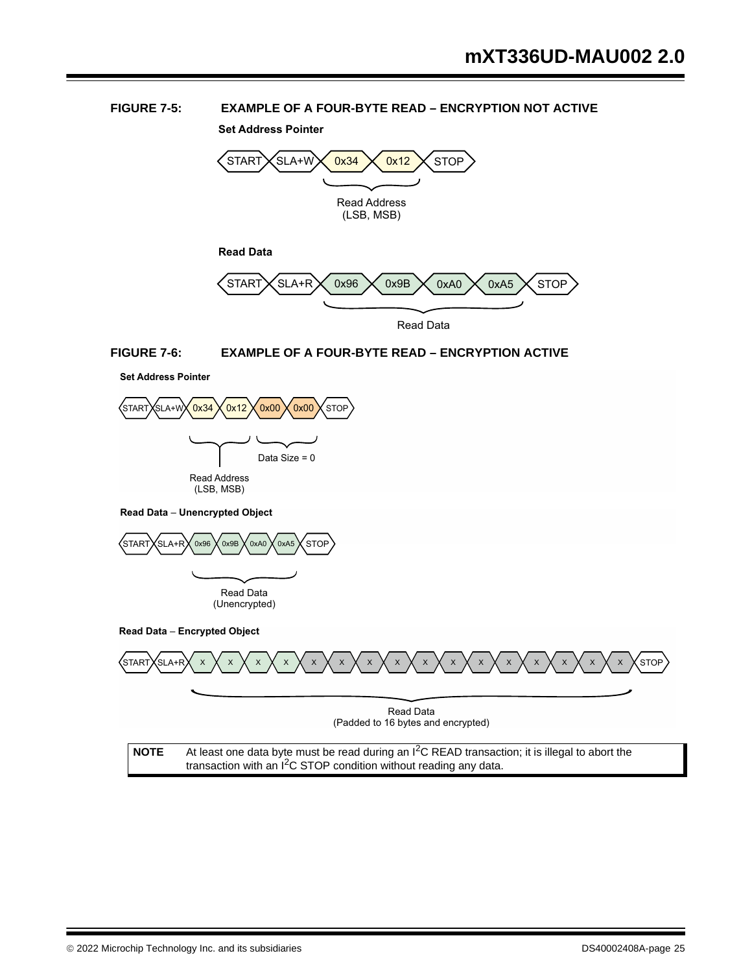#### **FIGURE 7-5: EXAMPLE OF A FOUR-BYTE READ – ENCRYPTION NOT ACTIVE**

**Set Address Pointer**



Read Data

#### **FIGURE 7-6: EXAMPLE OF A FOUR-BYTE READ – ENCRYPTION ACTIVE**





**Read Data - Unencrypted Object** 



**Read Data - Encrypted Object** 

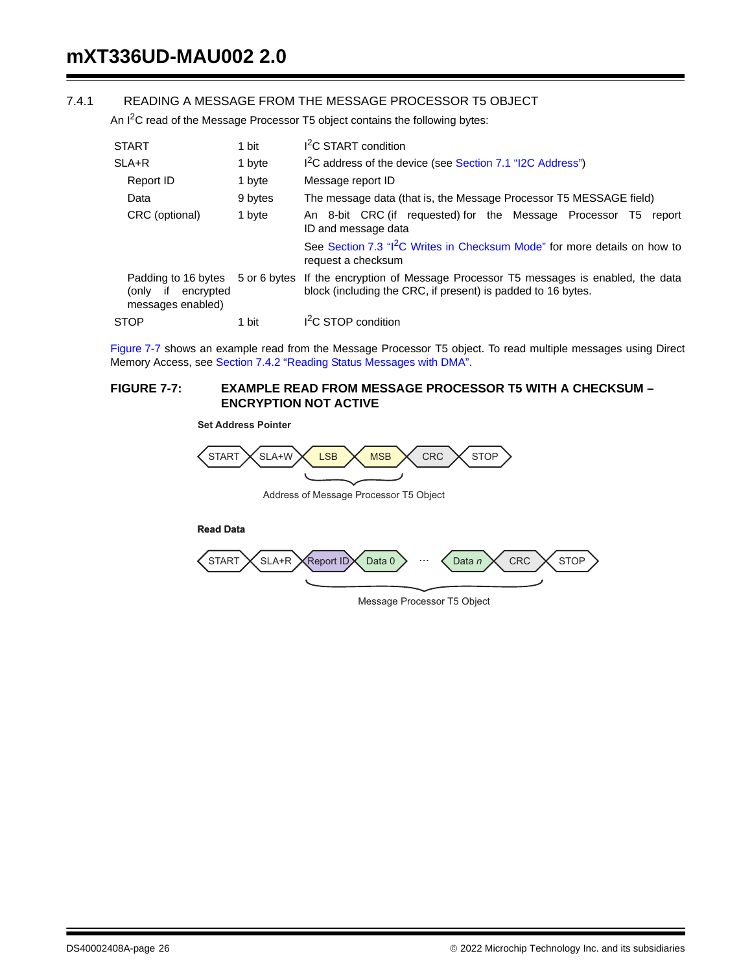#### 7.4.1 READING A MESSAGE FROM THE MESSAGE PROCESSOR T5 OBJECT

An  $I^2C$  read of the Message Processor T5 object contains the following bytes:

| <b>START</b>                                                         | 1 bit        | I <sup>2</sup> C START condition                                                                                                        |  |  |  |
|----------------------------------------------------------------------|--------------|-----------------------------------------------------------------------------------------------------------------------------------------|--|--|--|
| $SLA+R$                                                              | 1 byte       | I <sup>2</sup> C address of the device (see Section 7.1 "I2C Address")                                                                  |  |  |  |
| Report ID                                                            | 1 byte       | Message report ID                                                                                                                       |  |  |  |
| Data                                                                 | 9 bytes      | The message data (that is, the Message Processor T5 MESSAGE field)                                                                      |  |  |  |
| CRC (optional)                                                       | 1 byte       | An 8-bit CRC (if requested) for the Message Processor T5<br>report<br>ID and message data                                               |  |  |  |
|                                                                      |              | See Section 7.3 "I <sup>2</sup> C Writes in Checksum Mode" for more details on how to<br>request a checksum                             |  |  |  |
| Padding to 16 bytes<br>encrypted<br>onlv)<br>if<br>messages enabled) | 5 or 6 bytes | If the encryption of Message Processor T5 messages is enabled, the data<br>block (including the CRC, if present) is padded to 16 bytes. |  |  |  |
| <b>STOP</b>                                                          | 1 bit        | I <sup>2</sup> C STOP condition                                                                                                         |  |  |  |

Figure 7-7 shows an example read from the Message Processor T5 object. To read multiple messages using Direct Memory Access, see Section 7.4.2 "Reading Status Messages with DMA".

#### **FIGURE 7-7: EXAMPLE READ FROM MESSAGE PROCESSOR T5 WITH A CHECKSUM – ENCRYPTION NOT ACTIVE**

**Set Address Pointer**



Address of Message Processor T5 Object

**Read Data**



Message Processor T5 Object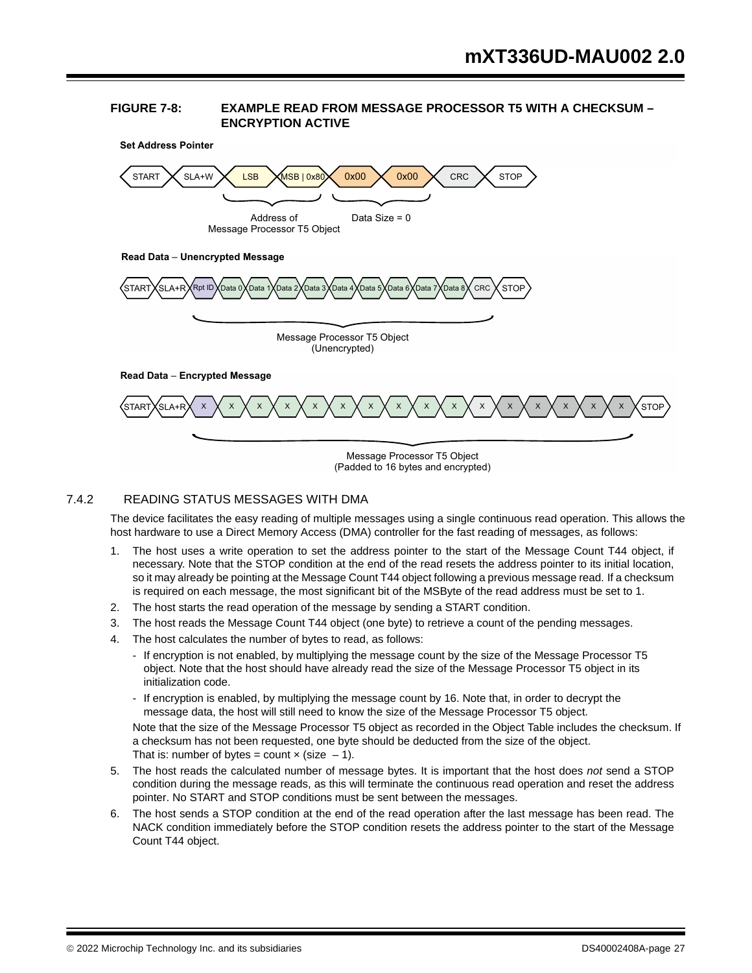#### **FIGURE 7-8: EXAMPLE READ FROM MESSAGE PROCESSOR T5 WITH A CHECKSUM – ENCRYPTION ACTIVE**



## 7.4.2 READING STATUS MESSAGES WITH DMA

The device facilitates the easy reading of multiple messages using a single continuous read operation. This allows the host hardware to use a Direct Memory Access (DMA) controller for the fast reading of messages, as follows:

- 1. The host uses a write operation to set the address pointer to the start of the Message Count T44 object, if necessary. Note that the STOP condition at the end of the read resets the address pointer to its initial location, so it may already be pointing at the Message Count T44 object following a previous message read. If a checksum is required on each message, the most significant bit of the MSByte of the read address must be set to 1.
- 2. The host starts the read operation of the message by sending a START condition.
- 3. The host reads the Message Count T44 object (one byte) to retrieve a count of the pending messages.
- 4. The host calculates the number of bytes to read, as follows:
	- If encryption is not enabled, by multiplying the message count by the size of the Message Processor T5 object. Note that the host should have already read the size of the Message Processor T5 object in its initialization code.
	- If encryption is enabled, by multiplying the message count by 16. Note that, in order to decrypt the message data, the host will still need to know the size of the Message Processor T5 object.

Note that the size of the Message Processor T5 object as recorded in the Object Table includes the checksum. If a checksum has not been requested, one byte should be deducted from the size of the object. That is: number of bytes = count  $\times$  (size -1).

- 5. The host reads the calculated number of message bytes. It is important that the host does *not* send a STOP condition during the message reads, as this will terminate the continuous read operation and reset the address pointer. No START and STOP conditions must be sent between the messages.
- 6. The host sends a STOP condition at the end of the read operation after the last message has been read. The NACK condition immediately before the STOP condition resets the address pointer to the start of the Message Count T44 object.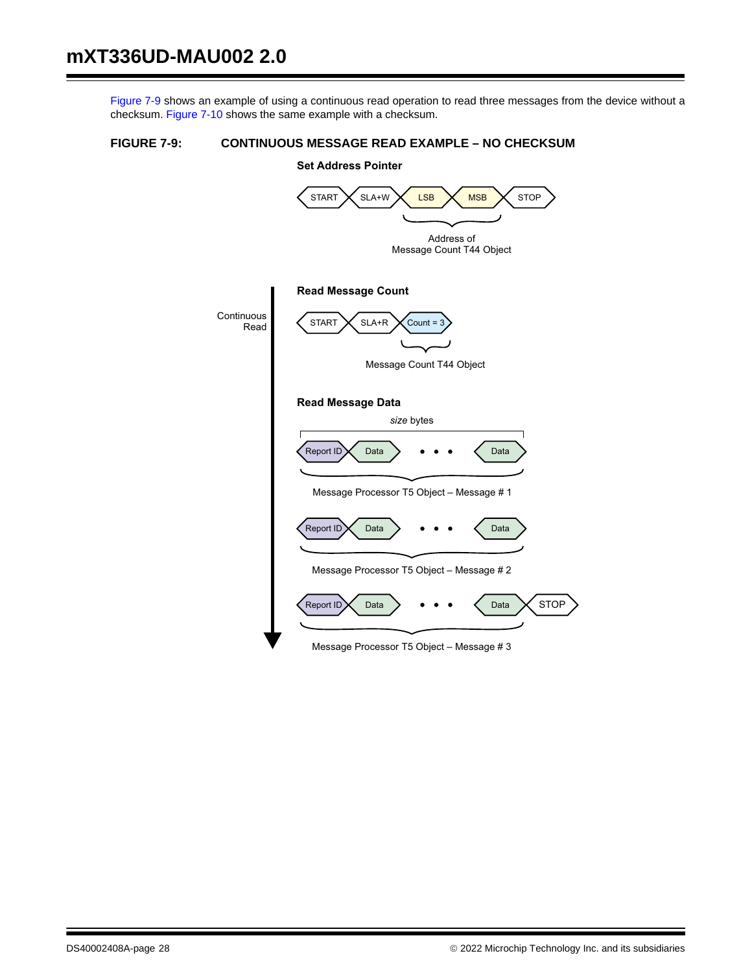Figure 7-9 shows an example of using a continuous read operation to read three messages from the device without a checksum. Figure 7-10 shows the same example with a checksum.

#### **FIGURE 7-9: CONTINUOUS MESSAGE READ EXAMPLE – NO CHECKSUM**

## **Set Address Pointer**

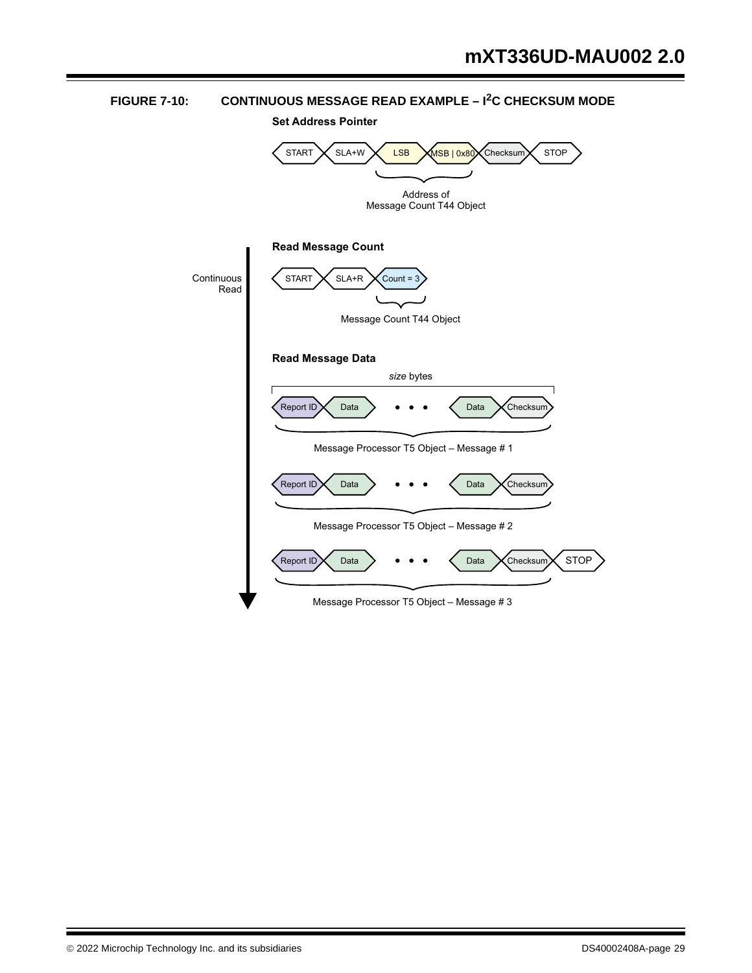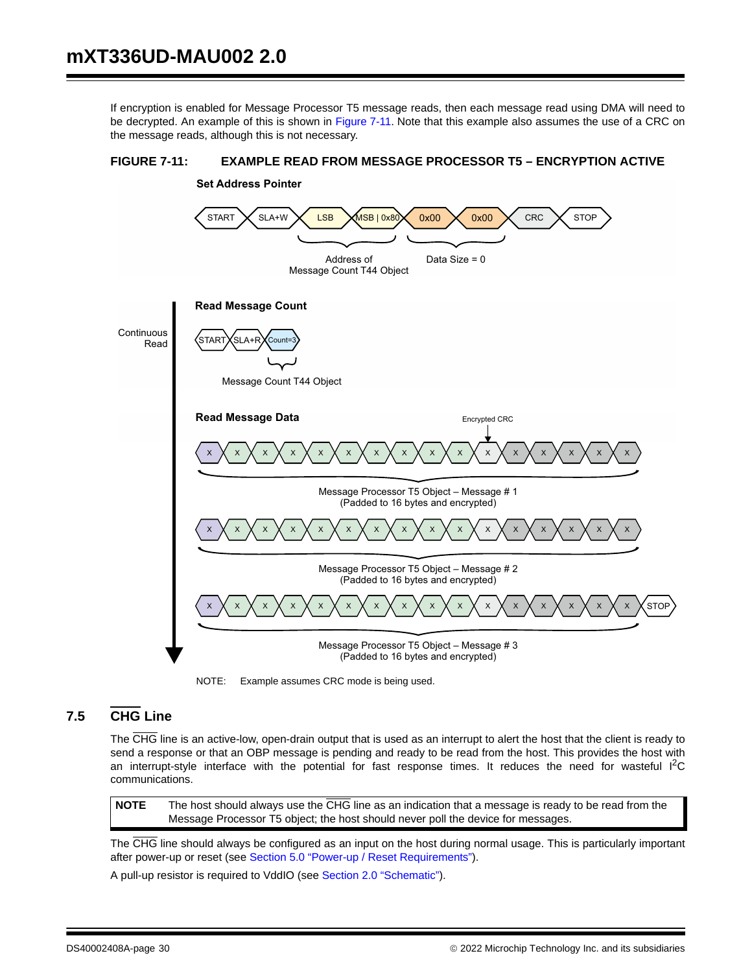If encryption is enabled for Message Processor T5 message reads, then each message read using DMA will need to be decrypted. An example of this is shown in Figure 7-11. Note that this example also assumes the use of a CRC on the message reads, although this is not necessary.



## **FIGURE 7-11: EXAMPLE READ FROM MESSAGE PROCESSOR T5 – ENCRYPTION ACTIVE**

NOTE: Example assumes CRC mode is being used.

## **7.5 CHG Line**

The CHG line is an active-low, open-drain output that is used as an interrupt to alert the host that the client is ready to send a response or that an OBP message is pending and ready to be read from the host. This provides the host with an interrupt-style interface with the potential for fast response times. It reduces the need for wasteful  ${}^{12}C$ communications.

**NOTE** The host should always use the CHG line as an indication that a message is ready to be read from the Message Processor T5 object; the host should never poll the device for messages.

The CHG line should always be configured as an input on the host during normal usage. This is particularly important after power-up or reset (see Section 5.0 "Power-up / Reset Requirements").

A pull-up resistor is required to VddIO (see Section 2.0 "Schematic").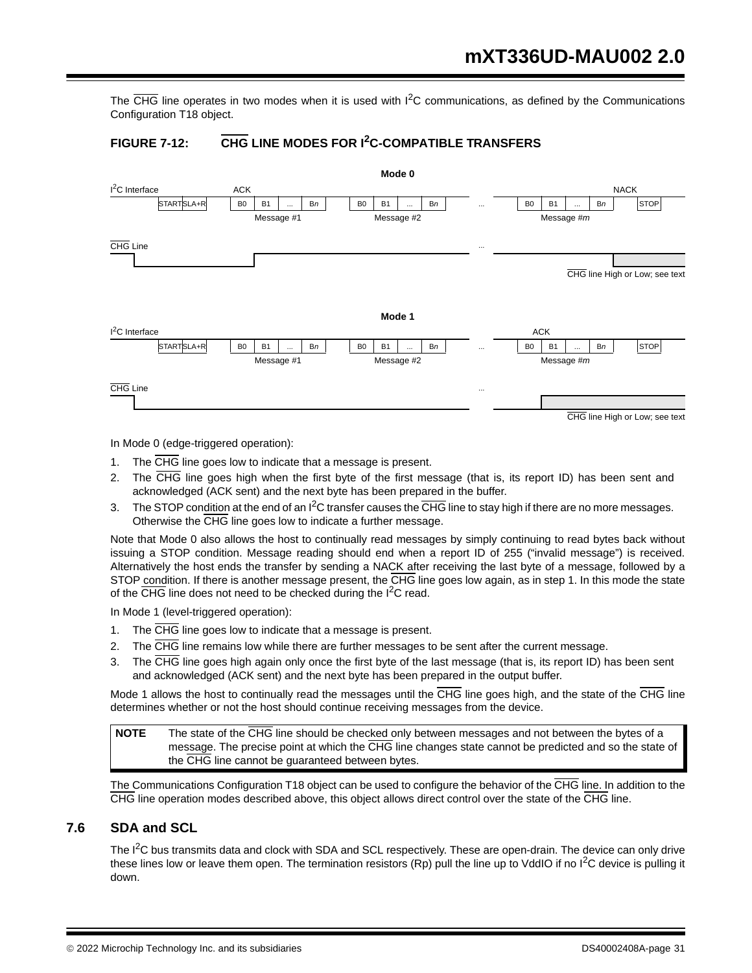The  $\overline{\text{CHG}}$  line operates in two modes when it is used with  $1^2$ C communications, as defined by the Communications Configuration T18 object.

## **FIGURE 7-12: CHG LINE MODES FOR I2C-COMPATIBLE TRANSFERS**



In Mode 0 (edge-triggered operation):

- 1. The CHG line goes low to indicate that a message is present.
- 2. The CHG line goes high when the first byte of the first message (that is, its report ID) has been sent and acknowledged (ACK sent) and the next byte has been prepared in the buffer.
- 3. The STOP condition at the end of an  $I^2C$  transfer causes the  $\overline{CHG}$  line to stay high if there are no more messages. Otherwise the CHG line goes low to indicate a further message.

Note that Mode 0 also allows the host to continually read messages by simply continuing to read bytes back without issuing a STOP condition. Message reading should end when a report ID of 255 ("invalid message") is received. Alternatively the host ends the transfer by sending a NACK after receiving the last byte of a message, followed by a STOP condition. If there is another message present, the CHG line goes low again, as in step 1. In this mode the state of the  $\overline{\text{CHG}}$  line does not need to be checked during the I<sup>2</sup>C read.

In Mode 1 (level-triggered operation):

- 1. The CHG line goes low to indicate that a message is present.
- 2. The CHG line remains low while there are further messages to be sent after the current message.
- 3. The CHG line goes high again only once the first byte of the last message (that is, its report ID) has been sent and acknowledged (ACK sent) and the next byte has been prepared in the output buffer.

Mode 1 allows the host to continually read the messages until the CHG line goes high, and the state of the CHG line determines whether or not the host should continue receiving messages from the device.

**NOTE** The state of the CHG line should be checked only between messages and not between the bytes of a message. The precise point at which the CHG line changes state cannot be predicted and so the state of the CHG line cannot be guaranteed between bytes.

The Communications Configuration T18 object can be used to configure the behavior of the CHG line. In addition to the CHG line operation modes described above, this object allows direct control over the state of the CHG line.

## **7.6 SDA and SCL**

The  $I^2C$  bus transmits data and clock with SDA and SCL respectively. These are open-drain. The device can only drive these lines low or leave them open. The termination resistors (Rp) pull the line up to VddIO if no I<sup>2</sup>C device is pulling it down.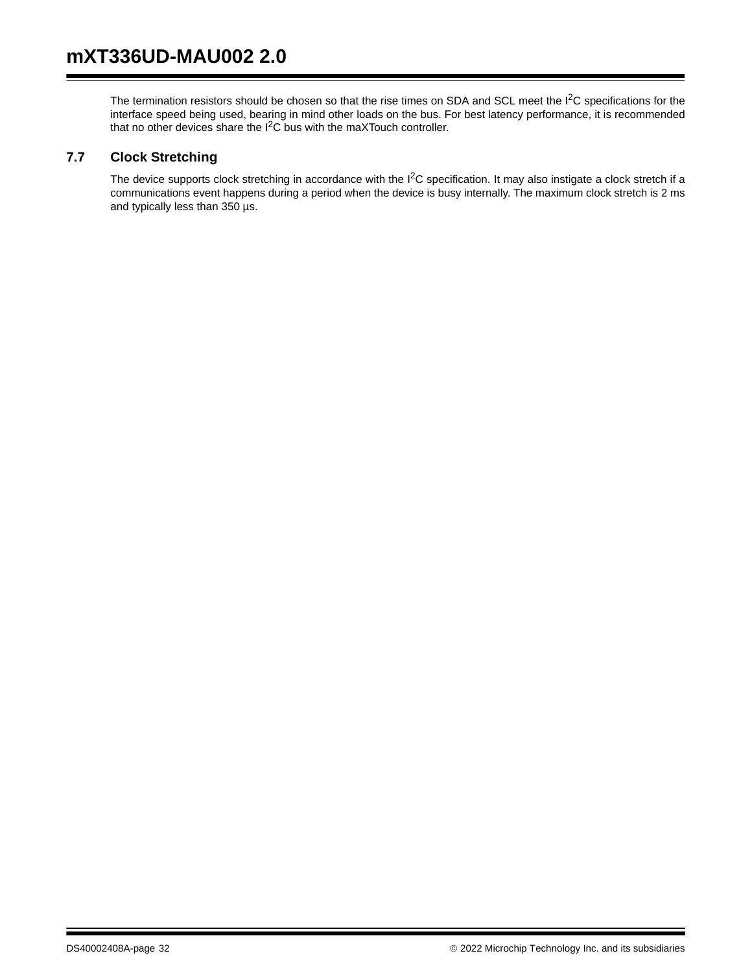The termination resistors should be chosen so that the rise times on SDA and SCL meet the I<sup>2</sup>C specifications for the interface speed being used, bearing in mind other loads on the bus. For best latency performance, it is recommended that no other devices share the  $I^2C$  bus with the maXTouch controller.

## **7.7 Clock Stretching**

The device supports clock stretching in accordance with the I<sup>2</sup>C specification. It may also instigate a clock stretch if a communications event happens during a period when the device is busy internally. The maximum clock stretch is 2 ms and typically less than 350 µs.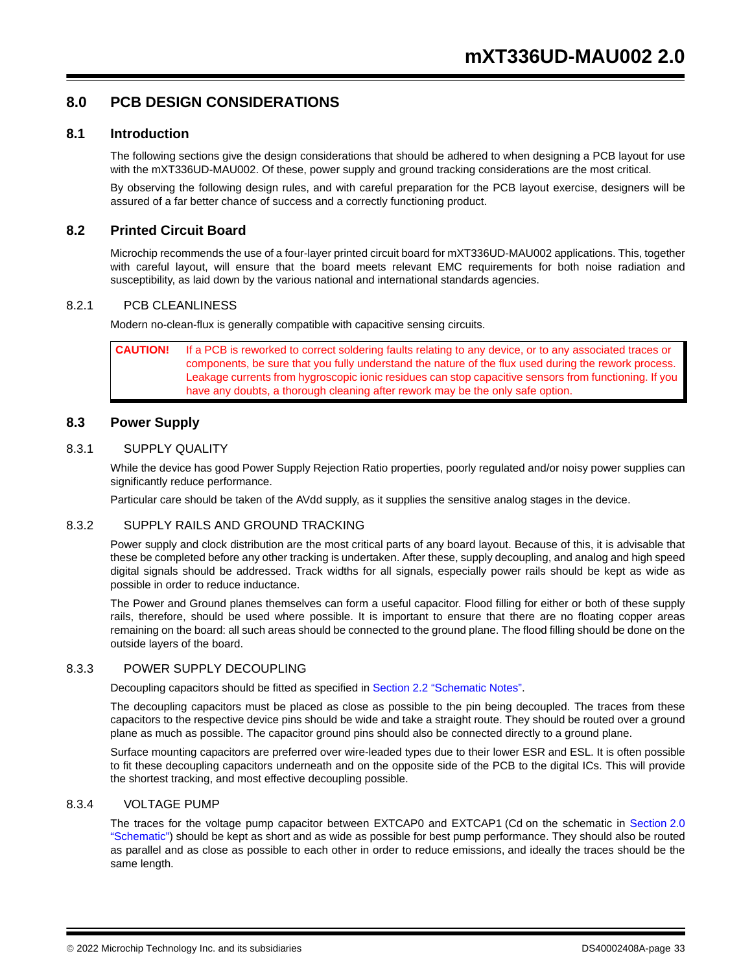## **8.0 PCB DESIGN CONSIDERATIONS**

#### **8.1 Introduction**

The following sections give the design considerations that should be adhered to when designing a PCB layout for use with the mXT336UD-MAU002. Of these, power supply and ground tracking considerations are the most critical.

By observing the following design rules, and with careful preparation for the PCB layout exercise, designers will be assured of a far better chance of success and a correctly functioning product.

#### **8.2 Printed Circuit Board**

Microchip recommends the use of a four-layer printed circuit board for mXT336UD-MAU002 applications. This, together with careful layout, will ensure that the board meets relevant EMC requirements for both noise radiation and susceptibility, as laid down by the various national and international standards agencies.

#### 8.2.1 PCB CLEANLINESS

Modern no-clean-flux is generally compatible with capacitive sensing circuits.

**CAUTION!** If a PCB is reworked to correct soldering faults relating to any device, or to any associated traces or components, be sure that you fully understand the nature of the flux used during the rework process. Leakage currents from hygroscopic ionic residues can stop capacitive sensors from functioning. If you have any doubts, a thorough cleaning after rework may be the only safe option.

#### **8.3 Power Supply**

#### 8.3.1 SUPPLY QUALITY

While the device has good Power Supply Rejection Ratio properties, poorly regulated and/or noisy power supplies can significantly reduce performance.

Particular care should be taken of the AVdd supply, as it supplies the sensitive analog stages in the device.

#### 8.3.2 SUPPLY RAILS AND GROUND TRACKING

Power supply and clock distribution are the most critical parts of any board layout. Because of this, it is advisable that these be completed before any other tracking is undertaken. After these, supply decoupling, and analog and high speed digital signals should be addressed. Track widths for all signals, especially power rails should be kept as wide as possible in order to reduce inductance.

The Power and Ground planes themselves can form a useful capacitor. Flood filling for either or both of these supply rails, therefore, should be used where possible. It is important to ensure that there are no floating copper areas remaining on the board: all such areas should be connected to the ground plane. The flood filling should be done on the outside layers of the board.

#### 8.3.3 POWER SUPPLY DECOUPLING

Decoupling capacitors should be fitted as specified in Section 2.2 "Schematic Notes".

The decoupling capacitors must be placed as close as possible to the pin being decoupled. The traces from these capacitors to the respective device pins should be wide and take a straight route. They should be routed over a ground plane as much as possible. The capacitor ground pins should also be connected directly to a ground plane.

Surface mounting capacitors are preferred over wire-leaded types due to their lower ESR and ESL. It is often possible to fit these decoupling capacitors underneath and on the opposite side of the PCB to the digital ICs. This will provide the shortest tracking, and most effective decoupling possible.

#### 8.3.4 VOLTAGE PUMP

The traces for the voltage pump capacitor between EXTCAP0 and EXTCAP1 (Cd on the schematic in Section 2.0 "Schematic") should be kept as short and as wide as possible for best pump performance. They should also be routed as parallel and as close as possible to each other in order to reduce emissions, and ideally the traces should be the same length.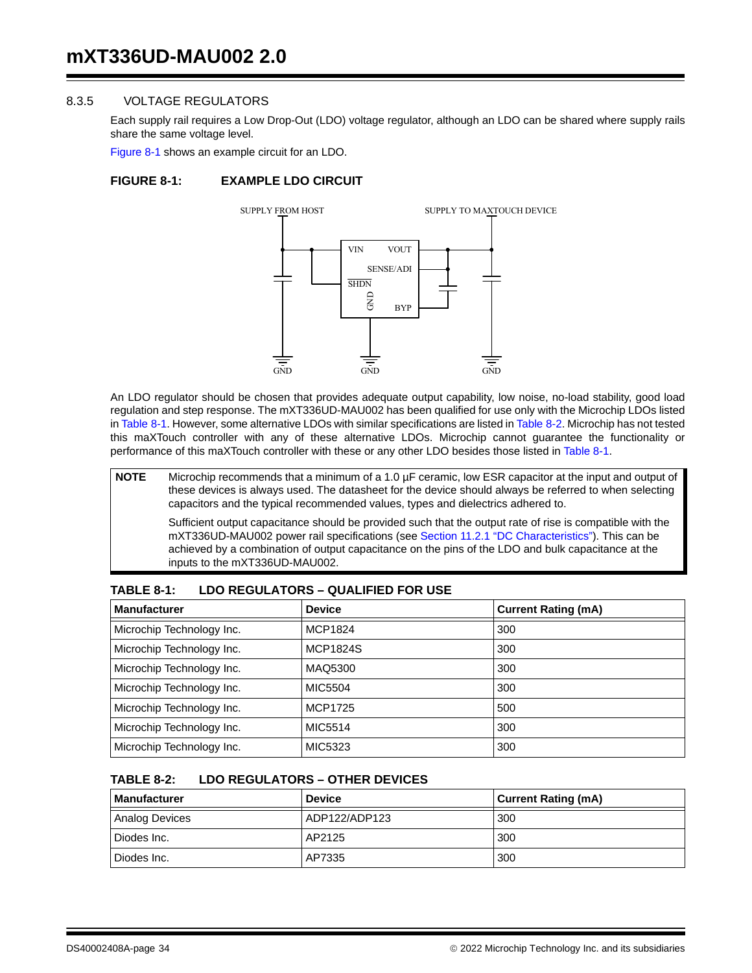#### 8.3.5 VOLTAGE REGULATORS

Each supply rail requires a Low Drop-Out (LDO) voltage regulator, although an LDO can be shared where supply rails share the same voltage level.

Figure 8-1 shows an example circuit for an LDO.

#### **FIGURE 8-1: EXAMPLE LDO CIRCUIT**



An LDO regulator should be chosen that provides adequate output capability, low noise, no-load stability, good load regulation and step response. The mXT336UD-MAU002 has been qualified for use only with the Microchip LDOs listed in Table 8-1. However, some alternative LDOs with similar specifications are listed in Table 8-2. Microchip has not tested this maXTouch controller with any of these alternative LDOs. Microchip cannot guarantee the functionality or performance of this maXTouch controller with these or any other LDO besides those listed in Table 8-1.

**NOTE** Microchip recommends that a minimum of a 1.0 µF ceramic, low ESR capacitor at the input and output of these devices is always used. The datasheet for the device should always be referred to when selecting capacitors and the typical recommended values, types and dielectrics adhered to.

Sufficient output capacitance should be provided such that the output rate of rise is compatible with the mXT336UD-MAU002 power rail specifications (see Section 11.2.1 "DC Characteristics"). This can be achieved by a combination of output capacitance on the pins of the LDO and bulk capacitance at the inputs to the mXT336UD-MAU002.

| <b>Manufacturer</b>       | <b>Device</b>   | <b>Current Rating (mA)</b> |
|---------------------------|-----------------|----------------------------|
| Microchip Technology Inc. | MCP1824         | 300                        |
| Microchip Technology Inc. | <b>MCP1824S</b> | 300                        |
| Microchip Technology Inc. | MAQ5300         | 300                        |
| Microchip Technology Inc. | MIC5504         | 300                        |
| Microchip Technology Inc. | <b>MCP1725</b>  | 500                        |
| Microchip Technology Inc. | MIC5514         | 300                        |
| Microchip Technology Inc. | MIC5323         | 300                        |

#### **TABLE 8-1: LDO REGULATORS – QUALIFIED FOR USE**

#### **TABLE 8-2: LDO REGULATORS – OTHER DEVICES**

| <b>Manufacturer</b> | <b>Device</b> | <b>Current Rating (mA)</b> |
|---------------------|---------------|----------------------------|
| Analog Devices      | ADP122/ADP123 | 300                        |
| Diodes Inc.         | AP2125        | 300                        |
| Diodes Inc.         | AP7335        | 300                        |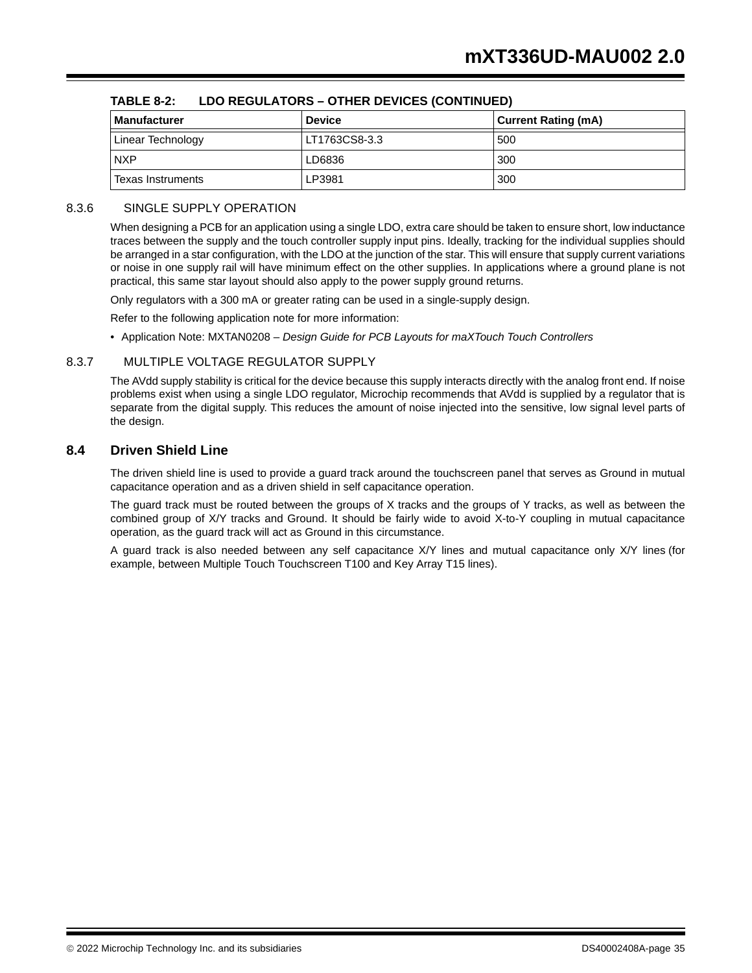| <b>Manufacturer</b> | <b>Device</b> | <b>Current Rating (mA)</b> |
|---------------------|---------------|----------------------------|
| Linear Technology   | LT1763CS8-3.3 | 500                        |
| <b>NXP</b>          | LD6836        | 300                        |
| Texas Instruments   | LP3981        | 300                        |

#### **TABLE 8-2: LDO REGULATORS – OTHER DEVICES (CONTINUED)**

#### 8.3.6 SINGLE SUPPLY OPERATION

When designing a PCB for an application using a single LDO, extra care should be taken to ensure short, low inductance traces between the supply and the touch controller supply input pins. Ideally, tracking for the individual supplies should be arranged in a star configuration, with the LDO at the junction of the star. This will ensure that supply current variations or noise in one supply rail will have minimum effect on the other supplies. In applications where a ground plane is not practical, this same star layout should also apply to the power supply ground returns.

Only regulators with a 300 mA or greater rating can be used in a single-supply design.

Refer to the following application note for more information:

• Application Note: MXTAN0208 – *Design Guide for PCB Layouts for maXTouch Touch Controllers*

#### 8.3.7 MULTIPLE VOLTAGE REGULATOR SUPPLY

The AVdd supply stability is critical for the device because this supply interacts directly with the analog front end. If noise problems exist when using a single LDO regulator, Microchip recommends that AVdd is supplied by a regulator that is separate from the digital supply. This reduces the amount of noise injected into the sensitive, low signal level parts of the design.

#### **8.4 Driven Shield Line**

The driven shield line is used to provide a guard track around the touchscreen panel that serves as Ground in mutual capacitance operation and as a driven shield in self capacitance operation.

The guard track must be routed between the groups of X tracks and the groups of Y tracks, as well as between the combined group of X/Y tracks and Ground. It should be fairly wide to avoid X-to-Y coupling in mutual capacitance operation, as the guard track will act as Ground in this circumstance.

A guard track is also needed between any self capacitance X/Y lines and mutual capacitance only X/Y lines (for example, between Multiple Touch Touchscreen T100 and Key Array T15 lines).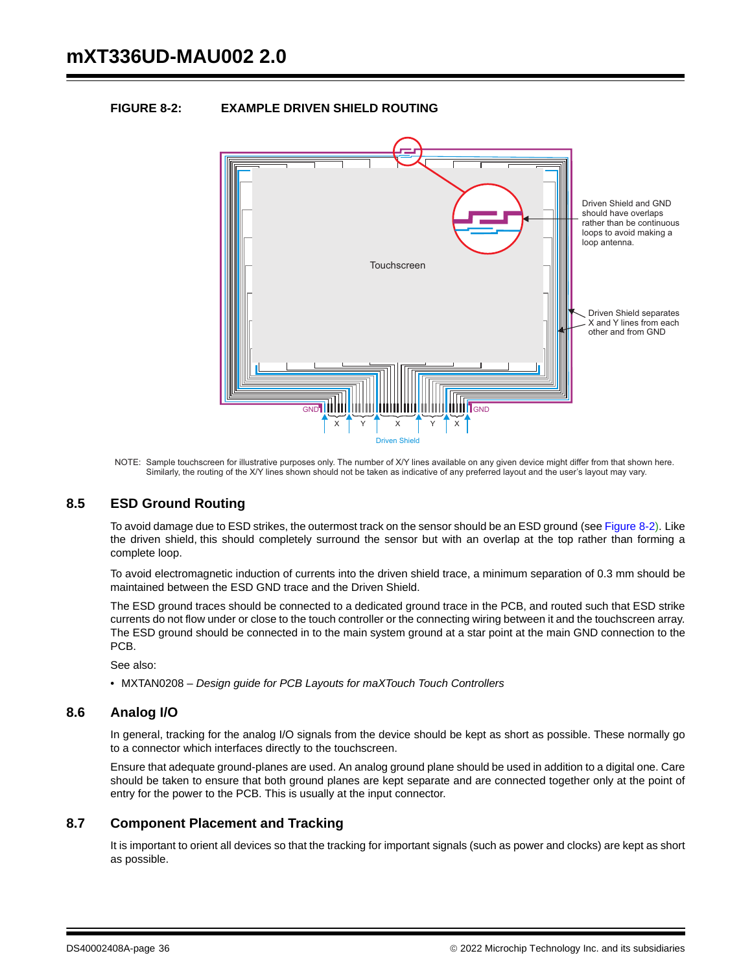#### **FIGURE 8-2: EXAMPLE DRIVEN SHIELD ROUTING**



NOTE: Sample touchscreen for illustrative purposes only. The number of X/Y lines available on any given device might differ from that shown here. Similarly, the routing of the X/Y lines shown should not be taken as indicative of any preferred layout and the user's layout may vary.

#### **8.5 ESD Ground Routing**

To avoid damage due to ESD strikes, the outermost track on the sensor should be an ESD ground (see Figure 8-2). Like the driven shield, this should completely surround the sensor but with an overlap at the top rather than forming a complete loop.

To avoid electromagnetic induction of currents into the driven shield trace, a minimum separation of 0.3 mm should be maintained between the ESD GND trace and the Driven Shield.

The ESD ground traces should be connected to a dedicated ground trace in the PCB, and routed such that ESD strike currents do not flow under or close to the touch controller or the connecting wiring between it and the touchscreen array. The ESD ground should be connected in to the main system ground at a star point at the main GND connection to the PCB.

See also:

• MXTAN0208 – *Design guide for PCB Layouts for maXTouch Touch Controllers*

#### **8.6 Analog I/O**

In general, tracking for the analog I/O signals from the device should be kept as short as possible. These normally go to a connector which interfaces directly to the touchscreen.

Ensure that adequate ground-planes are used. An analog ground plane should be used in addition to a digital one. Care should be taken to ensure that both ground planes are kept separate and are connected together only at the point of entry for the power to the PCB. This is usually at the input connector.

#### **8.7 Component Placement and Tracking**

It is important to orient all devices so that the tracking for important signals (such as power and clocks) are kept as short as possible.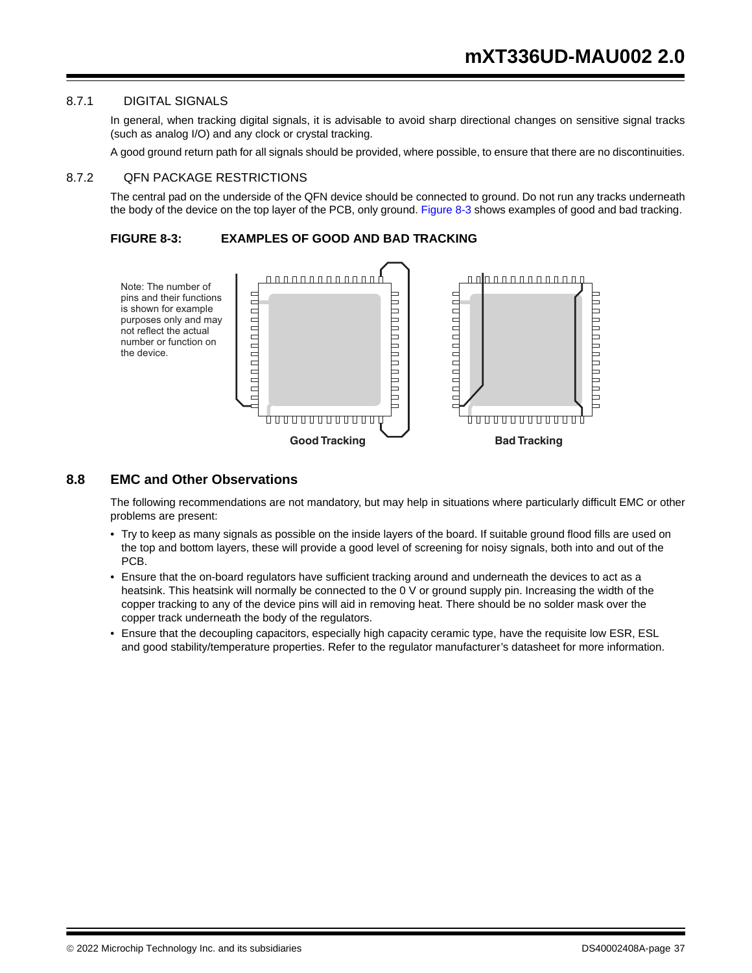#### 8.7.1 DIGITAL SIGNALS

In general, when tracking digital signals, it is advisable to avoid sharp directional changes on sensitive signal tracks (such as analog I/O) and any clock or crystal tracking.

A good ground return path for all signals should be provided, where possible, to ensure that there are no discontinuities.

#### 8.7.2 QFN PACKAGE RESTRICTIONS

The central pad on the underside of the QFN device should be connected to ground. Do not run any tracks underneath the body of the device on the top layer of the PCB, only ground. Figure 8-3 shows examples of good and bad tracking.

**FIGURE 8-3: EXAMPLES OF GOOD AND BAD TRACKING** 



#### **8.8 EMC and Other Observations**

The following recommendations are not mandatory, but may help in situations where particularly difficult EMC or other problems are present:

- Try to keep as many signals as possible on the inside layers of the board. If suitable ground flood fills are used on the top and bottom layers, these will provide a good level of screening for noisy signals, both into and out of the PCB.
- Ensure that the on-board regulators have sufficient tracking around and underneath the devices to act as a heatsink. This heatsink will normally be connected to the 0 V or ground supply pin. Increasing the width of the copper tracking to any of the device pins will aid in removing heat. There should be no solder mask over the copper track underneath the body of the regulators.
- Ensure that the decoupling capacitors, especially high capacity ceramic type, have the requisite low ESR, ESL and good stability/temperature properties. Refer to the regulator manufacturer's datasheet for more information.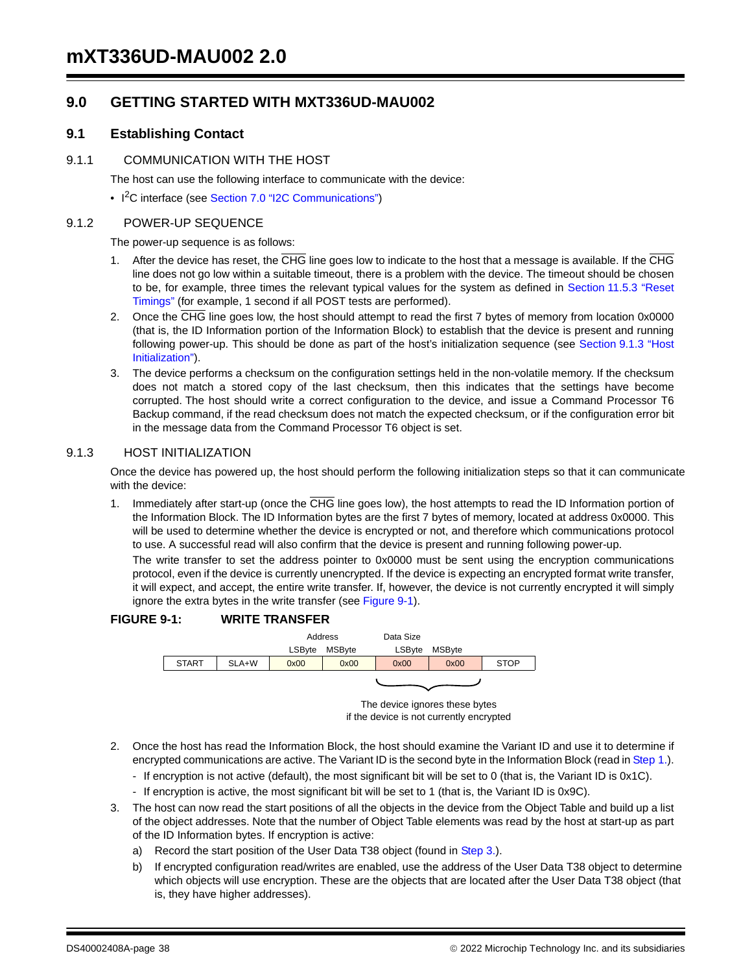## **9.0 GETTING STARTED WITH MXT336UD-MAU002**

### **9.1 Establishing Contact**

#### 9.1.1 COMMUNICATION WITH THE HOST

The host can use the following interface to communicate with the device:

• I<sup>2</sup>C interface (see Section 7.0 "I2C Communications")

#### 9.1.2 POWER-UP SEQUENCE

The power-up sequence is as follows:

- 1. After the device has reset, the CHG line goes low to indicate to the host that a message is available. If the CHG line does not go low within a suitable timeout, there is a problem with the device. The timeout should be chosen to be, for example, three times the relevant typical values for the system as defined in Section 11.5.3 "Reset Timings" (for example, 1 second if all POST tests are performed).
- 2. Once the CHG line goes low, the host should attempt to read the first 7 bytes of memory from location 0x0000 (that is, the ID Information portion of the Information Block) to establish that the device is present and running following power-up. This should be done as part of the host's initialization sequence (see Section 9.1.3 "Host Initialization").
- 3. The device performs a checksum on the configuration settings held in the non-volatile memory. If the checksum does not match a stored copy of the last checksum, then this indicates that the settings have become corrupted. The host should write a correct configuration to the device, and issue a Command Processor T6 Backup command, if the read checksum does not match the expected checksum, or if the configuration error bit in the message data from the Command Processor T6 object is set.

#### 9.1.3 HOST INITIALIZATION

Once the device has powered up, the host should perform the following initialization steps so that it can communicate with the device:

1. Immediately after start-up (once the  $\overline{CHG}$  line goes low), the host attempts to read the ID Information portion of the Information Block. The ID Information bytes are the first 7 bytes of memory, located at address 0x0000. This will be used to determine whether the device is encrypted or not, and therefore which communications protocol to use. A successful read will also confirm that the device is present and running following power-up.

The write transfer to set the address pointer to 0x0000 must be sent using the encryption communications protocol, even if the device is currently unencrypted. If the device is expecting an encrypted format write transfer, it will expect, and accept, the entire write transfer. If, however, the device is not currently encrypted it will simply ignore the extra bytes in the write transfer (see Figure 9-1).

#### **FIGURE 9-1: WRITE TRANSFER**



The device ignores these bytes if the device is not currently encrypted

- 2. Once the host has read the Information Block, the host should examine the Variant ID and use it to determine if encrypted communications are active. The Variant ID is the second byte in the Information Block (read in Step 1.).
	- If encryption is not active (default), the most significant bit will be set to 0 (that is, the Variant ID is 0x1C).
	- If encryption is active, the most significant bit will be set to 1 (that is, the Variant ID is 0x9C).
- 3. The host can now read the start positions of all the objects in the device from the Object Table and build up a list of the object addresses. Note that the number of Object Table elements was read by the host at start-up as part of the ID Information bytes. If encryption is active:
	- a) Record the start position of the User Data T38 object (found in Step 3.).
	- b) If encrypted configuration read/writes are enabled, use the address of the User Data T38 object to determine which objects will use encryption. These are the objects that are located after the User Data T38 object (that is, they have higher addresses).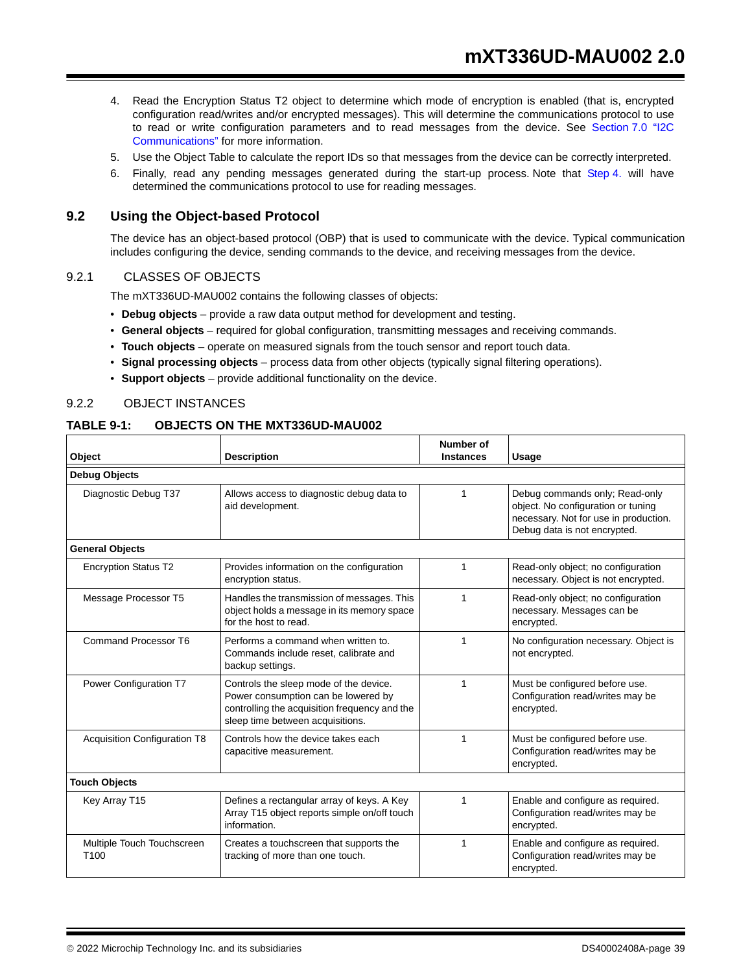- 4. Read the Encryption Status T2 object to determine which mode of encryption is enabled (that is, encrypted configuration read/writes and/or encrypted messages). This will determine the communications protocol to use to read or write configuration parameters and to read messages from the device. See Section 7.0 "I2C Communications" for more information.
- 5. Use the Object Table to calculate the report IDs so that messages from the device can be correctly interpreted.
- 6. Finally, read any pending messages generated during the start-up process. Note that Step 4. will have determined the communications protocol to use for reading messages.

#### **9.2 Using the Object-based Protocol**

The device has an object-based protocol (OBP) that is used to communicate with the device. Typical communication includes configuring the device, sending commands to the device, and receiving messages from the device.

#### 9.2.1 CLASSES OF OBJECTS

The mXT336UD-MAU002 contains the following classes of objects:

- **Debug objects**  provide a raw data output method for development and testing.
- **General objects** required for global configuration, transmitting messages and receiving commands.
- **Touch objects** operate on measured signals from the touch sensor and report touch data.
- **Signal processing objects** process data from other objects (typically signal filtering operations).
- **Support objects** provide additional functionality on the device.

#### 9.2.2 OBJECT INSTANCES

#### **TABLE 9-1: OBJECTS ON THE MXT336UD-MAU002**

| Object                                                                                                                                                                                       | <b>Description</b>                                                                                         | Number of<br><b>Instances</b> | Usage                                                                                                                                         |
|----------------------------------------------------------------------------------------------------------------------------------------------------------------------------------------------|------------------------------------------------------------------------------------------------------------|-------------------------------|-----------------------------------------------------------------------------------------------------------------------------------------------|
| <b>Debug Objects</b>                                                                                                                                                                         |                                                                                                            |                               |                                                                                                                                               |
| Diagnostic Debug T37                                                                                                                                                                         | Allows access to diagnostic debug data to<br>aid development.                                              | 1                             | Debug commands only; Read-only<br>object. No configuration or tuning<br>necessary. Not for use in production.<br>Debug data is not encrypted. |
| <b>General Objects</b>                                                                                                                                                                       |                                                                                                            |                               |                                                                                                                                               |
| <b>Encryption Status T2</b>                                                                                                                                                                  | Provides information on the configuration<br>encryption status.                                            | 1                             | Read-only object; no configuration<br>necessary. Object is not encrypted.                                                                     |
| Message Processor T5<br>Handles the transmission of messages. This<br>object holds a message in its memory space<br>for the host to read.                                                    |                                                                                                            | 1                             | Read-only object; no configuration<br>necessary. Messages can be<br>encrypted.                                                                |
| Command Processor T6                                                                                                                                                                         | Performs a command when written to.<br>Commands include reset, calibrate and<br>backup settings.           | 1                             | No configuration necessary. Object is<br>not encrypted.                                                                                       |
| Power Configuration T7<br>Controls the sleep mode of the device.<br>Power consumption can be lowered by<br>controlling the acquisition frequency and the<br>sleep time between acquisitions. |                                                                                                            | 1                             | Must be configured before use.<br>Configuration read/writes may be<br>encrypted.                                                              |
| <b>Acquisition Configuration T8</b><br>Controls how the device takes each<br>capacitive measurement.                                                                                         |                                                                                                            | 1                             | Must be configured before use.<br>Configuration read/writes may be<br>encrypted.                                                              |
| <b>Touch Objects</b>                                                                                                                                                                         |                                                                                                            |                               |                                                                                                                                               |
| Key Array T15                                                                                                                                                                                | Defines a rectangular array of keys. A Key<br>Array T15 object reports simple on/off touch<br>information. |                               | Enable and configure as required.<br>Configuration read/writes may be<br>encrypted.                                                           |
| Multiple Touch Touchscreen<br>T <sub>100</sub>                                                                                                                                               | Creates a touchscreen that supports the<br>tracking of more than one touch.                                | 1                             | Enable and configure as required.<br>Configuration read/writes may be<br>encrypted.                                                           |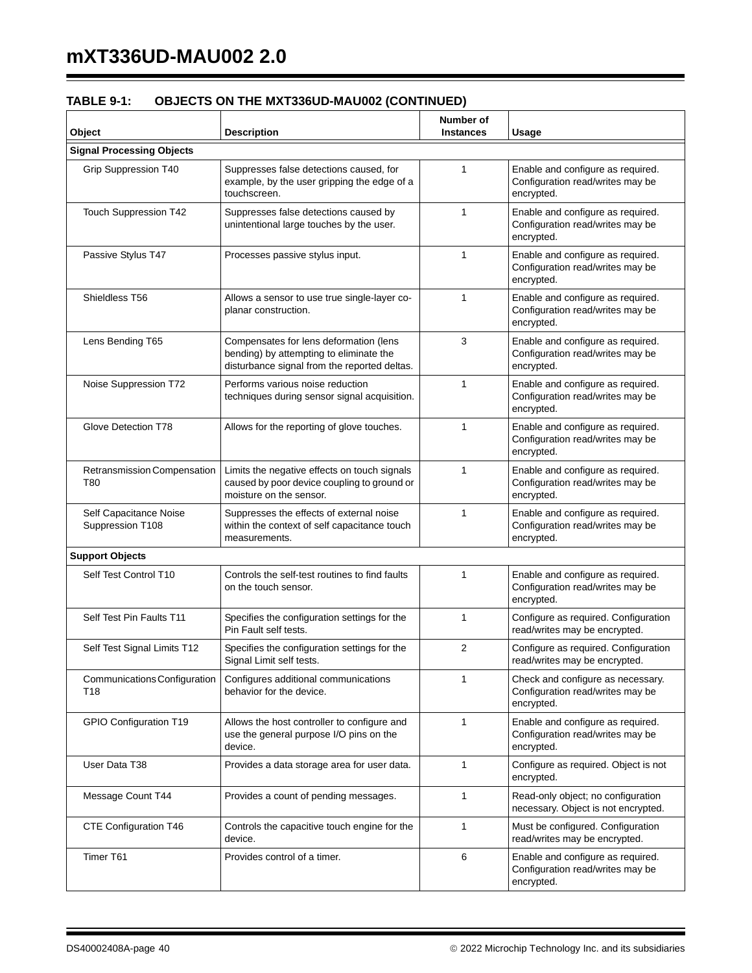| <b>Description</b>                                                                                                                | Number of<br><b>Instances</b> | Usage                                                                               |  |  |  |  |
|-----------------------------------------------------------------------------------------------------------------------------------|-------------------------------|-------------------------------------------------------------------------------------|--|--|--|--|
|                                                                                                                                   |                               |                                                                                     |  |  |  |  |
| Suppresses false detections caused, for<br>example, by the user gripping the edge of a<br>touchscreen.                            | 1                             | Enable and configure as required.<br>Configuration read/writes may be<br>encrypted. |  |  |  |  |
| Suppresses false detections caused by<br>unintentional large touches by the user.                                                 | $\mathbf{1}$                  | Enable and configure as required.<br>Configuration read/writes may be<br>encrypted. |  |  |  |  |
| Processes passive stylus input.                                                                                                   | $\mathbf{1}$                  | Enable and configure as required.<br>Configuration read/writes may be<br>encrypted. |  |  |  |  |
| Allows a sensor to use true single-layer co-<br>planar construction.                                                              | 1                             | Enable and configure as required.<br>Configuration read/writes may be<br>encrypted. |  |  |  |  |
| Compensates for lens deformation (lens<br>bending) by attempting to eliminate the<br>disturbance signal from the reported deltas. | 3                             | Enable and configure as required.<br>Configuration read/writes may be<br>encrypted. |  |  |  |  |
| Performs various noise reduction<br>techniques during sensor signal acquisition.                                                  | $\mathbf{1}$                  | Enable and configure as required.<br>Configuration read/writes may be<br>encrypted. |  |  |  |  |
| Glove Detection T78<br>Allows for the reporting of glove touches.                                                                 |                               | Enable and configure as required.<br>Configuration read/writes may be<br>encrypted. |  |  |  |  |
| Limits the negative effects on touch signals<br>caused by poor device coupling to ground or<br>moisture on the sensor.            | $\mathbf{1}$                  | Enable and configure as required.<br>Configuration read/writes may be<br>encrypted. |  |  |  |  |
| Suppresses the effects of external noise<br>within the context of self capacitance touch<br>measurements.                         | $\mathbf{1}$                  | Enable and configure as required.<br>Configuration read/writes may be<br>encrypted. |  |  |  |  |
| <b>Support Objects</b>                                                                                                            |                               |                                                                                     |  |  |  |  |
| Controls the self-test routines to find faults<br>on the touch sensor.                                                            | $\mathbf{1}$                  | Enable and configure as required.<br>Configuration read/writes may be<br>encrypted. |  |  |  |  |
| Specifies the configuration settings for the<br>Pin Fault self tests.                                                             | $\mathbf{1}$                  | Configure as required. Configuration<br>read/writes may be encrypted.               |  |  |  |  |
| Specifies the configuration settings for the<br>Signal Limit self tests.                                                          | $\overline{2}$                | Configure as required. Configuration<br>read/writes may be encrypted.               |  |  |  |  |
| Communications Configuration<br>Configures additional communications<br>behavior for the device.<br>T18                           |                               | Check and configure as necessary.<br>Configuration read/writes may be<br>encrypted. |  |  |  |  |
| GPIO Configuration T19<br>Allows the host controller to configure and<br>use the general purpose I/O pins on the<br>device.       |                               | Enable and configure as required.<br>Configuration read/writes may be<br>encrypted. |  |  |  |  |
| Provides a data storage area for user data.                                                                                       | $\mathbf{1}$                  | Configure as required. Object is not<br>encrypted.                                  |  |  |  |  |
| Provides a count of pending messages.                                                                                             | 1                             | Read-only object; no configuration<br>necessary. Object is not encrypted.           |  |  |  |  |
| Controls the capacitive touch engine for the<br>device.                                                                           | $\mathbf{1}$                  | Must be configured. Configuration<br>read/writes may be encrypted.                  |  |  |  |  |
| Provides control of a timer.                                                                                                      | 6                             | Enable and configure as required.<br>Configuration read/writes may be<br>encrypted. |  |  |  |  |
|                                                                                                                                   |                               | $\mathbf{1}$<br>1<br>1                                                              |  |  |  |  |

## **TABLE 9-1: OBJECTS ON THE MXT336UD-MAU002 (CONTINUED)**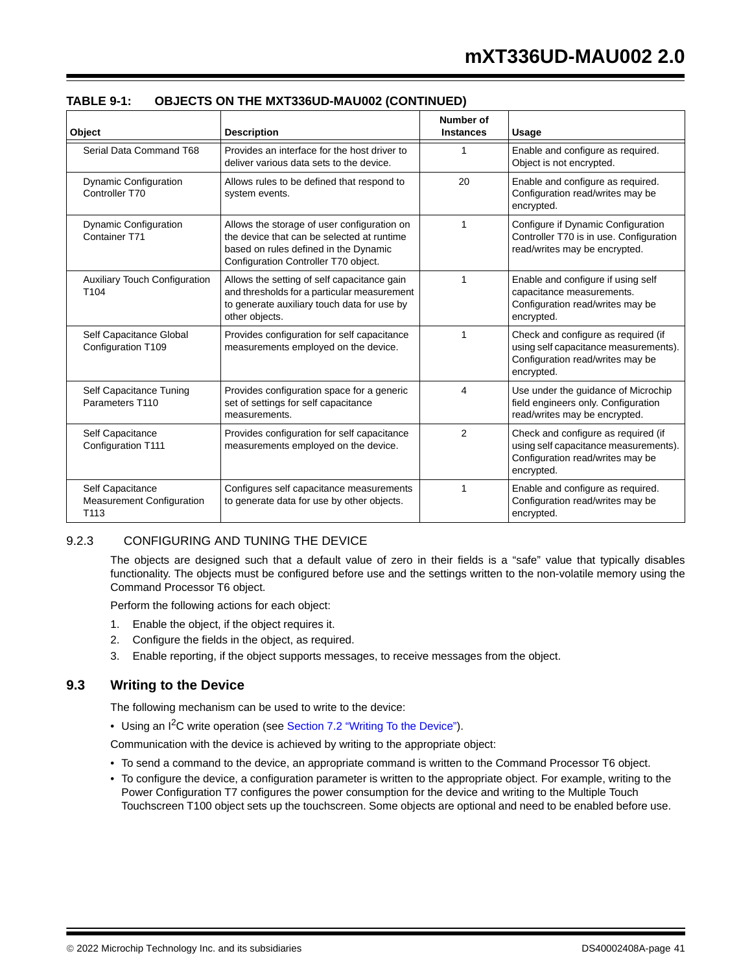| Object                                                       | <b>Description</b>                                                                                                                                                         | Number of<br><b>Instances</b> | Usage                                                                                                                          |
|--------------------------------------------------------------|----------------------------------------------------------------------------------------------------------------------------------------------------------------------------|-------------------------------|--------------------------------------------------------------------------------------------------------------------------------|
| Serial Data Command T68                                      | Provides an interface for the host driver to<br>deliver various data sets to the device.                                                                                   | 1                             | Enable and configure as required.<br>Object is not encrypted.                                                                  |
| Dynamic Configuration<br>Controller T70                      | Allows rules to be defined that respond to<br>system events.                                                                                                               | 20                            | Enable and configure as required.<br>Configuration read/writes may be<br>encrypted.                                            |
| <b>Dynamic Configuration</b><br>Container T71                | Allows the storage of user configuration on<br>the device that can be selected at runtime<br>based on rules defined in the Dynamic<br>Configuration Controller T70 object. | 1                             | Configure if Dynamic Configuration<br>Controller T70 is in use. Configuration<br>read/writes may be encrypted.                 |
| <b>Auxiliary Touch Configuration</b><br>T <sub>104</sub>     | Allows the setting of self capacitance gain<br>and thresholds for a particular measurement<br>to generate auxiliary touch data for use by<br>other objects.                | 1                             | Enable and configure if using self<br>capacitance measurements.<br>Configuration read/writes may be<br>encrypted.              |
| Self Capacitance Global<br>Configuration T109                | Provides configuration for self capacitance<br>measurements employed on the device.                                                                                        | 1                             | Check and configure as required (if<br>using self capacitance measurements).<br>Configuration read/writes may be<br>encrypted. |
| Self Capacitance Tuning<br>Parameters T110                   | Provides configuration space for a generic<br>set of settings for self capacitance<br>measurements.                                                                        | 4                             | Use under the guidance of Microchip<br>field engineers only. Configuration<br>read/writes may be encrypted.                    |
| Self Capacitance<br><b>Configuration T111</b>                | Provides configuration for self capacitance<br>measurements employed on the device.                                                                                        |                               | Check and configure as required (if<br>using self capacitance measurements).<br>Configuration read/writes may be<br>encrypted. |
| Self Capacitance<br><b>Measurement Configuration</b><br>T113 | Configures self capacitance measurements<br>to generate data for use by other objects.                                                                                     | 1                             | Enable and configure as required.<br>Configuration read/writes may be<br>encrypted.                                            |

#### **TABLE 9-1: OBJECTS ON THE MXT336UD-MAU002 (CONTINUED)**

#### 9.2.3 CONFIGURING AND TUNING THE DEVICE

The objects are designed such that a default value of zero in their fields is a "safe" value that typically disables functionality. The objects must be configured before use and the settings written to the non-volatile memory using the Command Processor T6 object.

Perform the following actions for each object:

- 1. Enable the object, if the object requires it.
- 2. Configure the fields in the object, as required.
- 3. Enable reporting, if the object supports messages, to receive messages from the object.

#### **9.3 Writing to the Device**

The following mechanism can be used to write to the device:

• Using an I<sup>2</sup>C write operation (see Section 7.2 "Writing To the Device").

Communication with the device is achieved by writing to the appropriate object:

- To send a command to the device, an appropriate command is written to the Command Processor T6 object.
- To configure the device, a configuration parameter is written to the appropriate object. For example, writing to the Power Configuration T7 configures the power consumption for the device and writing to the Multiple Touch Touchscreen T100 object sets up the touchscreen. Some objects are optional and need to be enabled before use.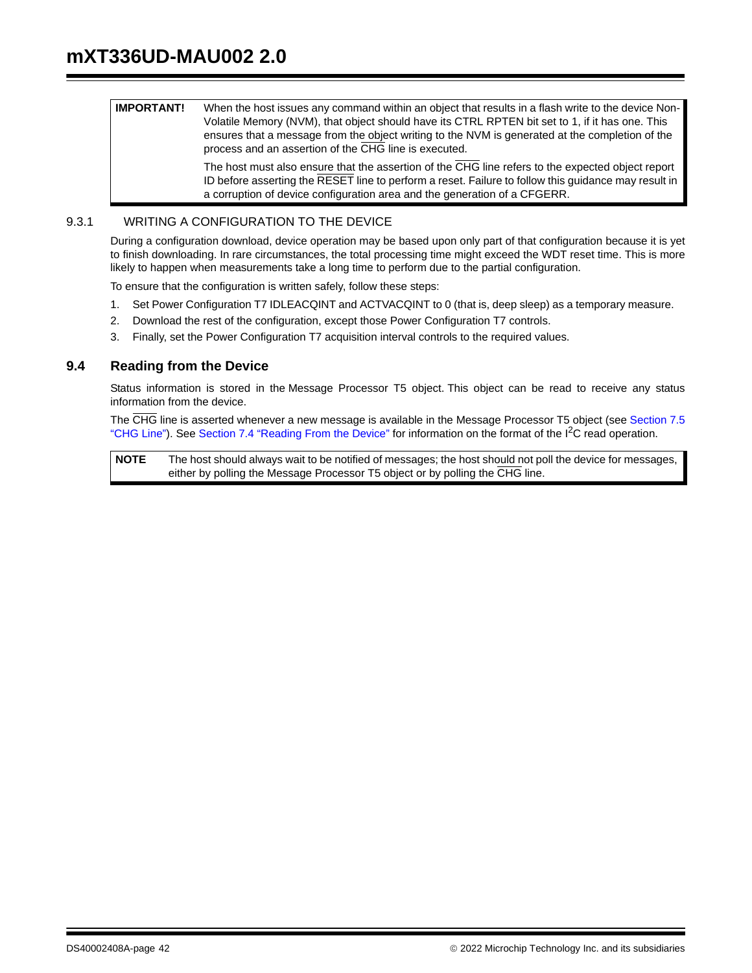| IMPORTANT! | When the host issues any command within an object that results in a flash write to the device Non-<br>Volatile Memory (NVM), that object should have its CTRL RPTEN bit set to 1, if it has one. This<br>ensures that a message from the object writing to the NVM is generated at the completion of the<br>process and an assertion of the CHG line is executed. |
|------------|-------------------------------------------------------------------------------------------------------------------------------------------------------------------------------------------------------------------------------------------------------------------------------------------------------------------------------------------------------------------|
|            |                                                                                                                                                                                                                                                                                                                                                                   |

The host must also ensure that the assertion of the CHG line refers to the expected object report ID before asserting the RESET line to perform a reset. Failure to follow this guidance may result in a corruption of device configuration area and the generation of a CFGERR.

#### 9.3.1 WRITING A CONFIGURATION TO THE DEVICE

During a configuration download, device operation may be based upon only part of that configuration because it is yet to finish downloading. In rare circumstances, the total processing time might exceed the WDT reset time. This is more likely to happen when measurements take a long time to perform due to the partial configuration.

To ensure that the configuration is written safely, follow these steps:

- 1. Set Power Configuration T7 IDLEACQINT and ACTVACQINT to 0 (that is, deep sleep) as a temporary measure.
- 2. Download the rest of the configuration, except those Power Configuration T7 controls.
- 3. Finally, set the Power Configuration T7 acquisition interval controls to the required values.

#### **9.4 Reading from the Device**

Status information is stored in the Message Processor T5 object. This object can be read to receive any status information from the device.

The CHG line is asserted whenever a new message is available in the Message Processor T5 object (see Section 7.5 "CHG Line"). See Section 7.4 "Reading From the Device" for information on the format of the I<sup>2</sup>C read operation.

**NOTE** The host should always wait to be notified of messages; the host should not poll the device for messages, either by polling the Message Processor T5 object or by polling the CHG line.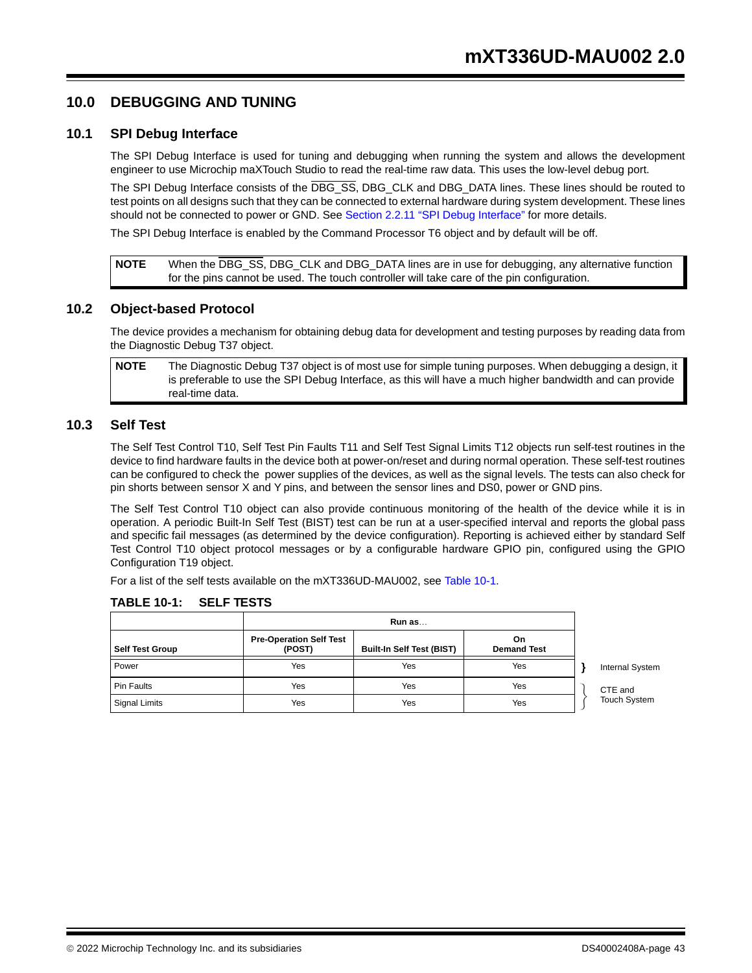## **10.0 DEBUGGING AND TUNING**

#### **10.1 SPI Debug Interface**

The SPI Debug Interface is used for tuning and debugging when running the system and allows the development engineer to use Microchip maXTouch Studio to read the real-time raw data. This uses the low-level debug port.

The SPI Debug Interface consists of the DBG\_SS, DBG\_CLK and DBG\_DATA lines. These lines should be routed to test points on all designs such that they can be connected to external hardware during system development. These lines should not be connected to power or GND. See Section 2.2.11 "SPI Debug Interface" for more details.

The SPI Debug Interface is enabled by the Command Processor T6 object and by default will be off.

**NOTE** When the DBG\_SS, DBG\_CLK and DBG\_DATA lines are in use for debugging, any alternative function for the pins cannot be used. The touch controller will take care of the pin configuration.

#### **10.2 Object-based Protocol**

The device provides a mechanism for obtaining debug data for development and testing purposes by reading data from the Diagnostic Debug T37 object.

**NOTE** The Diagnostic Debug T37 object is of most use for simple tuning purposes. When debugging a design, it is preferable to use the SPI Debug Interface, as this will have a much higher bandwidth and can provide real-time data.

#### **10.3 Self Test**

The Self Test Control T10, Self Test Pin Faults T11 and Self Test Signal Limits T12 objects run self-test routines in the device to find hardware faults in the device both at power-on/reset and during normal operation. These self-test routines can be configured to check the power supplies of the devices, as well as the signal levels. The tests can also check for pin shorts between sensor X and Y pins, and between the sensor lines and DS0, power or GND pins.

The Self Test Control T10 object can also provide continuous monitoring of the health of the device while it is in operation. A periodic Built-In Self Test (BIST) test can be run at a user-specified interval and reports the global pass and specific fail messages (as determined by the device configuration). Reporting is achieved either by standard Self Test Control T10 object protocol messages or by a configurable hardware GPIO pin, configured using the GPIO Configuration T19 object.

For a list of the self tests available on the mXT336UD-MAU002, see Table 10-1.

| <b>Self Test Group</b> | <b>Pre-Operation Self Test</b><br>(POST) | <b>Built-In Self Test (BIST)</b> | On.<br><b>Demand Test</b> |                        |
|------------------------|------------------------------------------|----------------------------------|---------------------------|------------------------|
| Power                  | Yes                                      | Yes                              | Yes                       | <b>Internal System</b> |
| <b>Pin Faults</b>      | Yes                                      | Yes                              | Yes                       | CTE and                |
| Signal Limits          | Yes                                      | Yes                              | Yes                       | <b>Touch System</b>    |

#### **TABLE 10-1: SELF TESTS**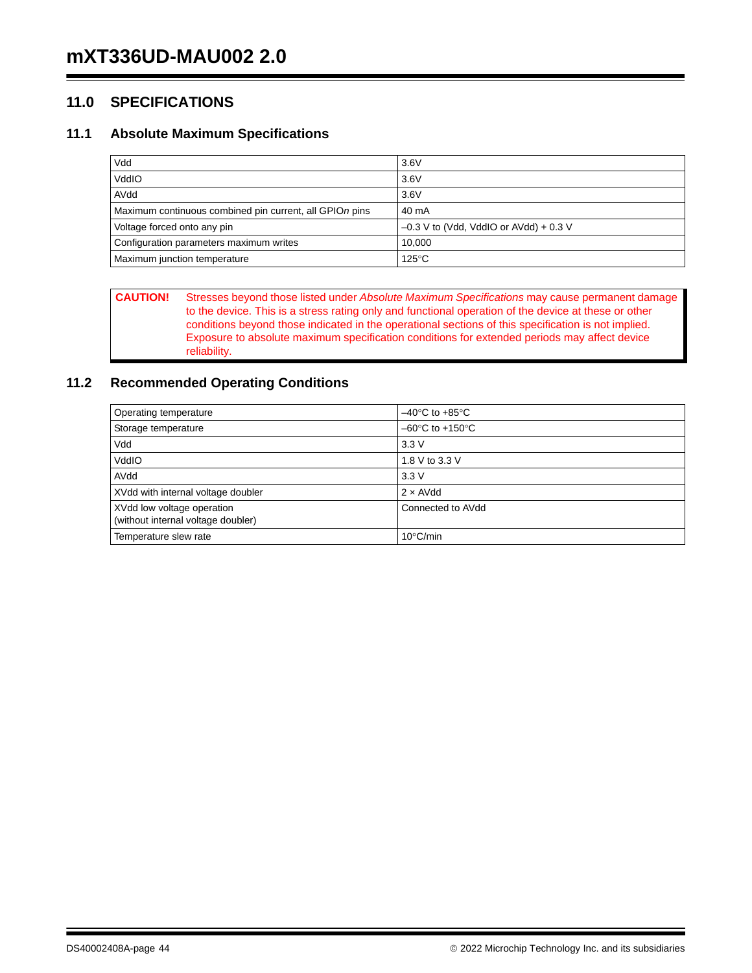## **11.0 SPECIFICATIONS**

## **11.1 Absolute Maximum Specifications**

| Vdd                                                     | 3.6V                                     |
|---------------------------------------------------------|------------------------------------------|
| VddIO                                                   | 3.6V                                     |
| AVdd                                                    | 3.6V                                     |
| Maximum continuous combined pin current, all GPIOn pins | 40 mA                                    |
| Voltage forced onto any pin                             | $-0.3$ V to (Vdd, VddIO or AVdd) + 0.3 V |
| Configuration parameters maximum writes                 | 10.000                                   |
| Maximum junction temperature                            | $125^{\circ}$ C                          |

**CAUTION!** Stresses beyond those listed under *Absolute Maximum Specifications* may cause permanent damage to the device. This is a stress rating only and functional operation of the device at these or other conditions beyond those indicated in the operational sections of this specification is not implied. Exposure to absolute maximum specification conditions for extended periods may affect device reliability.

## **11.2 Recommended Operating Conditions**

| Operating temperature                                            | $-40^{\circ}$ C to +85 $^{\circ}$ C |
|------------------------------------------------------------------|-------------------------------------|
| Storage temperature                                              | $-60^{\circ}$ C to $+150^{\circ}$ C |
| Vdd                                                              | 3.3V                                |
| VddIO                                                            | 1.8 V to 3.3 V                      |
| AVdd                                                             | 3.3V                                |
| XVdd with internal voltage doubler                               | $2 \times$ AVdd                     |
| XVdd low voltage operation<br>(without internal voltage doubler) | Connected to AVdd                   |
| Temperature slew rate                                            | $10^{\circ}$ C/min                  |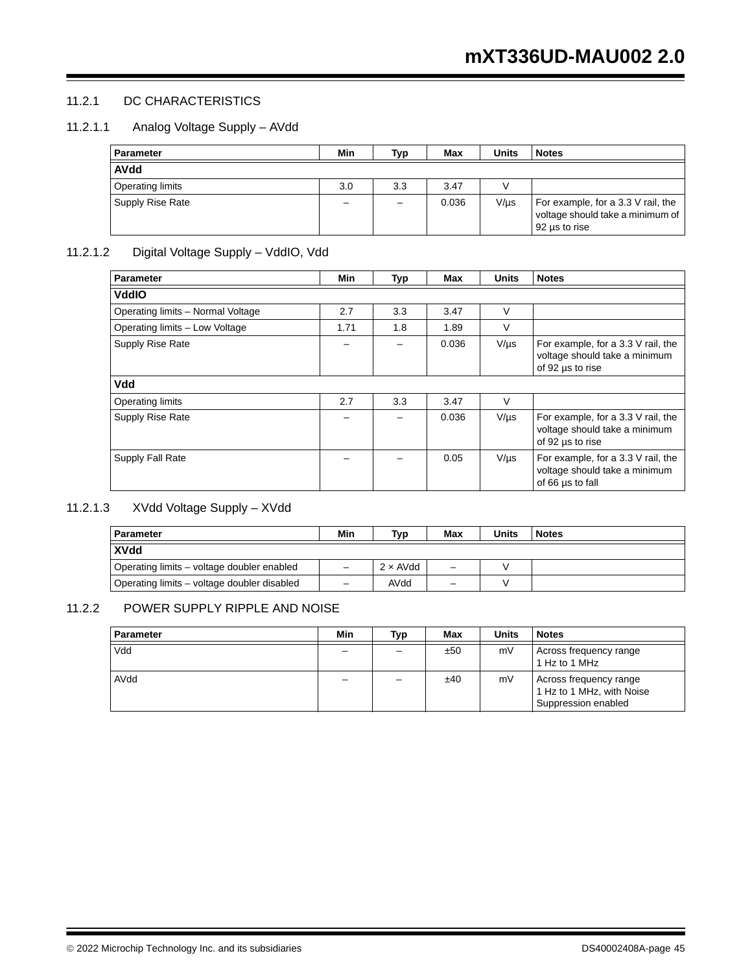### 11.2.1 DC CHARACTERISTICS

#### 11.2.1.1 Analog Voltage Supply – AVdd

| Parameter               | Min | Typ | Max   | Units     | <b>Notes</b>                                                                            |
|-------------------------|-----|-----|-------|-----------|-----------------------------------------------------------------------------------------|
| <b>AVdd</b>             |     |     |       |           |                                                                                         |
| <b>Operating limits</b> | 3.0 | 3.3 | 3.47  |           |                                                                                         |
| <b>Supply Rise Rate</b> |     |     | 0.036 | $V/\mu s$ | For example, for a 3.3 V rail, the<br>voltage should take a minimum of<br>92 us to rise |

## 11.2.1.2 Digital Voltage Supply – VddIO, Vdd

| <b>Parameter</b>                  | Min  | Typ | Max   | <b>Units</b> | <b>Notes</b>                                                                            |
|-----------------------------------|------|-----|-------|--------------|-----------------------------------------------------------------------------------------|
| <b>VddIO</b>                      |      |     |       |              |                                                                                         |
| Operating limits - Normal Voltage | 2.7  | 3.3 | 3.47  | $\vee$       |                                                                                         |
| Operating limits - Low Voltage    | 1.71 | 1.8 | 1.89  | $\vee$       |                                                                                         |
| Supply Rise Rate                  |      |     | 0.036 | $V/\mu s$    | For example, for a 3.3 V rail, the<br>voltage should take a minimum<br>of 92 us to rise |
| Vdd                               |      |     |       |              |                                                                                         |
| <b>Operating limits</b>           | 2.7  | 3.3 | 3.47  | V            |                                                                                         |
| Supply Rise Rate                  |      |     | 0.036 | $V/\mu s$    | For example, for a 3.3 V rail, the<br>voltage should take a minimum<br>of 92 us to rise |
| Supply Fall Rate                  |      |     | 0.05  | $V/\mu s$    | For example, for a 3.3 V rail, the<br>voltage should take a minimum<br>of 66 us to fall |

## 11.2.1.3 XVdd Voltage Supply – XVdd

| <b>Parameter</b>                            | Min | Typ             | Max | Units | <b>Notes</b> |
|---------------------------------------------|-----|-----------------|-----|-------|--------------|
| <b>XVdd</b>                                 |     |                 |     |       |              |
| Operating limits – voltage doubler enabled  |     | $2 \times$ AVdd | -   |       |              |
| Operating limits – voltage doubler disabled | -   | AVdd            | -   |       |              |

### 11.2.2 POWER SUPPLY RIPPLE AND NOISE

| <b>Parameter</b> | Min | Typ | Max | <b>Units</b> | <b>Notes</b>                                                               |
|------------------|-----|-----|-----|--------------|----------------------------------------------------------------------------|
| Vdd              | -   |     | ±50 | mV           | Across frequency range<br>1 Hz to 1 MHz                                    |
| AVdd             |     |     | ±40 | mV           | Across frequency range<br>1 Hz to 1 MHz, with Noise<br>Suppression enabled |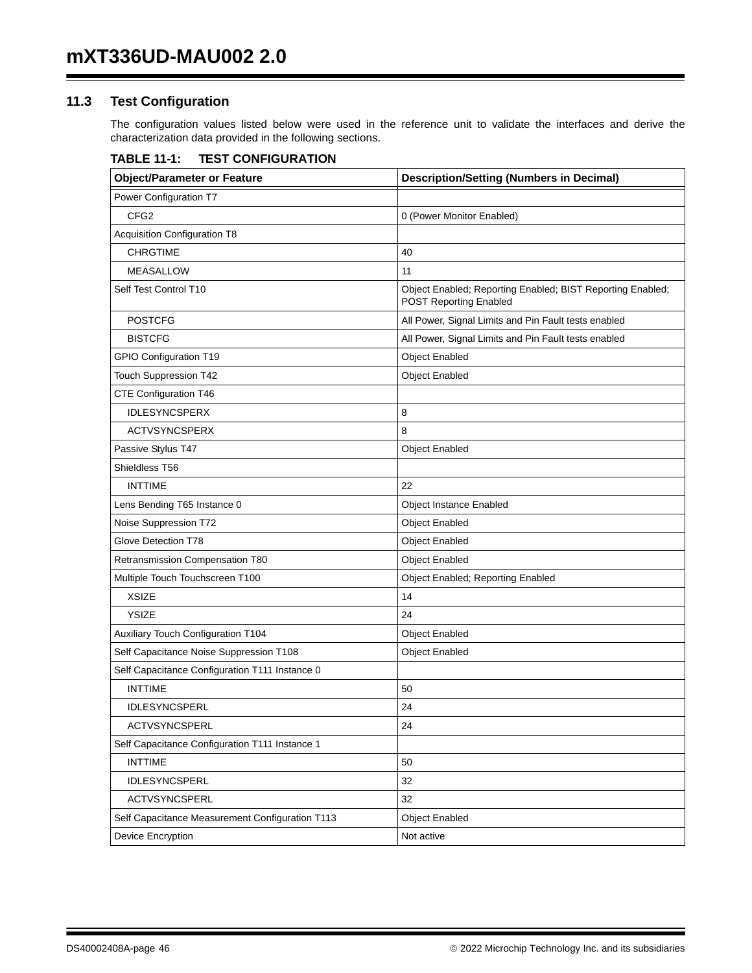## **11.3 Test Configuration**

The configuration values listed below were used in the reference unit to validate the interfaces and derive the characterization data provided in the following sections.

| <b>TABLE 11-1:</b> | <b>TEST CONFIGURATION</b> |
|--------------------|---------------------------|
|--------------------|---------------------------|

| <b>Description/Setting (Numbers in Decimal)</b><br><b>Object/Parameter or Feature</b> |                                                                                             |  |
|---------------------------------------------------------------------------------------|---------------------------------------------------------------------------------------------|--|
| Power Configuration T7                                                                |                                                                                             |  |
| CFG <sub>2</sub>                                                                      | 0 (Power Monitor Enabled)                                                                   |  |
| <b>Acquisition Configuration T8</b>                                                   |                                                                                             |  |
| <b>CHRGTIME</b>                                                                       | 40                                                                                          |  |
| <b>MEASALLOW</b>                                                                      | 11                                                                                          |  |
| Self Test Control T10                                                                 | Object Enabled; Reporting Enabled; BIST Reporting Enabled;<br><b>POST Reporting Enabled</b> |  |
| <b>POSTCFG</b>                                                                        | All Power, Signal Limits and Pin Fault tests enabled                                        |  |
| <b>BISTCFG</b>                                                                        | All Power, Signal Limits and Pin Fault tests enabled                                        |  |
| <b>GPIO Configuration T19</b>                                                         | <b>Object Enabled</b>                                                                       |  |
| <b>Touch Suppression T42</b>                                                          | <b>Object Enabled</b>                                                                       |  |
| CTE Configuration T46                                                                 |                                                                                             |  |
| <b>IDLESYNCSPERX</b>                                                                  | 8                                                                                           |  |
| <b>ACTVSYNCSPERX</b>                                                                  | 8                                                                                           |  |
| Passive Stylus T47                                                                    | <b>Object Enabled</b>                                                                       |  |
| Shieldless T56                                                                        |                                                                                             |  |
| <b>INTTIME</b>                                                                        | 22                                                                                          |  |
| Lens Bending T65 Instance 0                                                           | <b>Object Instance Enabled</b>                                                              |  |
| Noise Suppression T72                                                                 | <b>Object Enabled</b>                                                                       |  |
| Glove Detection T78                                                                   | <b>Object Enabled</b>                                                                       |  |
| Retransmission Compensation T80                                                       | <b>Object Enabled</b>                                                                       |  |
| Multiple Touch Touchscreen T100                                                       | Object Enabled; Reporting Enabled                                                           |  |
| <b>XSIZE</b>                                                                          | 14                                                                                          |  |
| <b>YSIZE</b>                                                                          | 24                                                                                          |  |
| <b>Auxiliary Touch Configuration T104</b>                                             | <b>Object Enabled</b>                                                                       |  |
| Self Capacitance Noise Suppression T108                                               | <b>Object Enabled</b>                                                                       |  |
| Self Capacitance Configuration T111 Instance 0                                        |                                                                                             |  |
| <b>INTTIME</b>                                                                        | 50                                                                                          |  |
| <b>IDLESYNCSPERL</b>                                                                  | 24                                                                                          |  |
| ACTVSYNCSPERL                                                                         | 24                                                                                          |  |
| Self Capacitance Configuration T111 Instance 1                                        |                                                                                             |  |
| <b>INTTIME</b>                                                                        | 50                                                                                          |  |
| IDLESYNCSPERL                                                                         | 32                                                                                          |  |
| ACTVSYNCSPERL                                                                         | 32                                                                                          |  |
| Self Capacitance Measurement Configuration T113                                       | <b>Object Enabled</b>                                                                       |  |
| Device Encryption                                                                     | Not active                                                                                  |  |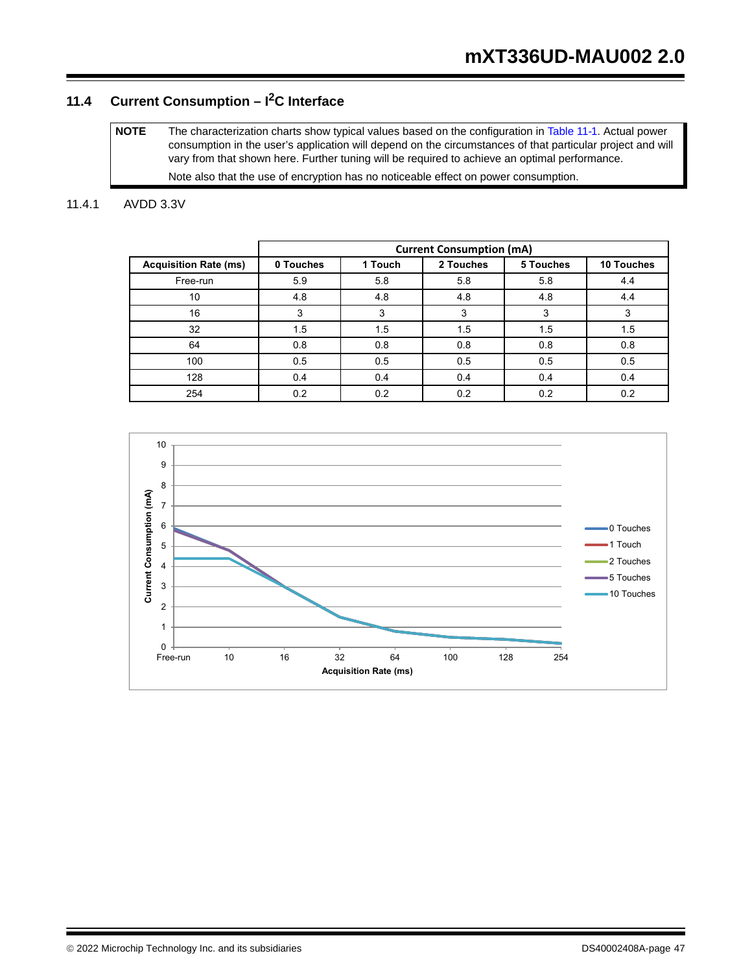## **11.4 Current Consumption – I2C Interface**

**NOTE** The characterization charts show typical values based on the configuration in Table 11-1. Actual power consumption in the user's application will depend on the circumstances of that particular project and will vary from that shown here. Further tuning will be required to achieve an optimal performance. Note also that the use of encryption has no noticeable effect on power consumption.

## 11.4.1 AVDD 3.3V

|                              | <b>Current Consumption (mA)</b> |         |           |           |            |  |  |  |
|------------------------------|---------------------------------|---------|-----------|-----------|------------|--|--|--|
| <b>Acquisition Rate (ms)</b> | 0 Touches                       | 1 Touch | 2 Touches | 5 Touches | 10 Touches |  |  |  |
| Free-run                     | 5.9                             | 5.8     | 5.8       | 5.8       | 4.4        |  |  |  |
| 10                           | 4.8                             | 4.8     | 4.8       | 4.8       | 4.4        |  |  |  |
| 16                           | 3                               | 3       | 3         | 3         |            |  |  |  |
| 32                           | 1.5                             | 1.5     | 1.5       | 1.5       | 1.5        |  |  |  |
| 64                           | 0.8                             | 0.8     | 0.8       | 0.8       | 0.8        |  |  |  |
| 100                          | 0.5                             | 0.5     | 0.5       | 0.5       | 0.5        |  |  |  |
| 128                          | 0.4                             | 0.4     | 0.4       | 0.4       | 0.4        |  |  |  |
| 254                          | 0.2                             | 0.2     | 0.2       | 0.2       | 0.2        |  |  |  |

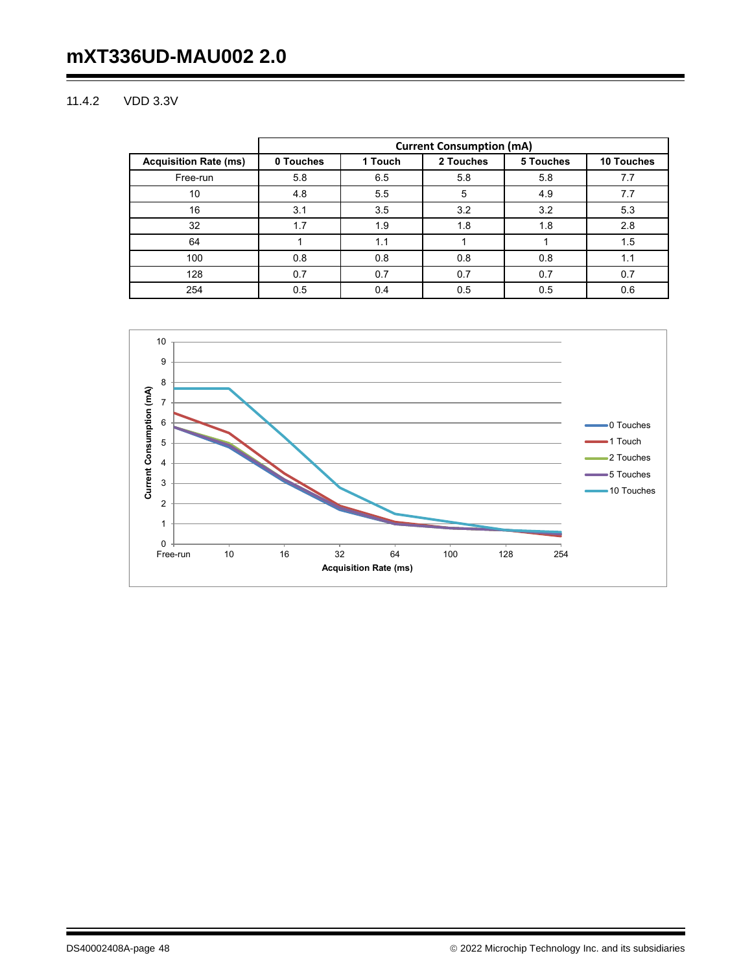# **mXT336UD-MAU002 2.0**

#### 11.4.2 VDD 3.3V

|                              | <b>Current Consumption (mA)</b> |         |           |           |            |  |  |  |
|------------------------------|---------------------------------|---------|-----------|-----------|------------|--|--|--|
| <b>Acquisition Rate (ms)</b> | 0 Touches                       | 1 Touch | 2 Touches | 5 Touches | 10 Touches |  |  |  |
| Free-run                     | 5.8                             | 6.5     | 5.8       | 5.8       | 7.7        |  |  |  |
| 10                           | 4.8                             | 5.5     | 5         | 4.9       | 7.7        |  |  |  |
| 16                           | 3.1                             | 3.5     | 3.2       | 3.2       | 5.3        |  |  |  |
| 32                           | 1.7                             | 1.9     | 1.8       | 1.8       | 2.8        |  |  |  |
| 64                           |                                 | 1.1     |           |           | 1.5        |  |  |  |
| 100                          | 0.8                             | 0.8     | 0.8       | 0.8       | 1.1        |  |  |  |
| 128                          | 0.7                             | 0.7     | 0.7       | 0.7       | 0.7        |  |  |  |
| 254                          | 0.5                             | 0.4     | 0.5       | 0.5       | 0.6        |  |  |  |

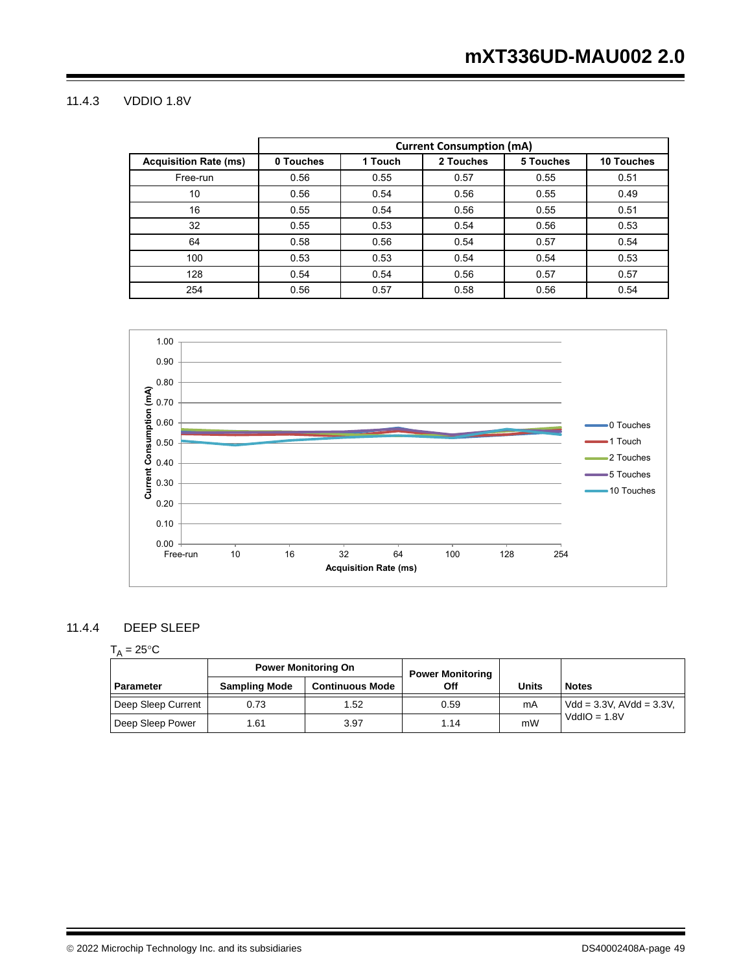#### 11.4.3 VDDIO 1.8V

|                              | <b>Current Consumption (mA)</b> |         |           |           |                   |  |  |  |
|------------------------------|---------------------------------|---------|-----------|-----------|-------------------|--|--|--|
| <b>Acquisition Rate (ms)</b> | 0 Touches                       | 1 Touch | 2 Touches | 5 Touches | <b>10 Touches</b> |  |  |  |
| Free-run                     | 0.56                            | 0.55    | 0.57      | 0.55      | 0.51              |  |  |  |
| 10                           | 0.56                            | 0.54    | 0.56      | 0.55      | 0.49              |  |  |  |
| 16                           | 0.55                            | 0.54    | 0.56      | 0.55      | 0.51              |  |  |  |
| 32                           | 0.55                            | 0.53    | 0.54      | 0.56      | 0.53              |  |  |  |
| 64                           | 0.58                            | 0.56    | 0.54      | 0.57      | 0.54              |  |  |  |
| 100                          | 0.53                            | 0.53    | 0.54      | 0.54      | 0.53              |  |  |  |
| 128                          | 0.54                            | 0.54    | 0.56      | 0.57      | 0.57              |  |  |  |
| 254                          | 0.56                            | 0.57    | 0.58      | 0.56      | 0.54              |  |  |  |



#### 11.4.4 DEEP SLEEP

## $T_A = 25$ °C

|                    |                      | <b>Power Monitoring On</b> | <b>Power Monitoring</b> |       |                                |
|--------------------|----------------------|----------------------------|-------------------------|-------|--------------------------------|
| <b>Parameter</b>   | <b>Sampling Mode</b> | <b>Continuous Mode</b>     | Off                     | Units | <b>Notes</b>                   |
| Deep Sleep Current | 0.73                 | 1.52                       | 0.59                    | mA    | $Vdd = 3.3V$ , $AVdd = 3.3V$ , |
| Deep Sleep Power   | 1.61                 | 3.97                       | 1.14                    | mW    | $VddIO = 1.8V$                 |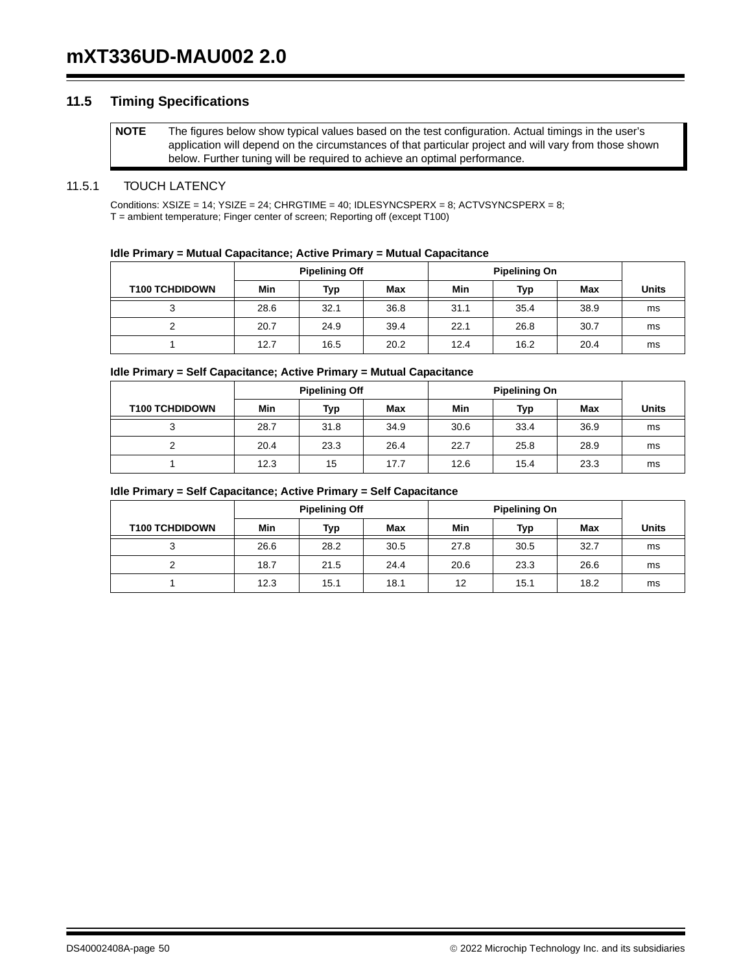### **11.5 Timing Specifications**

**NOTE** The figures below show typical values based on the test configuration. Actual timings in the user's application will depend on the circumstances of that particular project and will vary from those shown below. Further tuning will be required to achieve an optimal performance.

#### 11.5.1 TOUCH LATENCY

Conditions:  $XSIZE = 14$ ;  $YSIZE = 24$ ;  $CHRGTIME = 40$ ;  $IDLESYNCSPERX = 8$ ;  $ACTVSYNCSPERX = 8$ ; T = ambient temperature; Finger center of screen; Reporting off (except T100)

#### **Idle Primary = Mutual Capacitance; Active Primary = Mutual Capacitance**

|                       | <b>Pipelining Off</b> |      |      | <b>Pipelining On</b> |      |      |              |
|-----------------------|-----------------------|------|------|----------------------|------|------|--------------|
| <b>T100 TCHDIDOWN</b> | Min                   | Typ  | Max  | Min                  | Typ  | Max  | <b>Units</b> |
|                       | 28.6                  | 32.1 | 36.8 | 31.1                 | 35.4 | 38.9 | ms           |
|                       | 20.7                  | 24.9 | 39.4 | 22.1                 | 26.8 | 30.7 | ms           |
|                       | 12.7                  | 16.5 | 20.2 | 12.4                 | 16.2 | 20.4 | ms           |

#### **Idle Primary = Self Capacitance; Active Primary = Mutual Capacitance**

|                       | <b>Pipelining Off</b> |      |      | <b>Pipelining On</b> |      |      |              |
|-----------------------|-----------------------|------|------|----------------------|------|------|--------------|
| <b>T100 TCHDIDOWN</b> | Min                   | Typ  | Max  | Min                  | Typ  | Max  | <b>Units</b> |
| ≏<br>ر                | 28.7                  | 31.8 | 34.9 | 30.6                 | 33.4 | 36.9 | ms           |
|                       | 20.4                  | 23.3 | 26.4 | 22.7                 | 25.8 | 28.9 | ms           |
|                       | 12.3                  | 15   | 17.7 | 12.6                 | 15.4 | 23.3 | ms           |

#### **Idle Primary = Self Capacitance; Active Primary = Self Capacitance**

|                       | <b>Pipelining Off</b> |      |      | <b>Pipelining On</b> |      |      |              |
|-----------------------|-----------------------|------|------|----------------------|------|------|--------------|
| <b>T100 TCHDIDOWN</b> | Min                   | Typ  | Max  | Min                  | Typ  | Max  | <b>Units</b> |
| ≏<br>ບ                | 26.6                  | 28.2 | 30.5 | 27.8                 | 30.5 | 32.7 | ms           |
|                       | 18.7                  | 21.5 | 24.4 | 20.6                 | 23.3 | 26.6 | ms           |
|                       | 12.3                  | 15.1 | 18.1 | 12                   | 15.1 | 18.2 | ms           |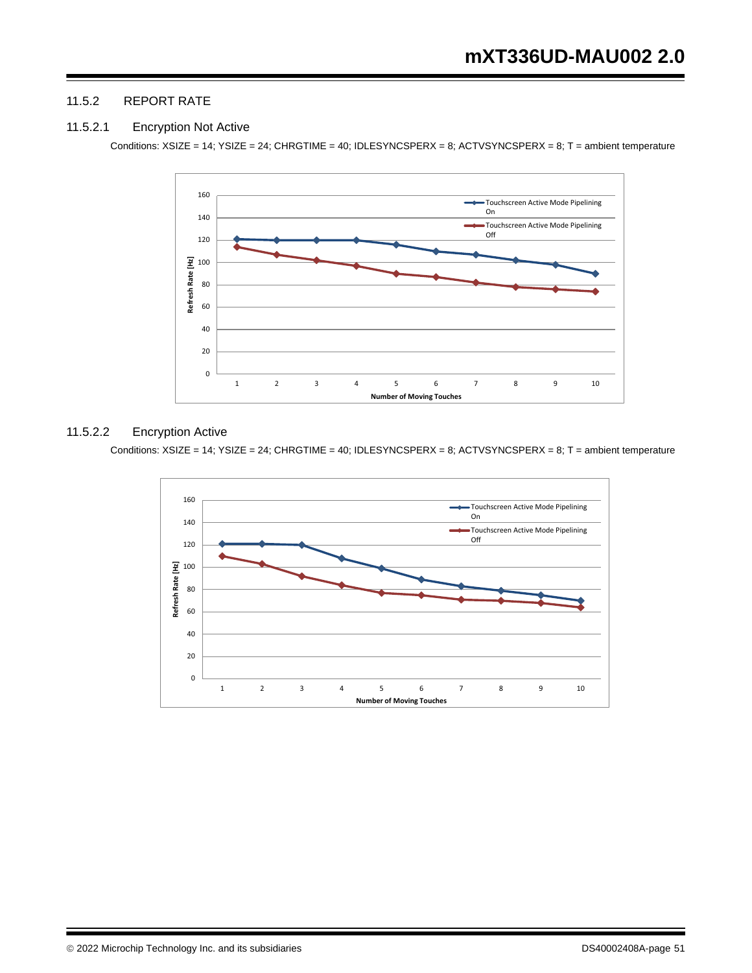#### 11.5.2 REPORT RATE

#### 11.5.2.1 Encryption Not Active

Conditions: XSIZE = 14; YSIZE = 24; CHRGTIME = 40; IDLESYNCSPERX = 8; ACTVSYNCSPERX = 8; T = ambient temperature



#### 11.5.2.2 Encryption Active

Conditions: XSIZE = 14; YSIZE = 24; CHRGTIME = 40; IDLESYNCSPERX = 8; ACTVSYNCSPERX = 8; T = ambient temperature

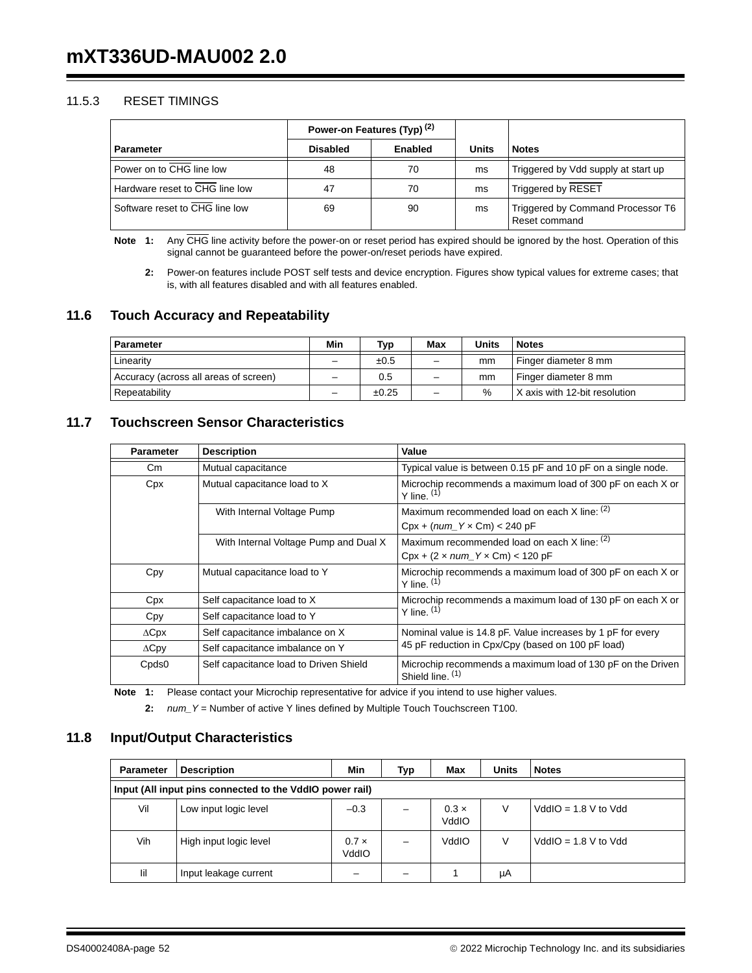#### 11.5.3 RESET TIMINGS

|                                |                 | Power-on Features (Typ) <sup>(2)</sup> |              |                                                    |
|--------------------------------|-----------------|----------------------------------------|--------------|----------------------------------------------------|
| <b>Parameter</b>               | <b>Disabled</b> | Enabled                                | <b>Units</b> | <b>Notes</b>                                       |
| Power on to CHG line low       | 48              | 70                                     | ms           | Triggered by Vdd supply at start up                |
| Hardware reset to CHG line low | 47              | 70                                     | ms           | Triggered by RESET                                 |
| Software reset to CHG line low | 69              | 90                                     | ms           | Triggered by Command Processor T6<br>Reset command |

**Note 1:** Any CHG line activity before the power-on or reset period has expired should be ignored by the host. Operation of this signal cannot be guaranteed before the power-on/reset periods have expired.

**2:** Power-on features include POST self tests and device encryption. Figures show typical values for extreme cases; that is, with all features disabled and with all features enabled.

## **11.6 Touch Accuracy and Repeatability**

| Parameter                             | Min | Typ   | Max                      | Units | <b>Notes</b>                  |
|---------------------------------------|-----|-------|--------------------------|-------|-------------------------------|
| Linearity                             | -   | ±0.5  | $\overline{\phantom{0}}$ | mm    | Finger diameter 8 mm          |
| Accuracy (across all areas of screen) | -   | 0.5   | $\overline{\phantom{m}}$ | mm    | Finger diameter 8 mm          |
| Repeatability                         | -   | ±0.25 | $\overline{\phantom{0}}$ | $\%$  | X axis with 12-bit resolution |

## **11.7 Touchscreen Sensor Characteristics**

| <b>Parameter</b>  | <b>Description</b>                     | Value                                                                           |
|-------------------|----------------------------------------|---------------------------------------------------------------------------------|
| Cm.               | Mutual capacitance                     | Typical value is between 0.15 pF and 10 pF on a single node.                    |
| Cpx               | Mutual capacitance load to X           | Microchip recommends a maximum load of 300 pF on each X or<br>Y line. $(1)$     |
|                   | With Internal Voltage Pump             | Maximum recommended load on each X line: (2)                                    |
|                   |                                        | $Cpx + (num_Y \times Cm) < 240 pF$                                              |
|                   | With Internal Voltage Pump and Dual X  | Maximum recommended load on each $X$ line: $(2)$                                |
|                   |                                        | $Cpx + (2 \times num_Y \times Cm) < 120$ pF                                     |
| Cpy               | Mutual capacitance load to Y           | Microchip recommends a maximum load of 300 pF on each X or<br>$Y$ line. $(1)$   |
| Cpx               | Self capacitance load to X             | Microchip recommends a maximum load of 130 pF on each X or                      |
| Cpy               | Self capacitance load to Y             | Y line. $(1)$                                                                   |
| $\Delta$ Cpx      | Self capacitance imbalance on X        | Nominal value is 14.8 pF. Value increases by 1 pF for every                     |
| $\Delta$ Cpy      | Self capacitance imbalance on Y        | 45 pF reduction in Cpx/Cpy (based on 100 pF load)                               |
| Cpds <sub>0</sub> | Self capacitance load to Driven Shield | Microchip recommends a maximum load of 130 pF on the Driven<br>Shield line. (1) |

**Note 1:** Please contact your Microchip representative for advice if you intend to use higher values.

**2:** *num\_Y* = Number of active Y lines defined by Multiple Touch Touchscreen T100.

## **11.8 Input/Output Characteristics**

| <b>Parameter</b> | <b>Description</b>                                       | Min                   | Typ | Max                   | <b>Units</b> | <b>Notes</b>           |
|------------------|----------------------------------------------------------|-----------------------|-----|-----------------------|--------------|------------------------|
|                  | Input (All input pins connected to the VddIO power rail) |                       |     |                       |              |                        |
| Vil              | Low input logic level                                    | $-0.3$                | -   | $0.3 \times$<br>VddIO | V            | $VddIO = 1.8 V to Vdd$ |
| Vih              | High input logic level                                   | $0.7 \times$<br>VddIO |     | VddIO                 | V            | $VddIO = 1.8 V to Vdd$ |
| lil              | Input leakage current                                    |                       | -   |                       | μA           |                        |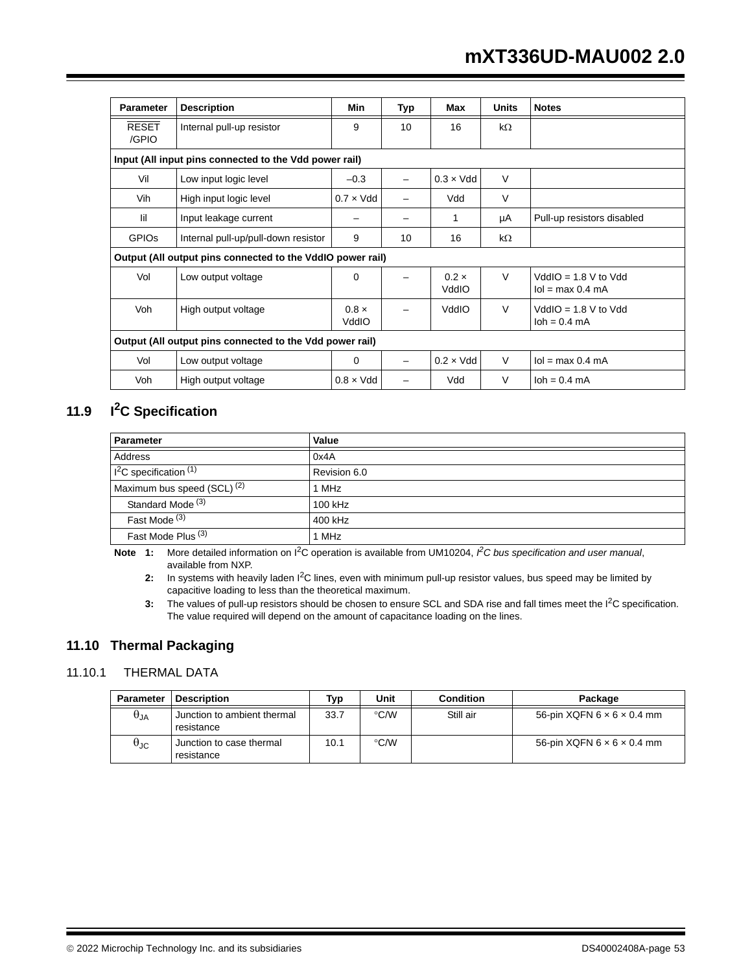| <b>Parameter</b>      | <b>Description</b>                                         | Min                   | Typ | Max                   | <b>Units</b> | <b>Notes</b>                                     |
|-----------------------|------------------------------------------------------------|-----------------------|-----|-----------------------|--------------|--------------------------------------------------|
| <b>RESET</b><br>/GPIO | Internal pull-up resistor                                  | 9                     | 10  | 16                    | $k\Omega$    |                                                  |
|                       | Input (All input pins connected to the Vdd power rail)     |                       |     |                       |              |                                                  |
| Vil                   | Low input logic level                                      | $-0.3$                |     | $0.3 \times V$ dd     | $\vee$       |                                                  |
| Vih                   | High input logic level                                     | $0.7 \times V$ dd     | —   | Vdd                   | $\vee$       |                                                  |
| lil                   | Input leakage current                                      |                       |     | 1                     | μA           | Pull-up resistors disabled                       |
| <b>GPIOS</b>          | Internal pull-up/pull-down resistor                        | 9                     | 10  | 16                    | $k\Omega$    |                                                  |
|                       | Output (All output pins connected to the VddIO power rail) |                       |     |                       |              |                                                  |
| Vol                   | Low output voltage                                         | 0                     |     | $0.2 \times$<br>VddIO | $\vee$       | $VddIO = 1.8 V to Vdd$<br>$I$ ol = max 0.4 mA    |
| Voh                   | High output voltage                                        | $0.8 \times$<br>VddIO |     | VddIO                 | $\vee$       | $VddIO = 1.8 V to Vdd$<br>$\lambda$ loh = 0.4 mA |
|                       | Output (All output pins connected to the Vdd power rail)   |                       |     |                       |              |                                                  |
| Vol                   | Low output voltage                                         | 0                     |     | $0.2 \times V$ dd     | $\vee$       | $Iol = max 0.4 mA$                               |
| Voh                   | High output voltage                                        | $0.8 \times V$ dd     |     | Vdd                   | $\vee$       | $\lambda$ loh = 0.4 mA                           |

## **11.9 I2C Specification**

| <b>Parameter</b>                       | Value        |
|----------------------------------------|--------------|
| <b>Address</b>                         | 0x4A         |
| $12C$ specification $(1)$              | Revision 6.0 |
| Maximum bus speed (SCL) <sup>(2)</sup> | 1 MHz        |
| Standard Mode <sup>(3)</sup>           | 100 kHz      |
| Fast Mode <sup>(3)</sup>               | 400 kHz      |
| Fast Mode Plus <sup>(3)</sup>          | 1 MHz        |

**Note 1:** More detailed information on I2C operation is available from UM10204, *I 2C bus specification and user manual*, available from NXP.

2: In systems with heavily laden I<sup>2</sup>C lines, even with minimum pull-up resistor values, bus speed may be limited by capacitive loading to less than the theoretical maximum.

**3:** The values of pull-up resistors should be chosen to ensure SCL and SDA rise and fall times meet the I<sup>2</sup>C specification. The value required will depend on the amount of capacitance loading on the lines.

## **11.10 Thermal Packaging**

## 11.10.1 THERMAL DATA

| Parameter            | <b>Description</b>                        | Typ  | Unit          | <b>Condition</b> | Package                                |
|----------------------|-------------------------------------------|------|---------------|------------------|----------------------------------------|
| $\theta_{JA}$        | Junction to ambient thermal<br>resistance | 33.7 | °C/W          | Still air        | 56-pin $XQFN 6 \times 6 \times 0.4$ mm |
| $\theta_{\text{JC}}$ | Junction to case thermal<br>resistance    | 10.1 | $\degree$ C/W |                  | 56-pin $XQFN 6 \times 6 \times 0.4$ mm |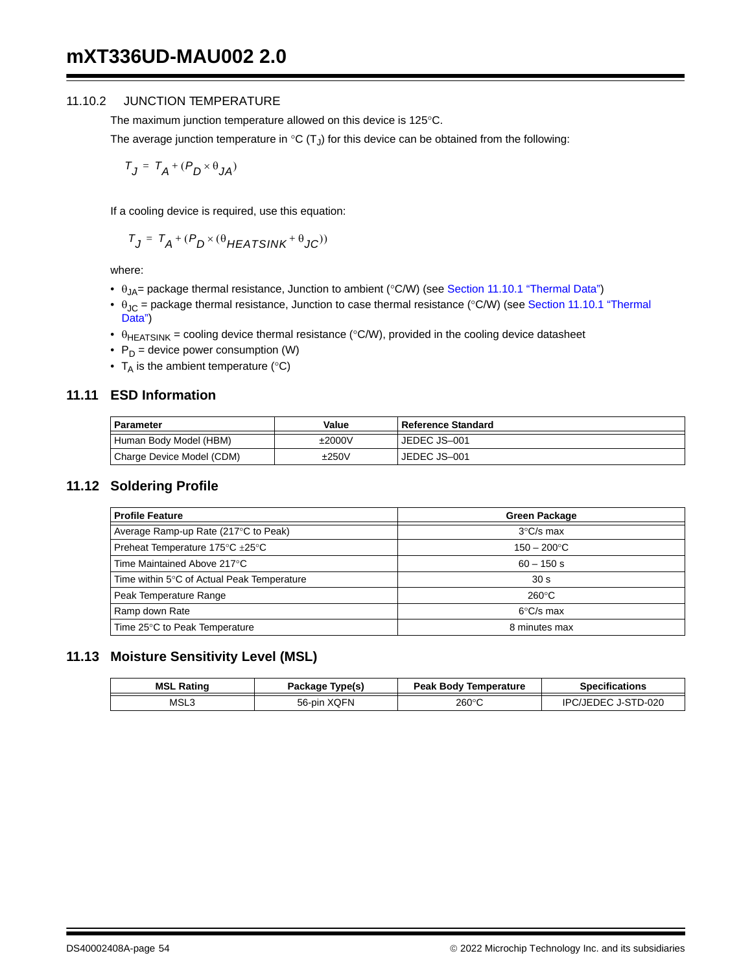#### 11.10.2 JUNCTION TEMPERATURE

The maximum junction temperature allowed on this device is 125°C.

The average junction temperature in  ${}^{\circ}C(T_J)$  for this device can be obtained from the following:

$$
T_J = T_A + (P_D \times \theta_{JA})
$$

If a cooling device is required, use this equation:

$$
T_J = T_A + (P_D \times (\theta_{HEATSINK} + \theta_{JC}))
$$

where:

- $\theta_{JA}$  = package thermal resistance, Junction to ambient (°C/W) (see Section 11.10.1 "Thermal Data")
- $\theta_{JC}$  = package thermal resistance, Junction to case thermal resistance (°C/W) (see Section 11.10.1 "Thermal Data")
- $\theta_{\text{HEATSINK}}$  = cooling device thermal resistance (°C/W), provided in the cooling device datasheet
- $P_D$  = device power consumption (W)
- $T_A$  is the ambient temperature (°C)

### **11.11 ESD Information**

| Parameter                 | Value        | l Reference Standard |
|---------------------------|--------------|----------------------|
| Human Body Model (HBM)    | $\pm 2000$ V | JEDEC JS-001         |
| Charge Device Model (CDM) | ±250V        | JEDEC JS-001         |

#### **11.12 Soldering Profile**

| <b>Profile Feature</b>                     | <b>Green Package</b>  |
|--------------------------------------------|-----------------------|
| Average Ramp-up Rate (217°C to Peak)       | $3^{\circ}$ C/s max   |
| Preheat Temperature 175°C ±25°C            | $150 - 200^{\circ}$ C |
| Time Maintained Above 217°C                | $60 - 150$ s          |
| Time within 5°C of Actual Peak Temperature | 30 <sub>s</sub>       |
| Peak Temperature Range                     | $260^{\circ}$ C       |
| Ramp down Rate                             | $6^{\circ}$ C/s max   |
| Time 25°C to Peak Temperature              | 8 minutes max         |

### **11.13 Moisture Sensitivity Level (MSL)**

| MSL<br>Rating | Type(s)<br>Package    | <b>Peak Body Temperature</b> | <b>Specifications</b>          |
|---------------|-----------------------|------------------------------|--------------------------------|
| MSL3          | <b>XOFN</b><br>56-pin | 260°C                        | STD-020<br>IÞC<br>$JJ$ . $F^T$ |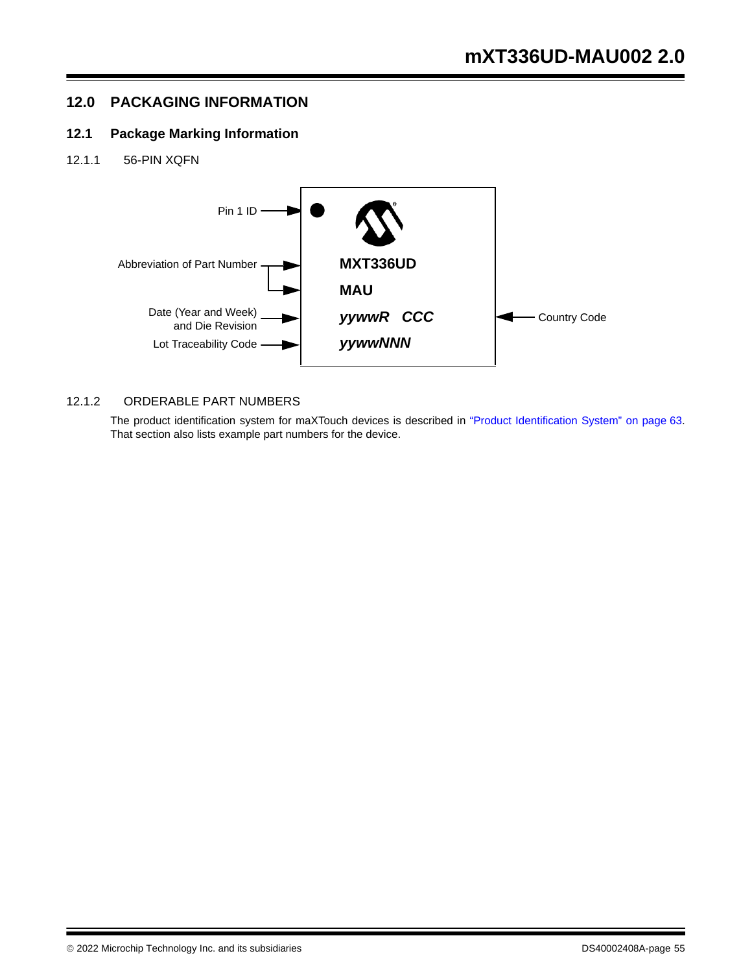## **12.0 PACKAGING INFORMATION**

## **12.1 Package Marking Information**

12.1.1 56-PIN XQFN



## 12.1.2 ORDERABLE PART NUMBERS

The product identification system for maXTouch devices is described in "Product Identification System" on page 63. That section also lists example part numbers for the device.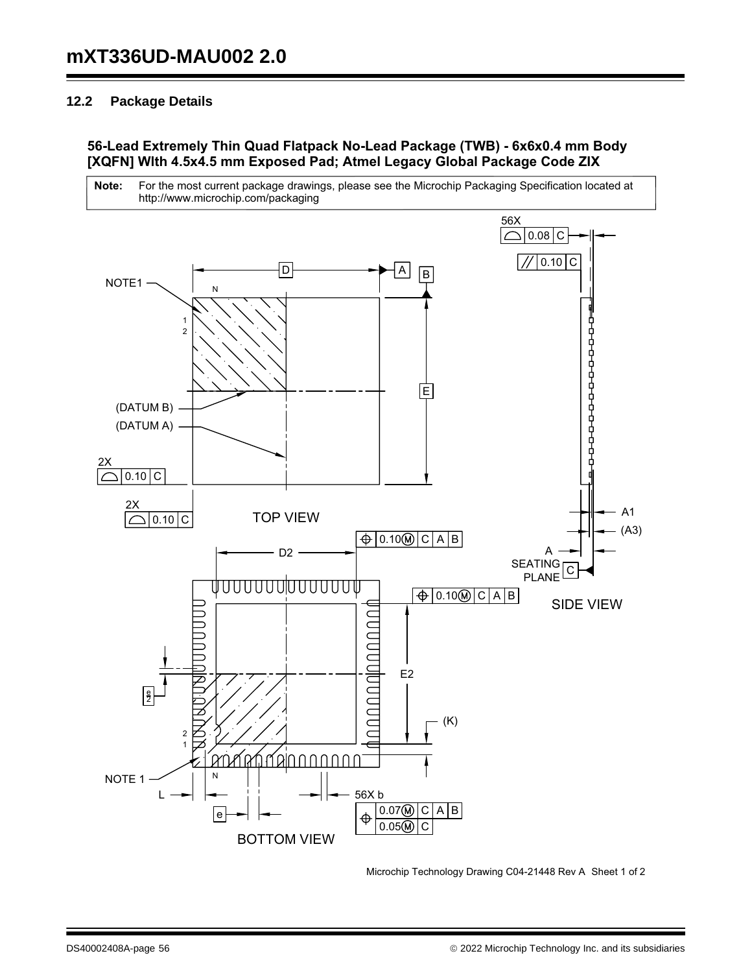## **12.2 Package Details**

## **56-Lead Extremely Thin Quad Flatpack No-Lead Package (TWB) - 6x6x0.4 mm Body [XQFN] Wlth 4.5x4.5 mm Exposed Pad; Atmel Legacy Global Package Code ZIX**





Microchip Technology Drawing C04-21448 Rev A Sheet 1 of 2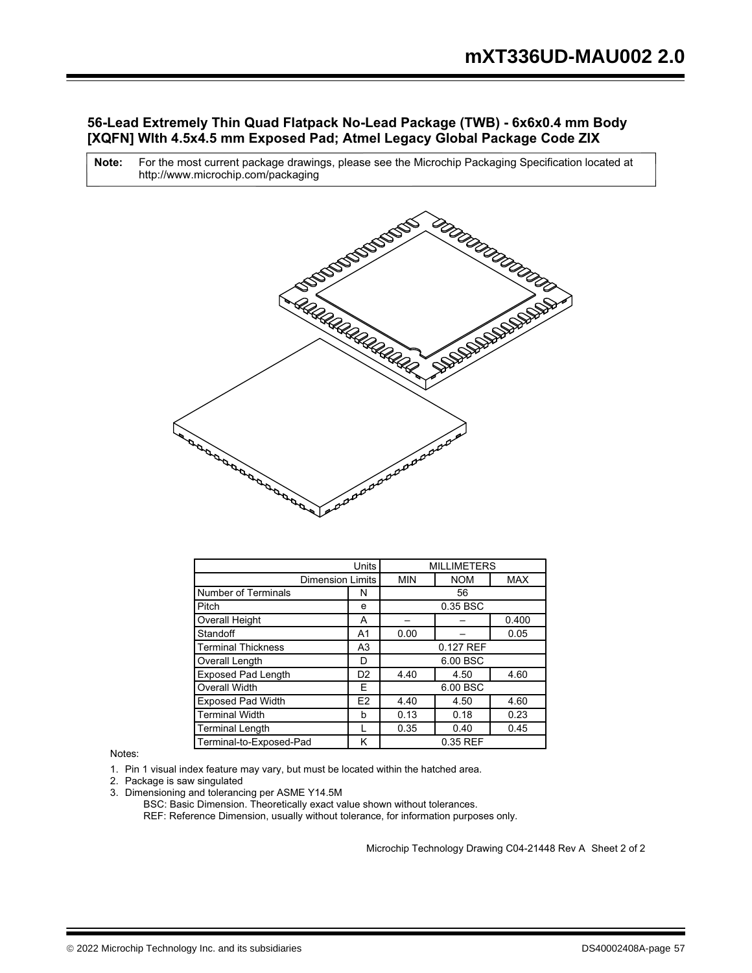### **56-Lead Extremely Thin Quad Flatpack No-Lead Package (TWB) - 6x6x0.4 mm Body [XQFN] Wlth 4.5x4.5 mm Exposed Pad; Atmel Legacy Global Package Code ZIX**

For the most current package drawings, please see the Microchip Packaging Specification located at http://www.microchip.com/packaging **Note:**



|                            | Units          |            | <b>MILLIMETERS</b> |            |
|----------------------------|----------------|------------|--------------------|------------|
| <b>Dimension Limits</b>    |                | <b>MIN</b> | <b>NOM</b>         | <b>MAX</b> |
| <b>Number of Terminals</b> | N              |            | 56                 |            |
| Pitch                      | e              |            | 0.35 BSC           |            |
| Overall Height             | А              |            |                    | 0.400      |
| Standoff                   | A1             | 0.00       |                    | 0.05       |
| <b>Terminal Thickness</b>  | A <sub>3</sub> |            | 0.127 REF          |            |
| Overall Length             | D              |            | 6.00 BSC           |            |
| <b>Exposed Pad Length</b>  | D <sub>2</sub> | 4.40       | 4.50               | 4.60       |
| <b>Overall Width</b>       | F              |            | 6.00 BSC           |            |
| <b>Exposed Pad Width</b>   | E <sub>2</sub> | 4.40       | 4.50               | 4.60       |
| <b>Terminal Width</b>      | b              | 0.13       | 0.18               | 0.23       |
| <b>Terminal Length</b>     |                | 0.35       | 0.40               | 0.45       |
| Terminal-to-Exposed-Pad    | κ              |            | 0.35 REF           |            |

Notes:

1. Pin 1 visual index feature may vary, but must be located within the hatched area.

- 2. Package is saw singulated
- 3. Dimensioning and tolerancing per ASME Y14.5M

REF: Reference Dimension, usually without tolerance, for information purposes only. BSC: Basic Dimension. Theoretically exact value shown without tolerances.

Microchip Technology Drawing C04-21448 Rev A Sheet 2 of 2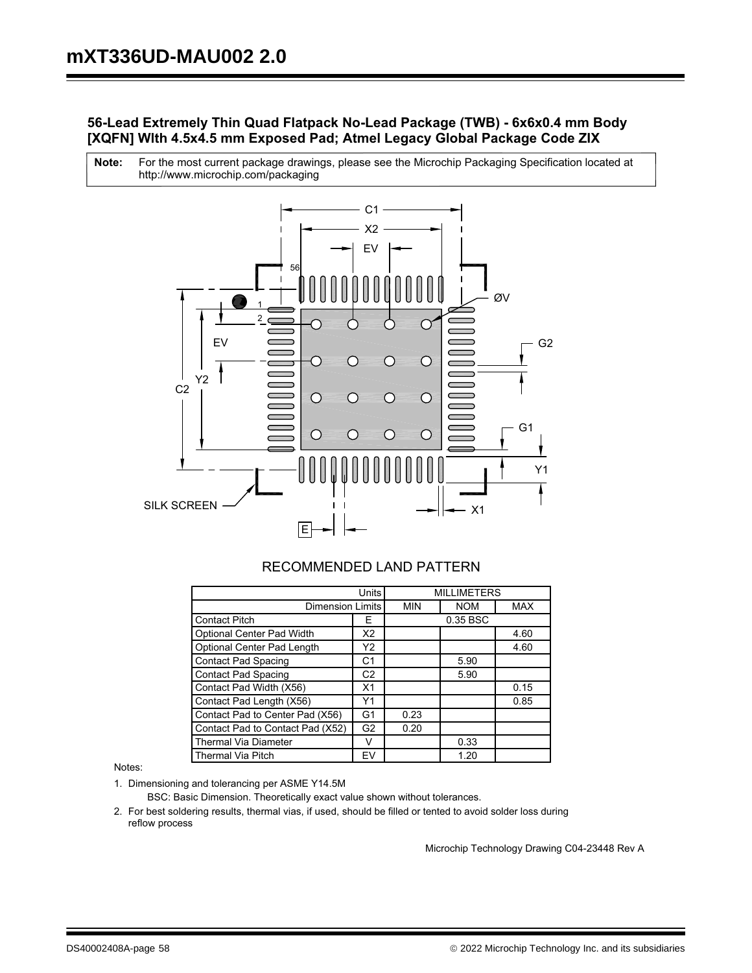## **56-Lead Extremely Thin Quad Flatpack No-Lead Package (TWB) - 6x6x0.4 mm Body [XQFN] Wlth 4.5x4.5 mm Exposed Pad; Atmel Legacy Global Package Code ZIX**

For the most current package drawings, please see the Microchip Packaging Specification located at http://www.microchip.com/packaging **Note:**



## RECOMMENDED LAND PATTERN

|                                  | Units          |            | <b>MILLIMETERS</b> |            |
|----------------------------------|----------------|------------|--------------------|------------|
| <b>Dimension Limits</b>          |                | <b>MIN</b> | <b>NOM</b>         | <b>MAX</b> |
| <b>Contact Pitch</b>             | F              |            | 0.35 BSC           |            |
| Optional Center Pad Width        | X2             |            |                    | 4.60       |
| Optional Center Pad Length       | Y2             |            |                    | 4.60       |
| <b>Contact Pad Spacing</b>       | C1             |            | 5.90               |            |
| <b>Contact Pad Spacing</b>       | C <sub>2</sub> |            | 5.90               |            |
| Contact Pad Width (X56)          | X <sub>1</sub> |            |                    | 0.15       |
| Contact Pad Length (X56)         | Υ1             |            |                    | 0.85       |
| Contact Pad to Center Pad (X56)  | G1             | 0.23       |                    |            |
| Contact Pad to Contact Pad (X52) | G <sub>2</sub> | 0.20       |                    |            |
| <b>Thermal Via Diameter</b>      | v              |            | 0.33               |            |
| <b>Thermal Via Pitch</b>         | EV             |            | 1.20               |            |

Notes:

1. Dimensioning and tolerancing per ASME Y14.5M

BSC: Basic Dimension. Theoretically exact value shown without tolerances.

2. For best soldering results, thermal vias, if used, should be filled or tented to avoid solder loss during reflow process

Microchip Technology Drawing C04-23448 Rev A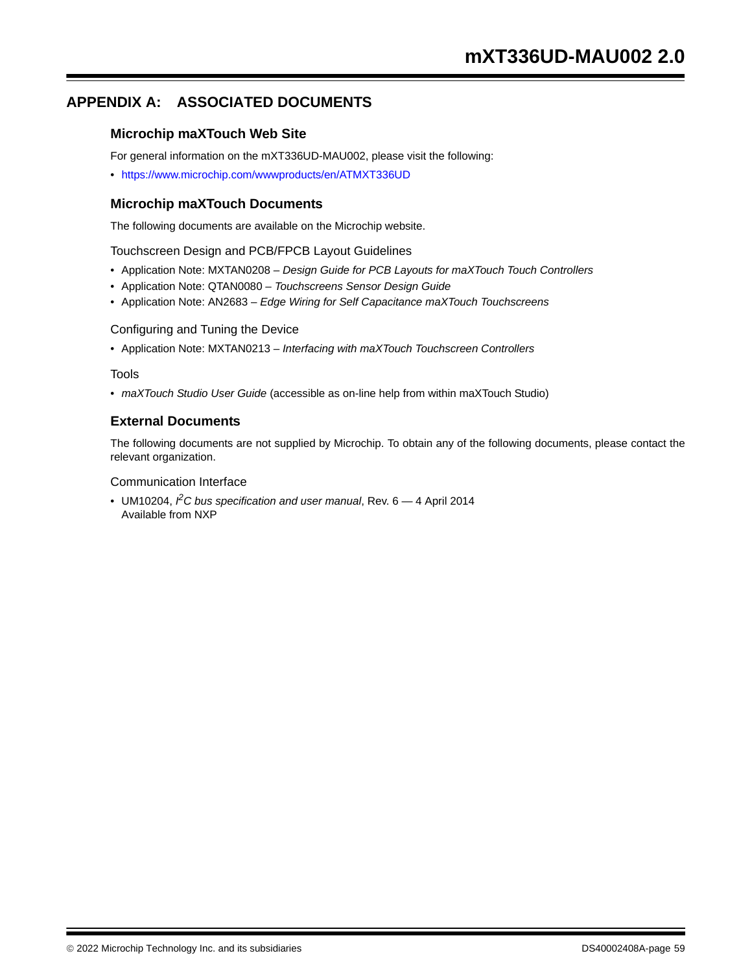## **APPENDIX A: ASSOCIATED DOCUMENTS**

### **Microchip maXTouch Web Site**

For general information on the mXT336UD-MAU002, please visit the following:

• https://www.microchip.com/wwwproducts/en/ATMXT336UD

### **Microchip maXTouch Documents**

The following documents are available on the Microchip website.

Touchscreen Design and PCB/FPCB Layout Guidelines

- Application Note: MXTAN0208 *Design Guide for PCB Layouts for maXTouch Touch Controllers*
- Application Note: QTAN0080 *Touchscreens Sensor Design Guide*
- Application Note: AN2683 *Edge Wiring for Self Capacitance maXTouch Touchscreens*

#### Configuring and Tuning the Device

• Application Note: MXTAN0213 – *Interfacing with maXTouch Touchscreen Controllers*

#### Tools

• *maXTouch Studio User Guide* (accessible as on-line help from within maXTouch Studio)

#### **External Documents**

The following documents are not supplied by Microchip. To obtain any of the following documents, please contact the relevant organization.

#### Communication Interface

• UM10204, <sup>*P*</sup>C bus specification and user manual, Rev. 6 – 4 April 2014 Available from NXP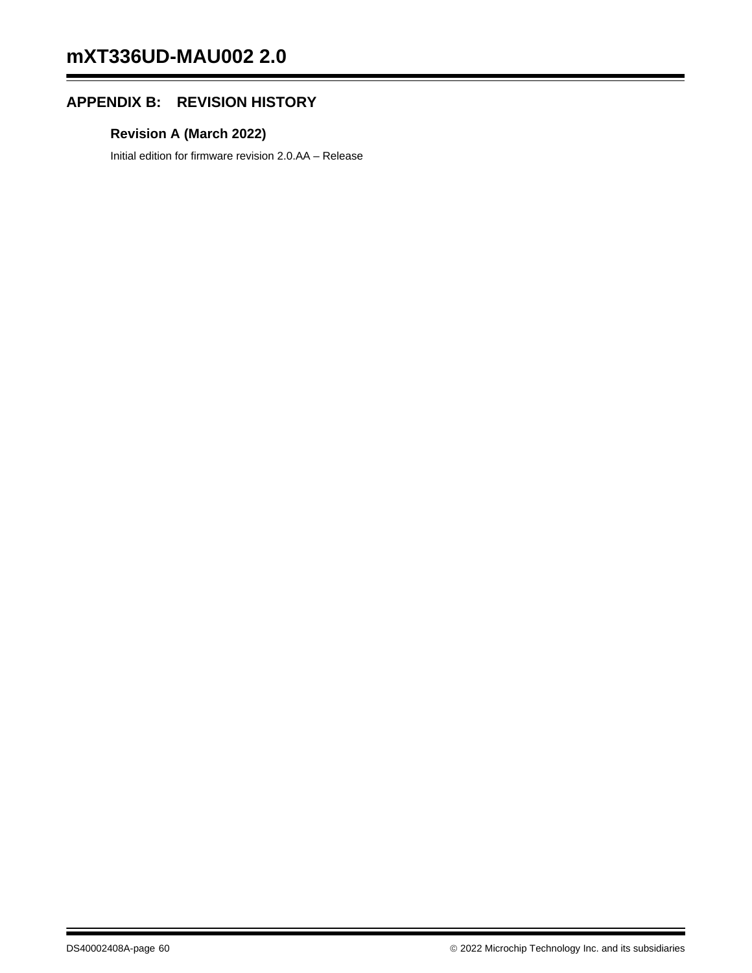## **APPENDIX B: REVISION HISTORY**

## **Revision A (March 2022)**

Initial edition for firmware revision 2.0.AA – Release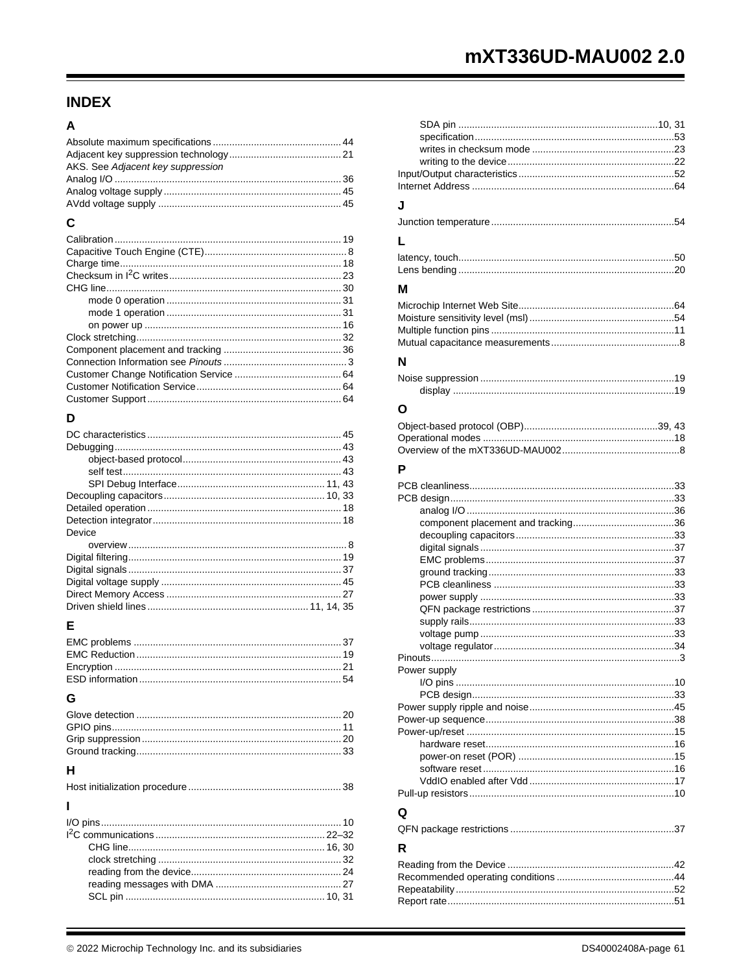## **INDEX**

## $\overline{\mathsf{A}}$

| AKS. See Adjacent key suppression |  |
|-----------------------------------|--|
|                                   |  |
|                                   |  |
|                                   |  |
|                                   |  |

## $\mathbf c$

## D

| Device |  |
|--------|--|
|        |  |
|        |  |
|        |  |
|        |  |
|        |  |
|        |  |

## E

## G

| н |  |
|---|--|

 $\overline{1}$  $I/O$  pins  $10$ 

| J            |  |
|--------------|--|
|              |  |
| L            |  |
|              |  |
| м            |  |
|              |  |
|              |  |
|              |  |
| N            |  |
|              |  |
|              |  |
| O            |  |
|              |  |
|              |  |
|              |  |
| Р            |  |
|              |  |
|              |  |
|              |  |
|              |  |
|              |  |
|              |  |
|              |  |
|              |  |
|              |  |
|              |  |
|              |  |
|              |  |
| Power supply |  |
|              |  |
|              |  |
|              |  |
|              |  |
|              |  |
|              |  |
|              |  |
|              |  |
|              |  |
| Q            |  |
|              |  |
| R            |  |
|              |  |
|              |  |
|              |  |
|              |  |
|              |  |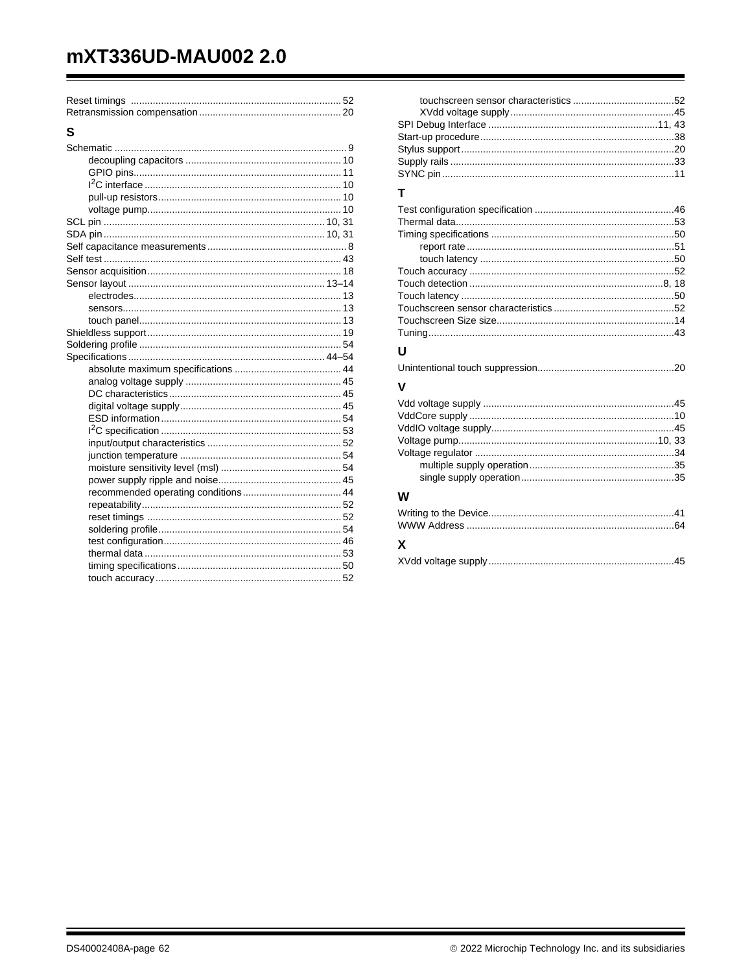# mXT336UD-MAU002 2.0

| S |  |
|---|--|
|   |  |
|   |  |
|   |  |
|   |  |
|   |  |
|   |  |
|   |  |
|   |  |
|   |  |
|   |  |
|   |  |
|   |  |
|   |  |
|   |  |
|   |  |
|   |  |
|   |  |
|   |  |
|   |  |
|   |  |
|   |  |
|   |  |
|   |  |
|   |  |
|   |  |
|   |  |
|   |  |
|   |  |
|   |  |
|   |  |
|   |  |
|   |  |
|   |  |
|   |  |
|   |  |
|   |  |

## $\mathbf{T}$

#### U

|--|

#### $\mathbf{V}$

| w |  |
|---|--|
|   |  |
|   |  |
|   |  |

## X

|--|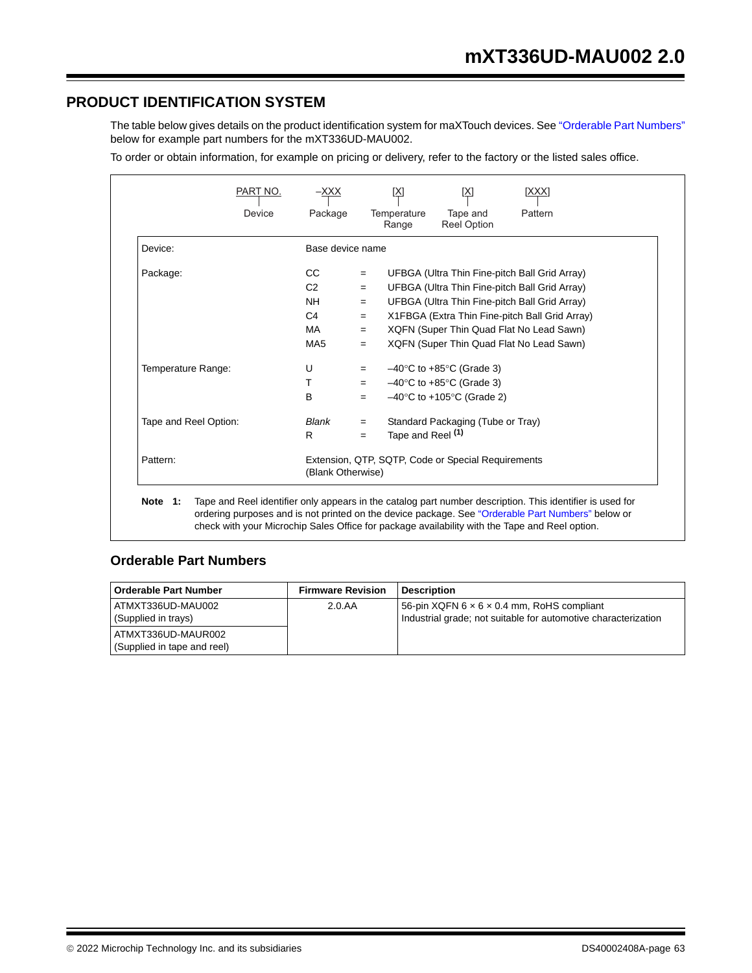## **PRODUCT IDENTIFICATION SYSTEM**

The table below gives details on the product identification system for maXTouch devices. See "Orderable Part Numbers" below for example part numbers for the mXT336UD-MAU002.

To order or obtain information, for example on pricing or delivery, refer to the factory or the listed sales office.

|                       | Device | Package                                                                 |     | Temperature<br>Range         | Tape and<br><b>Reel Option</b>                 | Pattern                                        |
|-----------------------|--------|-------------------------------------------------------------------------|-----|------------------------------|------------------------------------------------|------------------------------------------------|
| Device:               |        | Base device name                                                        |     |                              |                                                |                                                |
| Package:              |        | CC.                                                                     | $=$ |                              |                                                | UFBGA (Ultra Thin Fine-pitch Ball Grid Array)  |
|                       |        | C <sub>2</sub>                                                          | $=$ |                              |                                                | UFBGA (Ultra Thin Fine-pitch Ball Grid Array)  |
|                       |        | <b>NH</b>                                                               | $=$ |                              |                                                | UFBGA (Ultra Thin Fine-pitch Ball Grid Array)  |
|                       |        | C <sub>4</sub>                                                          | $=$ |                              |                                                | X1FBGA (Extra Thin Fine-pitch Ball Grid Array) |
|                       |        | MA                                                                      | $=$ |                              |                                                | XQFN (Super Thin Quad Flat No Lead Sawn)       |
|                       |        | MA <sub>5</sub>                                                         | $=$ |                              |                                                | XQFN (Super Thin Quad Flat No Lead Sawn)       |
| Temperature Range:    |        | U                                                                       | $=$ |                              | $-40^{\circ}$ C to $+85^{\circ}$ C (Grade 3)   |                                                |
|                       |        | т                                                                       | $=$ |                              | $-40^{\circ}$ C to $+85^{\circ}$ C (Grade 3)   |                                                |
|                       |        | B                                                                       | $=$ |                              | $-40^{\circ}$ C to +105 $^{\circ}$ C (Grade 2) |                                                |
| Tape and Reel Option: |        | Blank                                                                   | $=$ |                              | Standard Packaging (Tube or Tray)              |                                                |
|                       |        | R                                                                       | $=$ | Tape and Reel <sup>(1)</sup> |                                                |                                                |
| Pattern:              |        | Extension, QTP, SQTP, Code or Special Requirements<br>(Blank Otherwise) |     |                              |                                                |                                                |

## **Orderable Part Numbers**

| <b>Orderable Part Number</b>                      | <b>Firmware Revision</b> | <b>Description</b>                                                                                                       |
|---------------------------------------------------|--------------------------|--------------------------------------------------------------------------------------------------------------------------|
| ATMXT336UD-MAU002<br>(Supplied in trays)          | 2.0.AA                   | 56-pin XQFN $6 \times 6 \times 0.4$ mm, RoHS compliant<br>Industrial grade; not suitable for automotive characterization |
| ATMXT336UD-MAUR002<br>(Supplied in tape and reel) |                          |                                                                                                                          |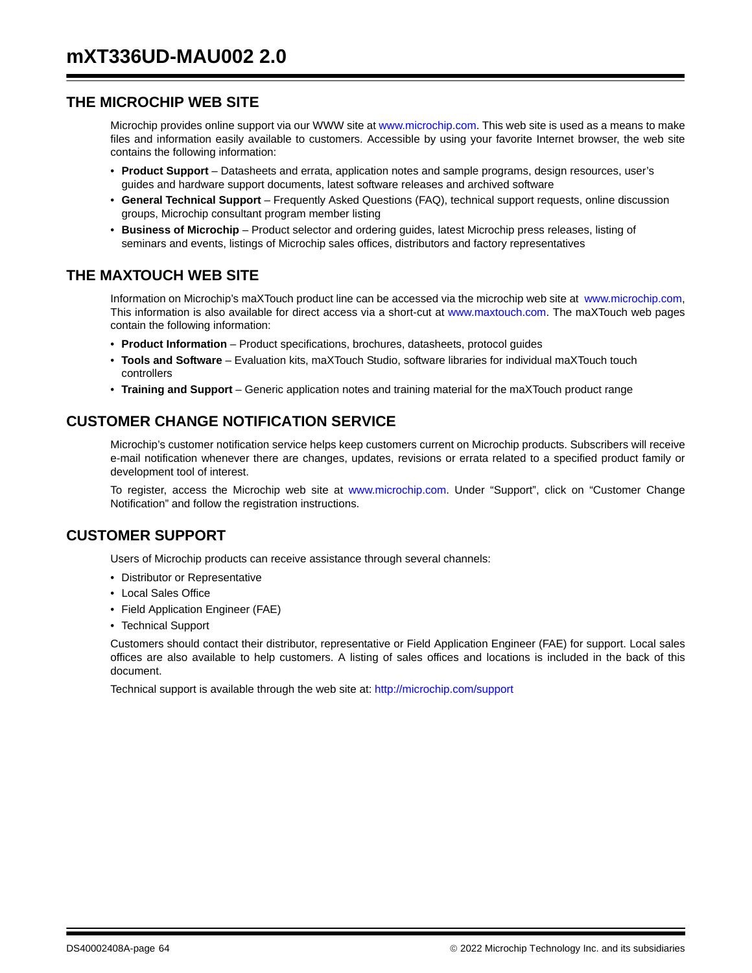## **THE MICROCHIP WEB SITE**

Microchip provides online support via our WWW site at www.microchip.com. This web site is used as a means to make files and information easily available to customers. Accessible by using your favorite Internet browser, the web site contains the following information:

- **Product Support** Datasheets and errata, application notes and sample programs, design resources, user's guides and hardware support documents, latest software releases and archived software
- **General Technical Support** Frequently Asked Questions (FAQ), technical support requests, online discussion groups, Microchip consultant program member listing
- **Business of Microchip** Product selector and ordering guides, latest Microchip press releases, listing of seminars and events, listings of Microchip sales offices, distributors and factory representatives

## **THE MAXTOUCH WEB SITE**

Information on Microchip's maXTouch product line can be accessed via the microchip web site at www.microchip.com, This information is also available for direct access via a short-cut at www.maxtouch.com. The maXTouch web pages contain the following information:

- **Product Information**  Product specifications, brochures, datasheets, protocol guides
- **Tools and Software**  Evaluation kits, maXTouch Studio, software libraries for individual maXTouch touch controllers
- **Training and Support** Generic application notes and training material for the maXTouch product range

## **CUSTOMER CHANGE NOTIFICATION SERVICE**

Microchip's customer notification service helps keep customers current on Microchip products. Subscribers will receive e-mail notification whenever there are changes, updates, revisions or errata related to a specified product family or development tool of interest.

To register, access the Microchip web site at www.microchip.com. Under "Support", click on "Customer Change Notification" and follow the registration instructions.

## **CUSTOMER SUPPORT**

Users of Microchip products can receive assistance through several channels:

- Distributor or Representative
- Local Sales Office
- Field Application Engineer (FAE)
- Technical Support

Customers should contact their distributor, representative or Field Application Engineer (FAE) for support. Local sales offices are also available to help customers. A listing of sales offices and locations is included in the back of this document.

Technical support is available through the web site at: http://microchip.com/support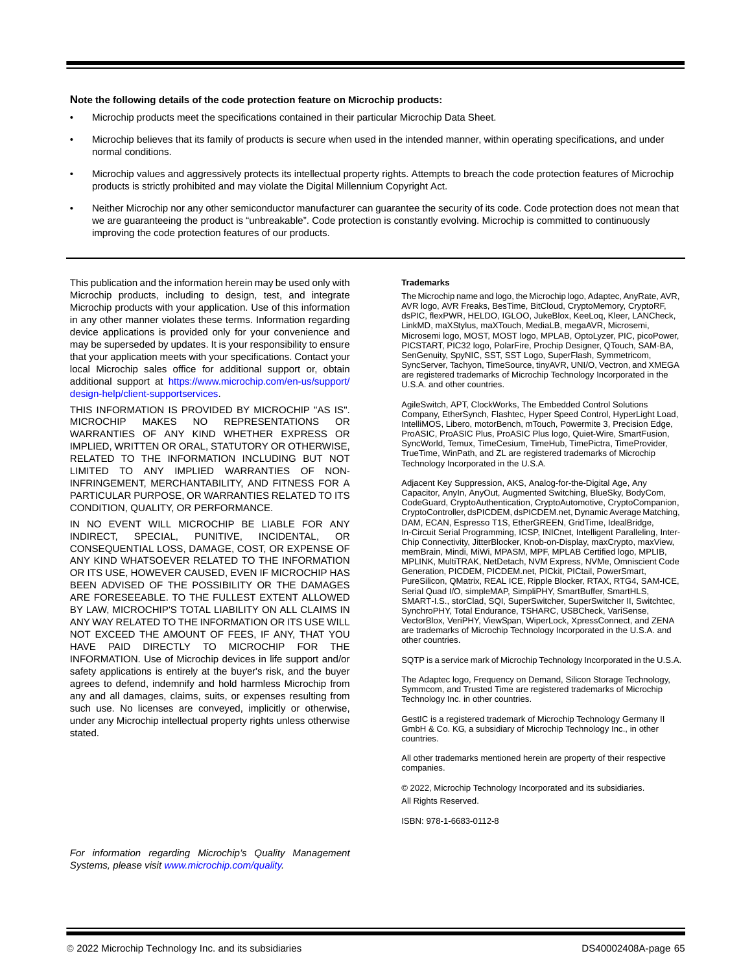#### **Note the following details of the code protection feature on Microchip products:**

- Microchip products meet the specifications contained in their particular Microchip Data Sheet.
- Microchip believes that its family of products is secure when used in the intended manner, within operating specifications, and under normal conditions.
- Microchip values and aggressively protects its intellectual property rights. Attempts to breach the code protection features of Microchip products is strictly prohibited and may violate the Digital Millennium Copyright Act.
- Neither Microchip nor any other semiconductor manufacturer can guarantee the security of its code. Code protection does not mean that we are guaranteeing the product is "unbreakable". Code protection is constantly evolving. Microchip is committed to continuously improving the code protection features of our products.

This publication and the information herein may be used only with Microchip products, including to design, test, and integrate Microchip products with your application. Use of this information in any other manner violates these terms. Information regarding device applications is provided only for your convenience and may be superseded by updates. It is your responsibility to ensure that your application meets with your specifications. Contact your local Microchip sales office for additional support or, obtain additional support at https://www.microchip.com/en-us/support/ design-help/client-supportservices.

THIS INFORMATION IS PROVIDED BY MICROCHIP "AS IS". MICROCHIP MAKES NO REPRESENTATIONS OR WARRANTIES OF ANY KIND WHETHER EXPRESS OR IMPLIED, WRITTEN OR ORAL, STATUTORY OR OTHERWISE, RELATED TO THE INFORMATION INCLUDING BUT NOT LIMITED TO ANY IMPLIED WARRANTIES OF NON-INFRINGEMENT, MERCHANTABILITY, AND FITNESS FOR A PARTICULAR PURPOSE, OR WARRANTIES RELATED TO ITS CONDITION, QUALITY, OR PERFORMANCE.

IN NO EVENT WILL MICROCHIP BE LIABLE FOR ANY INDIRECT, SPECIAL, PUNITIVE, INCIDENTAL, OR CONSEQUENTIAL LOSS, DAMAGE, COST, OR EXPENSE OF ANY KIND WHATSOEVER RELATED TO THE INFORMATION OR ITS USE, HOWEVER CAUSED, EVEN IF MICROCHIP HAS BEEN ADVISED OF THE POSSIBILITY OR THE DAMAGES ARE FORESEEABLE. TO THE FULLEST EXTENT ALLOWED BY LAW, MICROCHIP'S TOTAL LIABILITY ON ALL CLAIMS IN ANY WAY RELATED TO THE INFORMATION OR ITS USE WILL NOT EXCEED THE AMOUNT OF FEES, IF ANY, THAT YOU HAVE PAID DIRECTLY TO MICROCHIP FOR THE INFORMATION. Use of Microchip devices in life support and/or safety applications is entirely at the buyer's risk, and the buyer agrees to defend, indemnify and hold harmless Microchip from any and all damages, claims, suits, or expenses resulting from such use. No licenses are conveyed, implicitly or otherwise, under any Microchip intellectual property rights unless otherwise stated.

#### **Trademarks**

The Microchip name and logo, the Microchip logo, Adaptec, AnyRate, AVR, AVR logo, AVR Freaks, BesTime, BitCloud, CryptoMemory, CryptoRF, dsPIC, flexPWR, HELDO, IGLOO, JukeBlox, KeeLoq, Kleer, LANCheck, LinkMD, maXStylus, maXTouch, MediaLB, megaAVR, Microsemi, Microsemi logo, MOST, MOST logo, MPLAB, OptoLyzer, PIC, picoPower, PICSTART, PIC32 logo, PolarFire, Prochip Designer, QTouch, SAM-BA, SenGenuity, SpyNIC, SST, SST Logo, SuperFlash, Symmetricom, SyncServer, Tachyon, TimeSource, tinyAVR, UNI/O, Vectron, and XMEGA are registered trademarks of Microchip Technology Incorporated in the U.S.A. and other countries.

AgileSwitch, APT, ClockWorks, The Embedded Control Solutions Company, EtherSynch, Flashtec, Hyper Speed Control, HyperLight Load, IntelliMOS, Libero, motorBench, mTouch, Powermite 3, Precision Edge, ProASIC, ProASIC Plus, ProASIC Plus logo, Quiet-Wire, SmartFusion, SyncWorld, Temux, TimeCesium, TimeHub, TimePictra, TimeProvider, TrueTime, WinPath, and ZL are registered trademarks of Microchip Technology Incorporated in the U.S.A.

Adjacent Key Suppression, AKS, Analog-for-the-Digital Age, Any Capacitor, AnyIn, AnyOut, Augmented Switching, BlueSky, BodyCom, CodeGuard, CryptoAuthentication, CryptoAutomotive, CryptoCompanion, CryptoController, dsPICDEM, dsPICDEM.net, Dynamic Average Matching, DAM, ECAN, Espresso T1S, EtherGREEN, GridTime, IdealBridge, In-Circuit Serial Programming, ICSP, INICnet, Intelligent Paralleling, Inter-Chip Connectivity, JitterBlocker, Knob-on-Display, maxCrypto, maxView, memBrain, Mindi, MiWi, MPASM, MPF, MPLAB Certified logo, MPLIB, MPLINK, MultiTRAK, NetDetach, NVM Express, NVMe, Omniscient Code Generation, PICDEM, PICDEM.net, PICkit, PICtail, PowerSmart, PureSilicon, QMatrix, REAL ICE, Ripple Blocker, RTAX, RTG4, SAM-ICE, Serial Quad I/O, simpleMAP, SimpliPHY, SmartBuffer, SmartHLS, SMART-I.S., storClad, SQI, SuperSwitcher, SuperSwitcher II, Switchtec, SynchroPHY, Total Endurance, TSHARC, USBCheck, VariSense, VectorBlox, VeriPHY, ViewSpan, WiperLock, XpressConnect, and ZENA are trademarks of Microchip Technology Incorporated in the U.S.A. and other countries.

SQTP is a service mark of Microchip Technology Incorporated in the U.S.A.

The Adaptec logo, Frequency on Demand, Silicon Storage Technology, Symmcom, and Trusted Time are registered trademarks of Microchip Technology Inc. in other countries.

GestIC is a registered trademark of Microchip Technology Germany II GmbH & Co. KG, a subsidiary of Microchip Technology Inc., in other countries.

All other trademarks mentioned herein are property of their respective companies.

© 2022, Microchip Technology Incorporated and its subsidiaries. All Rights Reserved.

ISBN: 978-1-6683-0112-8

*For information regarding Microchip's Quality Management Systems, please visit www.microchip.com/quality.*